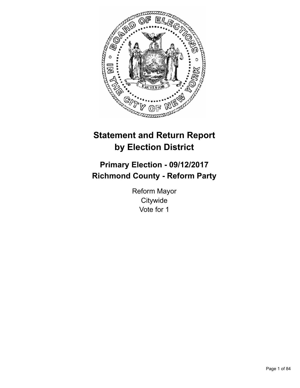

# **Statement and Return Report by Election District**

# **Primary Election - 09/12/2017 Richmond County - Reform Party**

Reform Mayor **Citywide** Vote for 1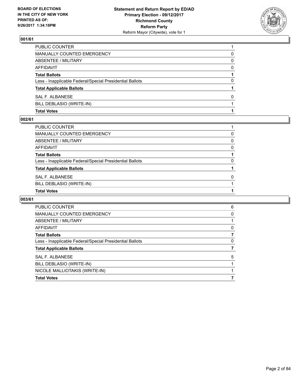

| <b>Total Votes</b>                                       |   |
|----------------------------------------------------------|---|
| BILL DEBLASIO (WRITE-IN)                                 |   |
| SAL F. ALBANESE                                          | 0 |
| <b>Total Applicable Ballots</b>                          |   |
| Less - Inapplicable Federal/Special Presidential Ballots | 0 |
| <b>Total Ballots</b>                                     |   |
| AFFIDAVIT                                                | 0 |
| ABSENTEE / MILITARY                                      | 0 |
| <b>MANUALLY COUNTED EMERGENCY</b>                        | 0 |
| PUBLIC COUNTER                                           |   |

#### **002/61**

| PUBLIC COUNTER                                           |          |
|----------------------------------------------------------|----------|
| MANUALLY COUNTED EMERGENCY                               | 0        |
| ABSENTEE / MILITARY                                      | 0        |
| AFFIDAVIT                                                | 0        |
| <b>Total Ballots</b>                                     |          |
| Less - Inapplicable Federal/Special Presidential Ballots | 0        |
| <b>Total Applicable Ballots</b>                          |          |
| SAL F. ALBANESE                                          | $\Omega$ |
| BILL DEBLASIO (WRITE-IN)                                 |          |
| <b>Total Votes</b>                                       |          |

| <b>PUBLIC COUNTER</b>                                    | 6 |
|----------------------------------------------------------|---|
| <b>MANUALLY COUNTED EMERGENCY</b>                        | 0 |
| ABSENTEE / MILITARY                                      |   |
| AFFIDAVIT                                                | 0 |
| <b>Total Ballots</b>                                     | 7 |
| Less - Inapplicable Federal/Special Presidential Ballots | 0 |
| <b>Total Applicable Ballots</b>                          |   |
| SAL F. ALBANESE                                          | 5 |
| BILL DEBLASIO (WRITE-IN)                                 |   |
| NICOLE MALLIOTAKIS (WRITE-IN)                            |   |
| <b>Total Votes</b>                                       |   |
|                                                          |   |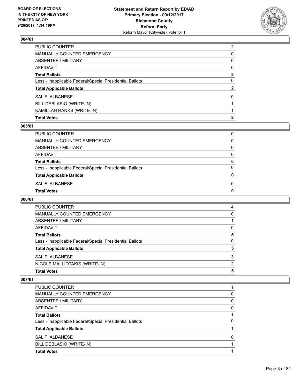

| <b>Total Votes</b>                                       | $\mathbf{2}$   |
|----------------------------------------------------------|----------------|
| KAMILLAH HANKS (WRITE-IN)                                |                |
| BILL DEBLASIO (WRITE-IN)                                 |                |
| <b>SAL F. ALBANESE</b>                                   | 0              |
| <b>Total Applicable Ballots</b>                          | $\mathbf{2}$   |
| Less - Inapplicable Federal/Special Presidential Ballots | 0              |
| <b>Total Ballots</b>                                     | $\mathbf{2}$   |
| <b>AFFIDAVIT</b>                                         | 0              |
| <b>ABSENTEE / MILITARY</b>                               | 0              |
| <b>MANUALLY COUNTED EMERGENCY</b>                        | 0              |
| PUBLIC COUNTER                                           | $\overline{2}$ |

#### **005/61**

| PUBLIC COUNTER                                           | 0            |
|----------------------------------------------------------|--------------|
| MANUALLY COUNTED EMERGENCY                               | 0            |
| ABSENTEE / MILITARY                                      | 0            |
| AFFIDAVIT                                                | 0            |
| <b>Total Ballots</b>                                     | 0            |
| Less - Inapplicable Federal/Special Presidential Ballots | 0            |
| <b>Total Applicable Ballots</b>                          | $\mathbf{0}$ |
| SAL F. ALBANESE                                          | 0            |
| Total Votes                                              | 0            |
|                                                          |              |

#### **006/61**

| <b>Total Votes</b>                                       | 5 |
|----------------------------------------------------------|---|
| NICOLE MALLIOTAKIS (WRITE-IN)                            | 2 |
| SAL F. ALBANESE                                          | 3 |
| <b>Total Applicable Ballots</b>                          | 5 |
| Less - Inapplicable Federal/Special Presidential Ballots | 0 |
| <b>Total Ballots</b>                                     | 5 |
| AFFIDAVIT                                                | 0 |
| ABSENTEE / MILITARY                                      |   |
| MANUALLY COUNTED EMERGENCY                               | 0 |
| PUBLIC COUNTER                                           | 4 |

| PUBLIC COUNTER                                           |   |
|----------------------------------------------------------|---|
| <b>MANUALLY COUNTED EMERGENCY</b>                        | 0 |
| ABSENTEE / MILITARY                                      | 0 |
| AFFIDAVIT                                                | 0 |
| <b>Total Ballots</b>                                     |   |
| Less - Inapplicable Federal/Special Presidential Ballots | 0 |
| <b>Total Applicable Ballots</b>                          |   |
| SAL F. ALBANESE                                          | 0 |
| BILL DEBLASIO (WRITE-IN)                                 |   |
| <b>Total Votes</b>                                       |   |
|                                                          |   |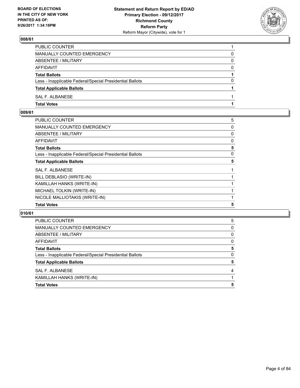

| PUBLIC COUNTER                                           |          |
|----------------------------------------------------------|----------|
| MANUALLY COUNTED EMERGENCY                               | 0        |
| <b>ABSENTEE / MILITARY</b>                               | $\Omega$ |
| AFFIDAVIT                                                | 0        |
| <b>Total Ballots</b>                                     |          |
| Less - Inapplicable Federal/Special Presidential Ballots | 0        |
| <b>Total Applicable Ballots</b>                          |          |
| SAL F. ALBANESE                                          |          |
| <b>Total Votes</b>                                       |          |

## **009/61**

| <b>Total Votes</b>                                       | 5 |
|----------------------------------------------------------|---|
| NICOLE MALLIOTAKIS (WRITE-IN)                            |   |
| MICHAEL TOLKIN (WRITE-IN)                                |   |
| KAMILLAH HANKS (WRITE-IN)                                |   |
| BILL DEBLASIO (WRITE-IN)                                 |   |
| <b>SAL F. ALBANESE</b>                                   |   |
| <b>Total Applicable Ballots</b>                          | 5 |
| Less - Inapplicable Federal/Special Presidential Ballots | 0 |
| <b>Total Ballots</b>                                     | 5 |
| <b>AFFIDAVIT</b>                                         | 0 |
| <b>ABSENTEE / MILITARY</b>                               | 0 |
| <b>MANUALLY COUNTED EMERGENCY</b>                        | 0 |
| <b>PUBLIC COUNTER</b>                                    | 5 |

| <b>PUBLIC COUNTER</b>                                    | 5 |
|----------------------------------------------------------|---|
| MANUALLY COUNTED EMERGENCY                               | 0 |
| ABSENTEE / MILITARY                                      | 0 |
| AFFIDAVIT                                                | 0 |
| <b>Total Ballots</b>                                     | 5 |
| Less - Inapplicable Federal/Special Presidential Ballots | 0 |
| <b>Total Applicable Ballots</b>                          | 5 |
| SAL F. ALBANESE                                          |   |
| KAMILLAH HANKS (WRITE-IN)                                |   |
| <b>Total Votes</b>                                       | 5 |
|                                                          |   |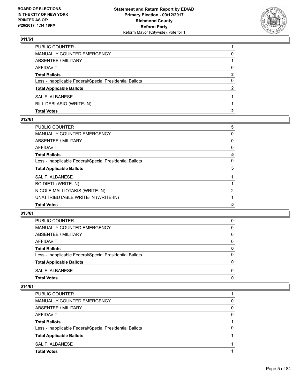

| <b>Total Votes</b>                                       | 2            |
|----------------------------------------------------------|--------------|
| BILL DEBLASIO (WRITE-IN)                                 |              |
| SAL F. ALBANESE                                          |              |
| <b>Total Applicable Ballots</b>                          | $\mathbf{2}$ |
| Less - Inapplicable Federal/Special Presidential Ballots | 0            |
| <b>Total Ballots</b>                                     | 2            |
| AFFIDAVIT                                                | 0            |
| <b>ABSENTEE / MILITARY</b>                               |              |
| MANUALLY COUNTED EMERGENCY                               | 0            |
| PUBLIC COUNTER                                           |              |

#### **012/61**

| <b>Total Votes</b>                                       | 5 |
|----------------------------------------------------------|---|
| UNATTRIBUTABLE WRITE-IN (WRITE-IN)                       |   |
| NICOLE MALLIOTAKIS (WRITE-IN)                            | 2 |
| <b>BO DIETL (WRITE-IN)</b>                               |   |
| SAL F. ALBANESE                                          |   |
| <b>Total Applicable Ballots</b>                          | 5 |
| Less - Inapplicable Federal/Special Presidential Ballots | 0 |
| <b>Total Ballots</b>                                     | 5 |
| AFFIDAVIT                                                | 0 |
| ABSENTEE / MILITARY                                      | 0 |
| <b>MANUALLY COUNTED EMERGENCY</b>                        | 0 |
| PUBLIC COUNTER                                           | 5 |

#### **013/61**

| <b>Total Votes</b>                                       | 0 |
|----------------------------------------------------------|---|
| SAL F. ALBANESE                                          | 0 |
| <b>Total Applicable Ballots</b>                          | 0 |
| Less - Inapplicable Federal/Special Presidential Ballots | 0 |
| <b>Total Ballots</b>                                     | 0 |
| AFFIDAVIT                                                | 0 |
| ABSENTEE / MILITARY                                      | 0 |
| MANUALLY COUNTED EMERGENCY                               | 0 |
| PUBLIC COUNTER                                           | 0 |

| <b>PUBLIC COUNTER</b>                                    |   |
|----------------------------------------------------------|---|
| <b>MANUALLY COUNTED EMERGENCY</b>                        | 0 |
| ABSENTEE / MILITARY                                      | 0 |
| AFFIDAVIT                                                | 0 |
| <b>Total Ballots</b>                                     |   |
| Less - Inapplicable Federal/Special Presidential Ballots | 0 |
| <b>Total Applicable Ballots</b>                          |   |
| SAL F. ALBANESE                                          |   |
| <b>Total Votes</b>                                       |   |
|                                                          |   |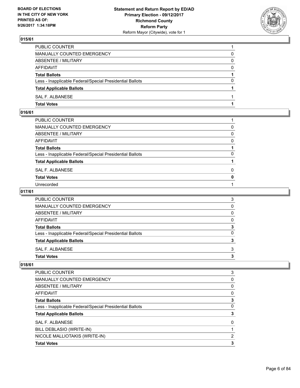

| <b>Total Votes</b>                                       |          |
|----------------------------------------------------------|----------|
| SAL F. ALBANESE                                          |          |
| <b>Total Applicable Ballots</b>                          |          |
| Less - Inapplicable Federal/Special Presidential Ballots | 0        |
| <b>Total Ballots</b>                                     |          |
| AFFIDAVIT                                                | $\Omega$ |
| ABSENTEE / MILITARY                                      | 0        |
| <b>MANUALLY COUNTED EMERGENCY</b>                        | 0        |
| PUBLIC COUNTER                                           |          |

## **016/61**

| PUBLIC COUNTER                                           |              |
|----------------------------------------------------------|--------------|
| MANUALLY COUNTED EMERGENCY                               | 0            |
| ABSENTEE / MILITARY                                      | $\Omega$     |
| AFFIDAVIT                                                | 0            |
| Total Ballots                                            |              |
| Less - Inapplicable Federal/Special Presidential Ballots | 0            |
| <b>Total Applicable Ballots</b>                          |              |
| SAL F. ALBANESE                                          | 0            |
| <b>Total Votes</b>                                       | $\mathbf{0}$ |
| Unrecorded                                               |              |

#### **017/61**

| <b>Total Votes</b>                                       |          |
|----------------------------------------------------------|----------|
| SAL F. ALBANESE                                          | 3        |
| <b>Total Applicable Ballots</b>                          | 3        |
| Less - Inapplicable Federal/Special Presidential Ballots | $\Omega$ |
| <b>Total Ballots</b>                                     | 3        |
| <b>AFFIDAVIT</b>                                         | 0        |
| <b>ABSENTEE / MILITARY</b>                               | 0        |
| <b>MANUALLY COUNTED EMERGENCY</b>                        | 0        |
| PUBLIC COUNTER                                           | 3        |

| <b>PUBLIC COUNTER</b>                                    | 3 |
|----------------------------------------------------------|---|
| <b>MANUALLY COUNTED EMERGENCY</b>                        | 0 |
| ABSENTEE / MILITARY                                      | 0 |
| AFFIDAVIT                                                | 0 |
| <b>Total Ballots</b>                                     | 3 |
| Less - Inapplicable Federal/Special Presidential Ballots | 0 |
| <b>Total Applicable Ballots</b>                          |   |
| SAL F. ALBANESE                                          | 0 |
| BILL DEBLASIO (WRITE-IN)                                 |   |
| NICOLE MALLIOTAKIS (WRITE-IN)                            | 2 |
| <b>Total Votes</b>                                       | 3 |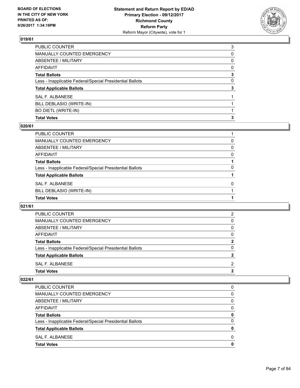

| <b>Total Votes</b>                                       | 3 |
|----------------------------------------------------------|---|
| BO DIETL (WRITE-IN)                                      |   |
| BILL DEBLASIO (WRITE-IN)                                 |   |
| SAL F. ALBANESE                                          |   |
| <b>Total Applicable Ballots</b>                          | 3 |
| Less - Inapplicable Federal/Special Presidential Ballots | 0 |
| <b>Total Ballots</b>                                     | 3 |
| <b>AFFIDAVIT</b>                                         | 0 |
| ABSENTEE / MILITARY                                      | 0 |
| MANUALLY COUNTED EMERGENCY                               | 0 |
| PUBLIC COUNTER                                           | 3 |

#### **020/61**

| PUBLIC COUNTER                                           |          |
|----------------------------------------------------------|----------|
| <b>MANUALLY COUNTED EMERGENCY</b>                        | 0        |
| <b>ABSENTEE / MILITARY</b>                               | 0        |
| AFFIDAVIT                                                | 0        |
| <b>Total Ballots</b>                                     |          |
| Less - Inapplicable Federal/Special Presidential Ballots | 0        |
| <b>Total Applicable Ballots</b>                          |          |
| SAL F. ALBANESE                                          | $\Omega$ |
| BILL DEBLASIO (WRITE-IN)                                 |          |
| <b>Total Votes</b>                                       |          |
|                                                          |          |

#### **021/61**

| <b>Total Votes</b>                                       | 2        |
|----------------------------------------------------------|----------|
| SAL F. ALBANESE                                          | 2        |
| <b>Total Applicable Ballots</b>                          | 2        |
| Less - Inapplicable Federal/Special Presidential Ballots | 0        |
| <b>Total Ballots</b>                                     | 2        |
| AFFIDAVIT                                                | $\Omega$ |
| ABSENTEE / MILITARY                                      | $\Omega$ |
| MANUALLY COUNTED EMERGENCY                               | 0        |
| PUBLIC COUNTER                                           | 2        |

| <b>Total Votes</b>                                       | 0 |
|----------------------------------------------------------|---|
| SAL F. ALBANESE                                          | 0 |
| <b>Total Applicable Ballots</b>                          | 0 |
| Less - Inapplicable Federal/Special Presidential Ballots | 0 |
| <b>Total Ballots</b>                                     | 0 |
| <b>AFFIDAVIT</b>                                         | 0 |
| ABSENTEE / MILITARY                                      | 0 |
| MANUALLY COUNTED EMERGENCY                               | 0 |
| PUBLIC COUNTER                                           | 0 |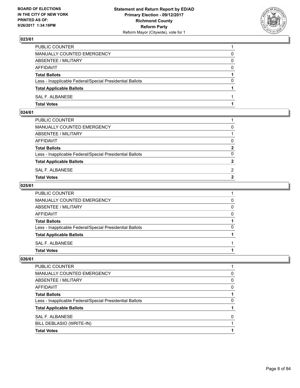

| PUBLIC COUNTER                                           |          |
|----------------------------------------------------------|----------|
| <b>MANUALLY COUNTED EMERGENCY</b>                        | 0        |
| ABSENTEE / MILITARY                                      | 0        |
| AFFIDAVIT                                                | $\Omega$ |
| <b>Total Ballots</b>                                     |          |
| Less - Inapplicable Federal/Special Presidential Ballots | 0        |
| <b>Total Applicable Ballots</b>                          |          |
| SAL F. ALBANESE                                          |          |
| <b>Total Votes</b>                                       |          |

## **024/61**

| PUBLIC COUNTER                                           |                |
|----------------------------------------------------------|----------------|
| MANUALLY COUNTED EMERGENCY                               | 0              |
| ABSENTEE / MILITARY                                      |                |
| AFFIDAVIT                                                | 0              |
| <b>Total Ballots</b>                                     | $\mathbf{2}$   |
| Less - Inapplicable Federal/Special Presidential Ballots | 0              |
| <b>Total Applicable Ballots</b>                          | $\overline{2}$ |
| SAL F. ALBANESE                                          | 2              |
| Total Votes                                              | $\overline{2}$ |
|                                                          |                |

#### **025/61**

| <b>Total Votes</b>                                       |          |
|----------------------------------------------------------|----------|
| SAL F. ALBANESE                                          |          |
| <b>Total Applicable Ballots</b>                          |          |
| Less - Inapplicable Federal/Special Presidential Ballots | 0        |
| <b>Total Ballots</b>                                     |          |
| AFFIDAVIT                                                | $\Omega$ |
| ABSENTEE / MILITARY                                      | 0        |
| <b>MANUALLY COUNTED EMERGENCY</b>                        | 0        |
| PUBLIC COUNTER                                           |          |

| <b>Total Votes</b>                                       |          |
|----------------------------------------------------------|----------|
| BILL DEBLASIO (WRITE-IN)                                 |          |
| SAL F. ALBANESE                                          | 0        |
| <b>Total Applicable Ballots</b>                          |          |
| Less - Inapplicable Federal/Special Presidential Ballots | 0        |
| <b>Total Ballots</b>                                     |          |
| AFFIDAVIT                                                | 0        |
| ABSENTEE / MILITARY                                      | 0        |
| MANUALLY COUNTED EMERGENCY                               | $\Omega$ |
| PUBLIC COUNTER                                           |          |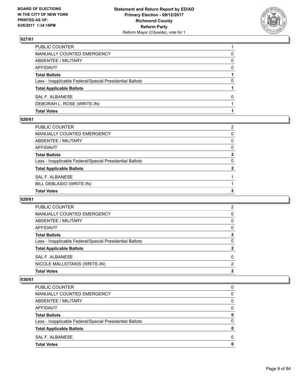

| <b>Total Votes</b>                                       |   |
|----------------------------------------------------------|---|
| DEBORAH L. ROSE (WRITE-IN)                               |   |
| SAL F. ALBANESE                                          | 0 |
| <b>Total Applicable Ballots</b>                          |   |
| Less - Inapplicable Federal/Special Presidential Ballots | 0 |
| <b>Total Ballots</b>                                     |   |
| AFFIDAVIT                                                | 0 |
| ABSENTEE / MILITARY                                      | 0 |
| MANUALLY COUNTED EMERGENCY                               | 0 |
| PUBLIC COUNTER                                           |   |

#### **028/61**

| PUBLIC COUNTER                                           | $\overline{2}$ |
|----------------------------------------------------------|----------------|
| MANUALLY COUNTED EMERGENCY                               | 0              |
| ABSENTEE / MILITARY                                      | $\mathbf{0}$   |
| AFFIDAVIT                                                | $\Omega$       |
| Total Ballots                                            | $\mathbf{2}$   |
| Less - Inapplicable Federal/Special Presidential Ballots | 0              |
| <b>Total Applicable Ballots</b>                          | $\overline{2}$ |
| SAL F. ALBANESE                                          |                |
| BILL DEBLASIO (WRITE-IN)                                 |                |
| <b>Total Votes</b>                                       | $\mathbf{2}$   |

#### **029/61**

| <b>Total Votes</b>                                       | 2 |
|----------------------------------------------------------|---|
| NICOLE MALLIOTAKIS (WRITE-IN)                            | 2 |
| SAL F. ALBANESE                                          | 0 |
| <b>Total Applicable Ballots</b>                          | 2 |
| Less - Inapplicable Federal/Special Presidential Ballots | 0 |
| <b>Total Ballots</b>                                     | 2 |
| <b>AFFIDAVIT</b>                                         | 0 |
| ABSENTEE / MILITARY                                      | 0 |
| MANUALLY COUNTED EMERGENCY                               | 0 |
| PUBLIC COUNTER                                           | 2 |

| PUBLIC COUNTER                                           |   |
|----------------------------------------------------------|---|
| <b>MANUALLY COUNTED EMERGENCY</b>                        | 0 |
| ABSENTEE / MILITARY                                      | 0 |
| AFFIDAVIT                                                | O |
| <b>Total Ballots</b>                                     | 0 |
| Less - Inapplicable Federal/Special Presidential Ballots | 0 |
| <b>Total Applicable Ballots</b>                          | o |
| SAL F. ALBANESE                                          | O |
| <b>Total Votes</b>                                       |   |
|                                                          |   |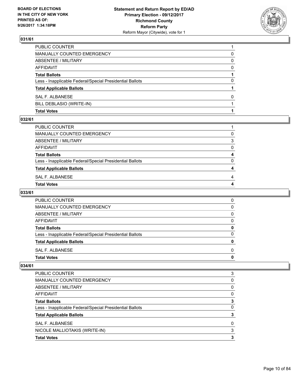

| <b>Total Votes</b>                                       |              |
|----------------------------------------------------------|--------------|
| BILL DEBLASIO (WRITE-IN)                                 |              |
| SAL F. ALBANESE                                          | <sup>0</sup> |
| <b>Total Applicable Ballots</b>                          |              |
| Less - Inapplicable Federal/Special Presidential Ballots | 0            |
| <b>Total Ballots</b>                                     |              |
| AFFIDAVIT                                                | 0            |
| ABSENTEE / MILITARY                                      | 0            |
| MANUALLY COUNTED EMERGENCY                               | 0            |
| PUBLIC COUNTER                                           |              |

#### **032/61**

| PUBLIC COUNTER                                           |   |
|----------------------------------------------------------|---|
| MANUALLY COUNTED EMERGENCY                               | 0 |
| ABSENTEE / MILITARY                                      | 3 |
| AFFIDAVIT                                                | 0 |
| <b>Total Ballots</b>                                     | 4 |
| Less - Inapplicable Federal/Special Presidential Ballots | 0 |
| <b>Total Applicable Ballots</b>                          | 4 |
| SAL F. ALBANESE                                          | 4 |
| Total Votes                                              |   |
|                                                          |   |

# **033/61**

| PUBLIC COUNTER                                           | O |
|----------------------------------------------------------|---|
| <b>MANUALLY COUNTED EMERGENCY</b>                        | O |
| ABSENTEE / MILITARY                                      | O |
| AFFIDAVIT                                                | O |
| <b>Total Ballots</b>                                     |   |
| Less - Inapplicable Federal/Special Presidential Ballots | n |
| <b>Total Applicable Ballots</b>                          |   |
| SAL F. ALBANESE                                          | O |
| <b>Total Votes</b>                                       |   |

| <b>Total Votes</b>                                       | 3 |
|----------------------------------------------------------|---|
| NICOLE MALLIOTAKIS (WRITE-IN)                            | 3 |
| SAL F. ALBANESE                                          | 0 |
| <b>Total Applicable Ballots</b>                          | 3 |
| Less - Inapplicable Federal/Special Presidential Ballots | 0 |
| <b>Total Ballots</b>                                     | 3 |
| AFFIDAVIT                                                | 0 |
| ABSENTEE / MILITARY                                      | 0 |
| <b>MANUALLY COUNTED EMERGENCY</b>                        | 0 |
| <b>PUBLIC COUNTER</b>                                    | 3 |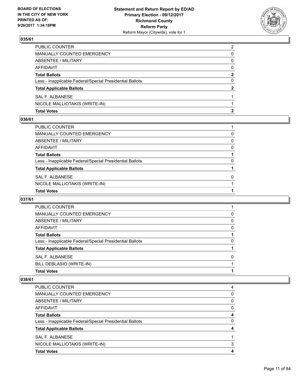

| <b>Total Votes</b>                                       | 2            |
|----------------------------------------------------------|--------------|
| NICOLE MALLIOTAKIS (WRITE-IN)                            |              |
| SAL F. ALBANESE                                          |              |
| <b>Total Applicable Ballots</b>                          | $\mathbf{2}$ |
| Less - Inapplicable Federal/Special Presidential Ballots | 0            |
| <b>Total Ballots</b>                                     | 2            |
| AFFIDAVIT                                                | $\Omega$     |
| ABSENTEE / MILITARY                                      | 0            |
| MANUALLY COUNTED EMERGENCY                               | 0            |
| PUBLIC COUNTER                                           | 2            |

#### **036/61**

| PUBLIC COUNTER                                           |          |
|----------------------------------------------------------|----------|
| MANUALLY COUNTED EMERGENCY                               | 0        |
| ABSENTEE / MILITARY                                      | 0        |
| AFFIDAVIT                                                | $\Omega$ |
| Total Ballots                                            |          |
| Less - Inapplicable Federal/Special Presidential Ballots | 0        |
| <b>Total Applicable Ballots</b>                          |          |
| SAL F. ALBANESE                                          | $\Omega$ |
| NICOLE MALLIOTAKIS (WRITE-IN)                            |          |
| <b>Total Votes</b>                                       |          |

#### **037/61**

| PUBLIC COUNTER                                           |              |
|----------------------------------------------------------|--------------|
| MANUALLY COUNTED EMERGENCY                               | 0            |
| ABSENTEE / MILITARY                                      | 0            |
| AFFIDAVIT                                                | 0            |
| <b>Total Ballots</b>                                     |              |
| Less - Inapplicable Federal/Special Presidential Ballots | 0            |
| <b>Total Applicable Ballots</b>                          |              |
| SAL F. ALBANESE                                          | <sup>0</sup> |
| BILL DEBLASIO (WRITE-IN)                                 |              |
| <b>Total Votes</b>                                       |              |
|                                                          |              |

| <b>PUBLIC COUNTER</b>                                    | 4 |
|----------------------------------------------------------|---|
| MANUALLY COUNTED EMERGENCY                               | 0 |
| ABSENTEE / MILITARY                                      | 0 |
| AFFIDAVIT                                                | 0 |
| <b>Total Ballots</b>                                     |   |
| Less - Inapplicable Federal/Special Presidential Ballots | 0 |
| <b>Total Applicable Ballots</b>                          |   |
| SAL F. ALBANESE                                          |   |
| NICOLE MALLIOTAKIS (WRITE-IN)                            | 3 |
| <b>Total Votes</b>                                       |   |
|                                                          |   |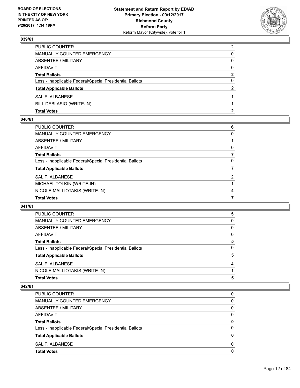

| <b>Total Votes</b>                                       | 2              |
|----------------------------------------------------------|----------------|
| BILL DEBLASIO (WRITE-IN)                                 |                |
| SAL F. ALBANESE                                          |                |
| <b>Total Applicable Ballots</b>                          | $\mathbf{2}$   |
| Less - Inapplicable Federal/Special Presidential Ballots | 0              |
| <b>Total Ballots</b>                                     | 2              |
| AFFIDAVIT                                                | $\Omega$       |
| ABSENTEE / MILITARY                                      | 0              |
| <b>MANUALLY COUNTED EMERGENCY</b>                        | 0              |
| PUBLIC COUNTER                                           | $\overline{2}$ |

#### **040/61**

| PUBLIC COUNTER                                           | 6              |
|----------------------------------------------------------|----------------|
|                                                          |                |
| <b>MANUALLY COUNTED EMERGENCY</b>                        | 0              |
| <b>ABSENTEE / MILITARY</b>                               |                |
| <b>AFFIDAVIT</b>                                         | 0              |
| <b>Total Ballots</b>                                     |                |
| Less - Inapplicable Federal/Special Presidential Ballots | 0              |
| <b>Total Applicable Ballots</b>                          |                |
| <b>SAL F. ALBANESE</b>                                   | $\overline{2}$ |
| MICHAEL TOLKIN (WRITE-IN)                                |                |
| NICOLE MALLIOTAKIS (WRITE-IN)                            | 4              |
| <b>Total Votes</b>                                       | 7              |

#### **041/61**

| <b>Total Votes</b>                                       | 5 |
|----------------------------------------------------------|---|
| NICOLE MALLIOTAKIS (WRITE-IN)                            |   |
| SAL F. ALBANESE                                          | 4 |
| <b>Total Applicable Ballots</b>                          | 5 |
| Less - Inapplicable Federal/Special Presidential Ballots | 0 |
| <b>Total Ballots</b>                                     | 5 |
| AFFIDAVIT                                                | 0 |
| ABSENTEE / MILITARY                                      | 0 |
| MANUALLY COUNTED EMERGENCY                               | 0 |
| <b>PUBLIC COUNTER</b>                                    | 5 |

| <b>Total Votes</b>                                       | 0            |
|----------------------------------------------------------|--------------|
| SAL F. ALBANESE                                          | <sup>0</sup> |
| <b>Total Applicable Ballots</b>                          | 0            |
| Less - Inapplicable Federal/Special Presidential Ballots | $\Omega$     |
| <b>Total Ballots</b>                                     | 0            |
| AFFIDAVIT                                                | 0            |
| ABSENTEE / MILITARY                                      | 0            |
| <b>MANUALLY COUNTED EMERGENCY</b>                        | 0            |
| <b>PUBLIC COUNTER</b>                                    | 0            |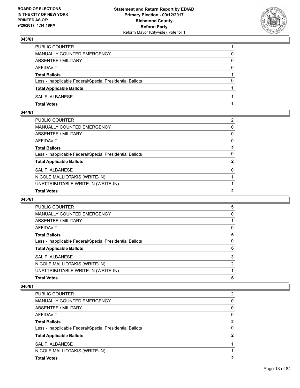

| PUBLIC COUNTER                                           |          |
|----------------------------------------------------------|----------|
| MANUALLY COUNTED EMERGENCY                               | 0        |
| ABSENTEE / MILITARY                                      | $\Omega$ |
| AFFIDAVIT                                                | $\Omega$ |
| <b>Total Ballots</b>                                     |          |
| Less - Inapplicable Federal/Special Presidential Ballots | $\Omega$ |
| <b>Total Applicable Ballots</b>                          |          |
| SAL F. ALBANESE                                          |          |
| <b>Total Votes</b>                                       |          |

## **044/61**

| PUBLIC COUNTER                                           | $\overline{2}$ |
|----------------------------------------------------------|----------------|
| MANUALLY COUNTED EMERGENCY                               | $\mathbf{0}$   |
| ABSENTEE / MILITARY                                      | 0              |
| AFFIDAVIT                                                | 0              |
| Total Ballots                                            | $\mathbf{2}$   |
| Less - Inapplicable Federal/Special Presidential Ballots | 0              |
| <b>Total Applicable Ballots</b>                          | $\mathbf{2}$   |
| <b>SAL F. ALBANESE</b>                                   | $\mathbf{0}$   |
| NICOLE MALLIOTAKIS (WRITE-IN)                            |                |
| UNATTRIBUTABLE WRITE-IN (WRITE-IN)                       |                |
| <b>Total Votes</b>                                       | $\mathbf{2}$   |

#### **045/61**

| <b>PUBLIC COUNTER</b>                                    | 5 |
|----------------------------------------------------------|---|
| <b>MANUALLY COUNTED EMERGENCY</b>                        | 0 |
| ABSENTEE / MILITARY                                      |   |
| AFFIDAVIT                                                | 0 |
| <b>Total Ballots</b>                                     | 6 |
| Less - Inapplicable Federal/Special Presidential Ballots | 0 |
| <b>Total Applicable Ballots</b>                          | 6 |
| SAL F. ALBANESE                                          | 3 |
| NICOLE MALLIOTAKIS (WRITE-IN)                            | 2 |
| UNATTRIBUTABLE WRITE-IN (WRITE-IN)                       |   |
| <b>Total Votes</b>                                       | 6 |

| <b>Total Votes</b>                                       | 2 |
|----------------------------------------------------------|---|
| NICOLE MALLIOTAKIS (WRITE-IN)                            |   |
| SAL F. ALBANESE                                          |   |
| <b>Total Applicable Ballots</b>                          | 2 |
| Less - Inapplicable Federal/Special Presidential Ballots | 0 |
| <b>Total Ballots</b>                                     | 2 |
| <b>AFFIDAVIT</b>                                         | 0 |
| ABSENTEE / MILITARY                                      | 0 |
| <b>MANUALLY COUNTED EMERGENCY</b>                        | 0 |
| <b>PUBLIC COUNTER</b>                                    | 2 |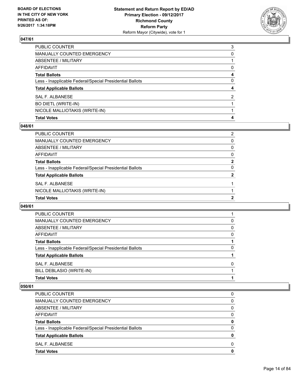

| PUBLIC COUNTER                                           | 3 |
|----------------------------------------------------------|---|
| MANUALLY COUNTED EMERGENCY                               | 0 |
| <b>ABSENTEE / MILITARY</b>                               |   |
| <b>AFFIDAVIT</b>                                         | 0 |
| <b>Total Ballots</b>                                     | 4 |
| Less - Inapplicable Federal/Special Presidential Ballots | 0 |
| <b>Total Applicable Ballots</b>                          | 4 |
| SAL F. ALBANESE                                          | 2 |
| BO DIETL (WRITE-IN)                                      |   |
| NICOLE MALLIOTAKIS (WRITE-IN)                            |   |
| <b>Total Votes</b>                                       | 4 |

#### **048/61**

| PUBLIC COUNTER                                           | 2 |
|----------------------------------------------------------|---|
| <b>MANUALLY COUNTED EMERGENCY</b>                        | 0 |
| ABSENTEE / MILITARY                                      | 0 |
| <b>AFFIDAVIT</b>                                         | 0 |
| <b>Total Ballots</b>                                     | 2 |
| Less - Inapplicable Federal/Special Presidential Ballots | 0 |
| <b>Total Applicable Ballots</b>                          | 2 |
| SAL F. ALBANESE                                          |   |
| NICOLE MALLIOTAKIS (WRITE-IN)                            |   |
| <b>Total Votes</b>                                       | 2 |

#### **049/61**

| PUBLIC COUNTER                                           |   |
|----------------------------------------------------------|---|
| <b>MANUALLY COUNTED EMERGENCY</b>                        | 0 |
| ABSENTEE / MILITARY                                      | 0 |
| AFFIDAVIT                                                | 0 |
| <b>Total Ballots</b>                                     |   |
| Less - Inapplicable Federal/Special Presidential Ballots | 0 |
| <b>Total Applicable Ballots</b>                          |   |
| SAL F. ALBANESE                                          | 0 |
| BILL DEBLASIO (WRITE-IN)                                 |   |
| <b>Total Votes</b>                                       |   |

| <b>Total Votes</b>                                       | 0        |
|----------------------------------------------------------|----------|
| SAL F. ALBANESE                                          | 0        |
| <b>Total Applicable Ballots</b>                          | 0        |
| Less - Inapplicable Federal/Special Presidential Ballots | $\Omega$ |
| <b>Total Ballots</b>                                     | 0        |
| AFFIDAVIT                                                | 0        |
| ABSENTEE / MILITARY                                      | $\Omega$ |
| <b>MANUALLY COUNTED EMERGENCY</b>                        | 0        |
| PUBLIC COUNTER                                           | 0        |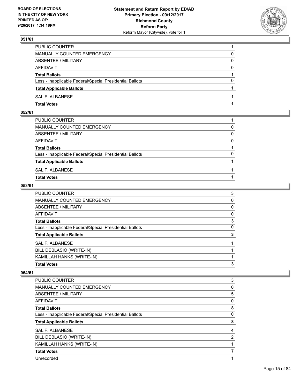

| <b>Total Votes</b>                                       |          |
|----------------------------------------------------------|----------|
| SAL F. ALBANESE                                          |          |
| <b>Total Applicable Ballots</b>                          |          |
| Less - Inapplicable Federal/Special Presidential Ballots | 0        |
| <b>Total Ballots</b>                                     |          |
| AFFIDAVIT                                                | $\Omega$ |
| ABSENTEE / MILITARY                                      | 0        |
| <b>MANUALLY COUNTED EMERGENCY</b>                        | 0        |
| PUBLIC COUNTER                                           |          |

## **052/61**

| PUBLIC COUNTER                                           |          |
|----------------------------------------------------------|----------|
| MANUALLY COUNTED EMERGENCY                               | 0        |
| ABSENTEE / MILITARY                                      | $\Omega$ |
| AFFIDAVIT                                                | $\Omega$ |
| <b>Total Ballots</b>                                     |          |
| Less - Inapplicable Federal/Special Presidential Ballots | $\Omega$ |
| <b>Total Applicable Ballots</b>                          |          |
| SAL F. ALBANESE                                          |          |
| <b>Total Votes</b>                                       |          |
|                                                          |          |

#### **053/61**

| PUBLIC COUNTER                                           | 3            |
|----------------------------------------------------------|--------------|
| MANUALLY COUNTED EMERGENCY                               | 0            |
| ABSENTEE / MILITARY                                      | $\mathbf{0}$ |
| AFFIDAVIT                                                | $\mathbf{0}$ |
| Total Ballots                                            | 3            |
| Less - Inapplicable Federal/Special Presidential Ballots | $\mathbf{0}$ |
| <b>Total Applicable Ballots</b>                          | 3            |
| <b>SAL F. ALBANESE</b>                                   |              |
| BILL DEBLASIO (WRITE-IN)                                 |              |
| KAMILLAH HANKS (WRITE-IN)                                |              |
| <b>Total Votes</b>                                       | 3            |

| <b>PUBLIC COUNTER</b>                                    | 3 |
|----------------------------------------------------------|---|
| <b>MANUALLY COUNTED EMERGENCY</b>                        | 0 |
| ABSENTEE / MILITARY                                      | 5 |
| <b>AFFIDAVIT</b>                                         | 0 |
| <b>Total Ballots</b>                                     | 8 |
| Less - Inapplicable Federal/Special Presidential Ballots | 0 |
| <b>Total Applicable Ballots</b>                          | 8 |
| SAL F. ALBANESE                                          | 4 |
| BILL DEBLASIO (WRITE-IN)                                 | 2 |
| KAMILLAH HANKS (WRITE-IN)                                |   |
| <b>Total Votes</b>                                       | 7 |
| Unrecorded                                               |   |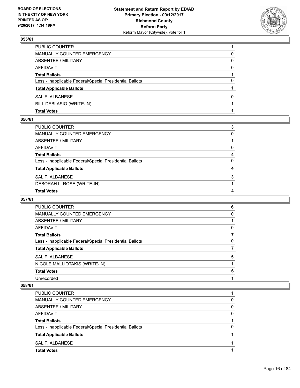

| <b>Total Votes</b>                                       |          |
|----------------------------------------------------------|----------|
| BILL DEBLASIO (WRITE-IN)                                 |          |
| SAL F. ALBANESE                                          | 0        |
| <b>Total Applicable Ballots</b>                          |          |
| Less - Inapplicable Federal/Special Presidential Ballots | 0        |
| <b>Total Ballots</b>                                     |          |
| AFFIDAVIT                                                | $\Omega$ |
| ABSENTEE / MILITARY                                      | 0        |
| <b>MANUALLY COUNTED EMERGENCY</b>                        | 0        |
| PUBLIC COUNTER                                           |          |

#### **056/61**

| PUBLIC COUNTER                                           | 3 |
|----------------------------------------------------------|---|
| MANUALLY COUNTED EMERGENCY                               | 0 |
| ABSENTEE / MILITARY                                      |   |
| AFFIDAVIT                                                | 0 |
| Total Ballots                                            | 4 |
| Less - Inapplicable Federal/Special Presidential Ballots | 0 |
| <b>Total Applicable Ballots</b>                          | 4 |
| SAL F. ALBANESE                                          | 3 |
| DEBORAH L. ROSE (WRITE-IN)                               |   |
| <b>Total Votes</b>                                       | 4 |

#### **057/61**

| <b>PUBLIC COUNTER</b>                                    | 6 |
|----------------------------------------------------------|---|
| <b>MANUALLY COUNTED EMERGENCY</b>                        | 0 |
| ABSENTEE / MILITARY                                      |   |
| AFFIDAVIT                                                | 0 |
| <b>Total Ballots</b>                                     |   |
| Less - Inapplicable Federal/Special Presidential Ballots | 0 |
| <b>Total Applicable Ballots</b>                          |   |
| SAL F. ALBANESE                                          | 5 |
| NICOLE MALLIOTAKIS (WRITE-IN)                            |   |
| <b>Total Votes</b>                                       | 6 |
| Unrecorded                                               |   |
|                                                          |   |

| PUBLIC COUNTER                                           |   |
|----------------------------------------------------------|---|
| <b>MANUALLY COUNTED EMERGENCY</b>                        | 0 |
| ABSENTEE / MILITARY                                      | 0 |
| <b>AFFIDAVIT</b>                                         | 0 |
| <b>Total Ballots</b>                                     |   |
| Less - Inapplicable Federal/Special Presidential Ballots | O |
| <b>Total Applicable Ballots</b>                          |   |
| SAL F. ALBANESE                                          |   |
| <b>Total Votes</b>                                       |   |
|                                                          |   |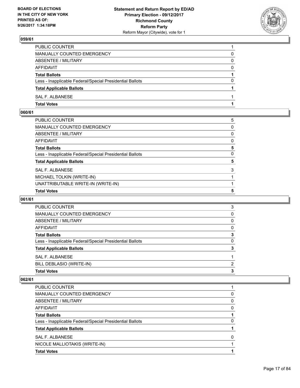

| <b>Total Votes</b>                                       |          |
|----------------------------------------------------------|----------|
| SAL F. ALBANESE                                          |          |
| <b>Total Applicable Ballots</b>                          |          |
| Less - Inapplicable Federal/Special Presidential Ballots | 0        |
| <b>Total Ballots</b>                                     |          |
| AFFIDAVIT                                                | $\Omega$ |
| ABSENTEE / MILITARY                                      | 0        |
| <b>MANUALLY COUNTED EMERGENCY</b>                        | 0        |
| PUBLIC COUNTER                                           |          |

## **060/61**

| PUBLIC COUNTER                                           | 5 |
|----------------------------------------------------------|---|
| MANUALLY COUNTED EMERGENCY                               | 0 |
| ABSENTEE / MILITARY                                      | 0 |
| AFFIDAVIT                                                | 0 |
| Total Ballots                                            | 5 |
| Less - Inapplicable Federal/Special Presidential Ballots | 0 |
| <b>Total Applicable Ballots</b>                          | 5 |
| <b>SAL F. ALBANESE</b>                                   | 3 |
| MICHAEL TOLKIN (WRITE-IN)                                |   |
| UNATTRIBUTABLE WRITE-IN (WRITE-IN)                       |   |
| <b>Total Votes</b>                                       | 5 |

#### **061/61**

| <b>PUBLIC COUNTER</b>                                    | 3 |
|----------------------------------------------------------|---|
|                                                          |   |
| MANUALLY COUNTED EMERGENCY                               | 0 |
| ABSENTEE / MILITARY                                      | 0 |
| AFFIDAVIT                                                | 0 |
| <b>Total Ballots</b>                                     | 3 |
| Less - Inapplicable Federal/Special Presidential Ballots | 0 |
| <b>Total Applicable Ballots</b>                          | 3 |
| SAL F. ALBANESE                                          |   |
| BILL DEBLASIO (WRITE-IN)                                 | 2 |
| <b>Total Votes</b>                                       | 3 |
|                                                          |   |

| <b>PUBLIC COUNTER</b>                                    |   |
|----------------------------------------------------------|---|
| MANUALLY COUNTED EMERGENCY                               | 0 |
| ABSENTEE / MILITARY                                      | 0 |
| AFFIDAVIT                                                | 0 |
| <b>Total Ballots</b>                                     |   |
| Less - Inapplicable Federal/Special Presidential Ballots | 0 |
| <b>Total Applicable Ballots</b>                          |   |
| SAL F. ALBANESE                                          | O |
| NICOLE MALLIOTAKIS (WRITE-IN)                            |   |
| <b>Total Votes</b>                                       |   |
|                                                          |   |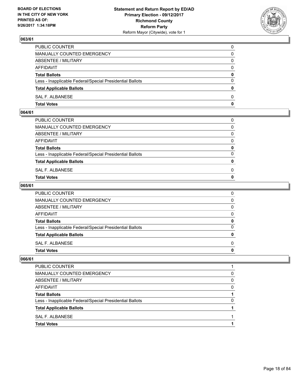

| PUBLIC COUNTER                                           | 0            |
|----------------------------------------------------------|--------------|
| MANUALLY COUNTED EMERGENCY                               | $\Omega$     |
| ABSENTEE / MILITARY                                      | $\mathbf{0}$ |
| AFFIDAVIT                                                | 0            |
| <b>Total Ballots</b>                                     | 0            |
| Less - Inapplicable Federal/Special Presidential Ballots | $\mathbf{0}$ |
| <b>Total Applicable Ballots</b>                          | $\bf{0}$     |
| SAL F. ALBANESE                                          | $\Omega$     |
| <b>Total Votes</b>                                       | $\mathbf{0}$ |

#### **064/61**

| <b>Total Votes</b>                                       | $\mathbf{0}$ |
|----------------------------------------------------------|--------------|
| SAL F. ALBANESE                                          | 0            |
| <b>Total Applicable Ballots</b>                          | $\mathbf{0}$ |
| Less - Inapplicable Federal/Special Presidential Ballots | $\Omega$     |
| <b>Total Ballots</b>                                     | 0            |
| AFFIDAVIT                                                | $\Omega$     |
| ABSENTEE / MILITARY                                      | $\Omega$     |
| MANUALLY COUNTED EMERGENCY                               | $\Omega$     |
| PUBLIC COUNTER                                           | 0            |
|                                                          |              |

#### **065/61**

| PUBLIC COUNTER                                           | 0            |
|----------------------------------------------------------|--------------|
| MANUALLY COUNTED EMERGENCY                               | $\mathbf{0}$ |
| ABSENTEE / MILITARY                                      | $\mathbf{0}$ |
| AFFIDAVIT                                                | $\mathbf{0}$ |
| <b>Total Ballots</b>                                     | 0            |
| Less - Inapplicable Federal/Special Presidential Ballots | $\mathbf{0}$ |
| <b>Total Applicable Ballots</b>                          | $\mathbf{0}$ |
| SAL F. ALBANESE                                          | $\Omega$     |
| <b>Total Votes</b>                                       | 0            |
|                                                          |              |

| PUBLIC COUNTER                                           |   |
|----------------------------------------------------------|---|
| MANUALLY COUNTED EMERGENCY                               | 0 |
| ABSENTEE / MILITARY                                      | 0 |
| AFFIDAVIT                                                | O |
| <b>Total Ballots</b>                                     |   |
| Less - Inapplicable Federal/Special Presidential Ballots | 0 |
| <b>Total Applicable Ballots</b>                          |   |
| SAL F. ALBANESE                                          |   |
| <b>Total Votes</b>                                       |   |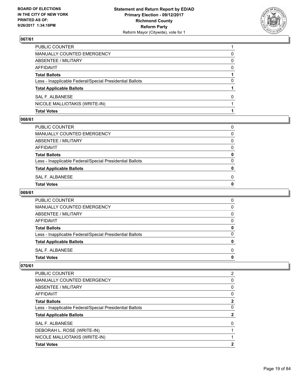

| <b>Total Votes</b>                                       |   |
|----------------------------------------------------------|---|
| NICOLE MALLIOTAKIS (WRITE-IN)                            |   |
| SAL F. ALBANESE                                          | 0 |
| <b>Total Applicable Ballots</b>                          |   |
| Less - Inapplicable Federal/Special Presidential Ballots | 0 |
| <b>Total Ballots</b>                                     |   |
| AFFIDAVIT                                                | 0 |
| ABSENTEE / MILITARY                                      | 0 |
| MANUALLY COUNTED EMERGENCY                               | 0 |
| PUBLIC COUNTER                                           |   |

#### **068/61**

| Total Votes                                              | 0 |
|----------------------------------------------------------|---|
| SAL F. ALBANESE                                          | 0 |
| <b>Total Applicable Ballots</b>                          | 0 |
| Less - Inapplicable Federal/Special Presidential Ballots | 0 |
| <b>Total Ballots</b>                                     | 0 |
| AFFIDAVIT                                                | 0 |
| ABSENTEE / MILITARY                                      | 0 |
| MANUALLY COUNTED EMERGENCY                               | 0 |
| PUBLIC COUNTER                                           | 0 |
|                                                          |   |

## **069/61**

| <b>PUBLIC COUNTER</b>                                    | 0 |
|----------------------------------------------------------|---|
| MANUALLY COUNTED EMERGENCY                               | 0 |
| ABSENTEE / MILITARY                                      | 0 |
| AFFIDAVIT                                                | 0 |
| <b>Total Ballots</b>                                     | 0 |
| Less - Inapplicable Federal/Special Presidential Ballots | O |
| <b>Total Applicable Ballots</b>                          | Ω |
| SAL F. ALBANESE                                          | 0 |
| <b>Total Votes</b>                                       | o |

| <b>PUBLIC COUNTER</b>                                    | $\overline{2}$ |
|----------------------------------------------------------|----------------|
| <b>MANUALLY COUNTED EMERGENCY</b>                        | 0              |
| ABSENTEE / MILITARY                                      | 0              |
| AFFIDAVIT                                                | 0              |
| <b>Total Ballots</b>                                     | 2              |
| Less - Inapplicable Federal/Special Presidential Ballots | 0              |
| <b>Total Applicable Ballots</b>                          | 2              |
| SAL F. ALBANESE                                          | $\Omega$       |
| DEBORAH L. ROSE (WRITE-IN)                               |                |
| NICOLE MALLIOTAKIS (WRITE-IN)                            |                |
| <b>Total Votes</b>                                       | 2              |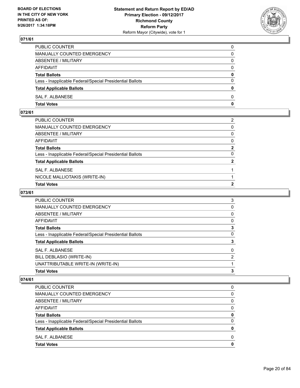

| PUBLIC COUNTER                                           | 0            |
|----------------------------------------------------------|--------------|
| MANUALLY COUNTED EMERGENCY                               | $\Omega$     |
| ABSENTEE / MILITARY                                      | $\mathbf{0}$ |
| AFFIDAVIT                                                | 0            |
| <b>Total Ballots</b>                                     | $\mathbf{0}$ |
| Less - Inapplicable Federal/Special Presidential Ballots | $\Omega$     |
| <b>Total Applicable Ballots</b>                          | $\mathbf{0}$ |
| SAL F. ALBANESE                                          | $\Omega$     |
| <b>Total Votes</b>                                       | $\mathbf{0}$ |

## **072/61**

| <b>Total Votes</b>                                       | 2              |
|----------------------------------------------------------|----------------|
| NICOLE MALLIOTAKIS (WRITE-IN)                            |                |
| SAL F. ALBANESE                                          |                |
| <b>Total Applicable Ballots</b>                          | $\overline{2}$ |
| Less - Inapplicable Federal/Special Presidential Ballots | $\Omega$       |
| Total Ballots                                            | $\mathbf{2}$   |
| AFFIDAVIT                                                | $\mathbf{0}$   |
| ABSENTEE / MILITARY                                      | $\mathbf{0}$   |
| MANUALLY COUNTED EMERGENCY                               | $\mathbf{0}$   |
| PUBLIC COUNTER                                           | 2              |
|                                                          |                |

## **073/61**

| <b>PUBLIC COUNTER</b>                                    | 3 |
|----------------------------------------------------------|---|
| <b>MANUALLY COUNTED EMERGENCY</b>                        | 0 |
| ABSENTEE / MILITARY                                      | 0 |
| AFFIDAVIT                                                | 0 |
| <b>Total Ballots</b>                                     | 3 |
| Less - Inapplicable Federal/Special Presidential Ballots | 0 |
| <b>Total Applicable Ballots</b>                          | 3 |
| SAL F. ALBANESE                                          | 0 |
| BILL DEBLASIO (WRITE-IN)                                 | 2 |
| UNATTRIBUTABLE WRITE-IN (WRITE-IN)                       |   |
| <b>Total Votes</b>                                       | 3 |
|                                                          |   |

| PUBLIC COUNTER                                           |   |
|----------------------------------------------------------|---|
| MANUALLY COUNTED EMERGENCY                               | 0 |
| ABSENTEE / MILITARY                                      | 0 |
| AFFIDAVIT                                                | O |
| <b>Total Ballots</b>                                     | 0 |
| Less - Inapplicable Federal/Special Presidential Ballots | 0 |
| <b>Total Applicable Ballots</b>                          | o |
| SAL F. ALBANESE                                          | O |
| <b>Total Votes</b>                                       |   |
|                                                          |   |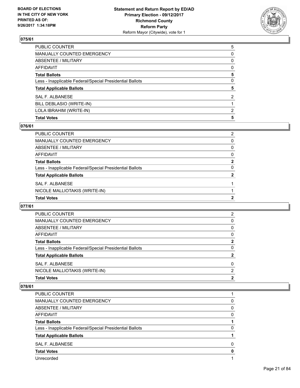

| PUBLIC COUNTER                                           | 5            |
|----------------------------------------------------------|--------------|
| MANUALLY COUNTED EMERGENCY                               | 0            |
| ABSENTEE / MILITARY                                      | 0            |
| AFFIDAVIT                                                | $\mathbf{0}$ |
| Total Ballots                                            | 5            |
| Less - Inapplicable Federal/Special Presidential Ballots | 0            |
| <b>Total Applicable Ballots</b>                          | 5            |
| <b>SAL F. ALBANESE</b>                                   | 2            |
| BILL DEBLASIO (WRITE-IN)                                 |              |
| LOLA IBRAHIM (WRITE-IN)                                  | 2            |
| <b>Total Votes</b>                                       | 5            |

#### **076/61**

| PUBLIC COUNTER                                           | 2 |
|----------------------------------------------------------|---|
| <b>MANUALLY COUNTED EMERGENCY</b>                        | 0 |
| ABSENTEE / MILITARY                                      | 0 |
| <b>AFFIDAVIT</b>                                         | 0 |
| <b>Total Ballots</b>                                     | 2 |
| Less - Inapplicable Federal/Special Presidential Ballots | 0 |
| <b>Total Applicable Ballots</b>                          | 2 |
| SAL F. ALBANESE                                          |   |
| NICOLE MALLIOTAKIS (WRITE-IN)                            |   |
| <b>Total Votes</b>                                       | 2 |

#### **077/61**

| <b>Total Votes</b>                                       | $\mathbf{2}$ |
|----------------------------------------------------------|--------------|
| NICOLE MALLIOTAKIS (WRITE-IN)                            | 2            |
| SAL F. ALBANESE                                          | $\Omega$     |
| <b>Total Applicable Ballots</b>                          | 2            |
| Less - Inapplicable Federal/Special Presidential Ballots | 0            |
| <b>Total Ballots</b>                                     | $\mathbf{2}$ |
| AFFIDAVIT                                                | 0            |
| ABSENTEE / MILITARY                                      | 0            |
| MANUALLY COUNTED EMERGENCY                               | 0            |
| <b>PUBLIC COUNTER</b>                                    | 2            |

| <b>PUBLIC COUNTER</b>                                    |          |
|----------------------------------------------------------|----------|
| MANUALLY COUNTED EMERGENCY                               | 0        |
| ABSENTEE / MILITARY                                      | $\Omega$ |
| AFFIDAVIT                                                | 0        |
| <b>Total Ballots</b>                                     |          |
| Less - Inapplicable Federal/Special Presidential Ballots | 0        |
| <b>Total Applicable Ballots</b>                          |          |
| <b>SAL F. ALBANESE</b>                                   | 0        |
| <b>Total Votes</b>                                       | 0        |
| Unrecorded                                               |          |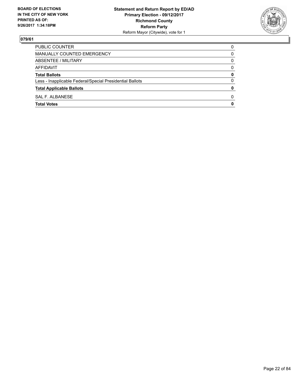

| <b>PUBLIC COUNTER</b>                                    | 0        |
|----------------------------------------------------------|----------|
| MANUALLY COUNTED EMERGENCY                               | 0        |
| ABSENTEE / MILITARY                                      | 0        |
| AFFIDAVIT                                                | 0        |
| <b>Total Ballots</b>                                     | 0        |
| Less - Inapplicable Federal/Special Presidential Ballots | $\Omega$ |
| <b>Total Applicable Ballots</b>                          | 0        |
| SAL F. ALBANESE                                          | 0        |
| <b>Total Votes</b>                                       | 0        |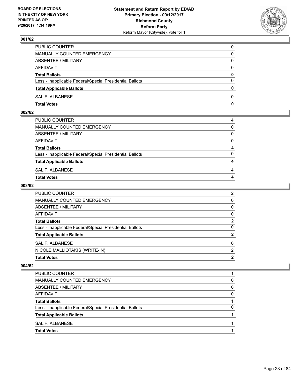

| PUBLIC COUNTER                                           | 0            |
|----------------------------------------------------------|--------------|
| MANUALLY COUNTED EMERGENCY                               | 0            |
| ABSENTEE / MILITARY                                      | 0            |
| AFFIDAVIT                                                | $\Omega$     |
| <b>Total Ballots</b>                                     | $\mathbf{0}$ |
| Less - Inapplicable Federal/Special Presidential Ballots | $\Omega$     |
| <b>Total Applicable Ballots</b>                          | $\mathbf{0}$ |
| SAL F. ALBANESE                                          | 0            |
| <b>Total Votes</b>                                       | 0            |

## **002/62**

| Total Votes                                              | 4            |
|----------------------------------------------------------|--------------|
| SAL F. ALBANESE                                          | 4            |
| <b>Total Applicable Ballots</b>                          | 4            |
| Less - Inapplicable Federal/Special Presidential Ballots | $\Omega$     |
| <b>Total Ballots</b>                                     | 4            |
| AFFIDAVIT                                                | $\mathbf{0}$ |
| ABSENTEE / MILITARY                                      | $\Omega$     |
| MANUALLY COUNTED EMERGENCY                               | $\mathbf{0}$ |
| PUBLIC COUNTER                                           | 4            |
|                                                          |              |

#### **003/62**

| <b>Total Votes</b>                                       | 2              |
|----------------------------------------------------------|----------------|
| NICOLE MALLIOTAKIS (WRITE-IN)                            | 2              |
| SAL F. ALBANESE                                          | $\Omega$       |
| <b>Total Applicable Ballots</b>                          | $\mathbf{2}$   |
| Less - Inapplicable Federal/Special Presidential Ballots | 0              |
| <b>Total Ballots</b>                                     | $\mathbf{2}$   |
| AFFIDAVIT                                                | 0              |
| <b>ABSENTEE / MILITARY</b>                               | 0              |
| MANUALLY COUNTED EMERGENCY                               | 0              |
| PUBLIC COUNTER                                           | $\overline{2}$ |

| <b>Total Votes</b>                                       |   |
|----------------------------------------------------------|---|
| SAL F. ALBANESE                                          |   |
| <b>Total Applicable Ballots</b>                          |   |
| Less - Inapplicable Federal/Special Presidential Ballots | 0 |
| <b>Total Ballots</b>                                     |   |
| AFFIDAVIT                                                | 0 |
| ABSENTEE / MILITARY                                      | 0 |
| MANUALLY COUNTED EMERGENCY                               | 0 |
| <b>PUBLIC COUNTER</b>                                    |   |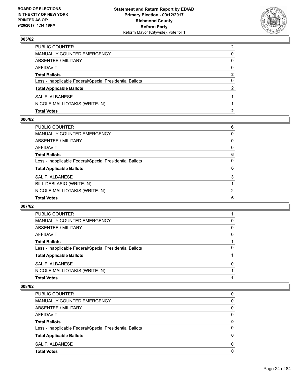

| <b>Total Votes</b>                                       | 2            |
|----------------------------------------------------------|--------------|
| NICOLE MALLIOTAKIS (WRITE-IN)                            |              |
| SAL F. ALBANESE                                          |              |
| <b>Total Applicable Ballots</b>                          | $\mathbf{2}$ |
| Less - Inapplicable Federal/Special Presidential Ballots | 0            |
| <b>Total Ballots</b>                                     | 2            |
| AFFIDAVIT                                                | 0            |
| ABSENTEE / MILITARY                                      | 0            |
| MANUALLY COUNTED EMERGENCY                               | 0            |
| PUBLIC COUNTER                                           | 2            |

#### **006/62**

| PUBLIC COUNTER                                           | 6 |
|----------------------------------------------------------|---|
| <b>MANUALLY COUNTED EMERGENCY</b>                        | 0 |
| <b>ABSENTEE / MILITARY</b>                               | 0 |
| <b>AFFIDAVIT</b>                                         | 0 |
| <b>Total Ballots</b>                                     | 6 |
| Less - Inapplicable Federal/Special Presidential Ballots | 0 |
| <b>Total Applicable Ballots</b>                          | 6 |
| <b>SAL F. ALBANESE</b>                                   | 3 |
| BILL DEBLASIO (WRITE-IN)                                 |   |
| NICOLE MALLIOTAKIS (WRITE-IN)                            | 2 |
| <b>Total Votes</b>                                       | 6 |

#### **007/62**

| <b>Total Votes</b>                                       |   |
|----------------------------------------------------------|---|
| NICOLE MALLIOTAKIS (WRITE-IN)                            |   |
| SAL F. ALBANESE                                          | 0 |
| <b>Total Applicable Ballots</b>                          |   |
| Less - Inapplicable Federal/Special Presidential Ballots | 0 |
| <b>Total Ballots</b>                                     |   |
| AFFIDAVIT                                                | 0 |
| ABSENTEE / MILITARY                                      | 0 |
| MANUALLY COUNTED EMERGENCY                               | 0 |
| <b>PUBLIC COUNTER</b>                                    |   |

| <b>Total Votes</b>                                       | 0            |
|----------------------------------------------------------|--------------|
| SAL F. ALBANESE                                          | <sup>0</sup> |
| <b>Total Applicable Ballots</b>                          | 0            |
| Less - Inapplicable Federal/Special Presidential Ballots | $\Omega$     |
| <b>Total Ballots</b>                                     | 0            |
| AFFIDAVIT                                                | 0            |
| ABSENTEE / MILITARY                                      | 0            |
| <b>MANUALLY COUNTED EMERGENCY</b>                        | 0            |
| <b>PUBLIC COUNTER</b>                                    | 0            |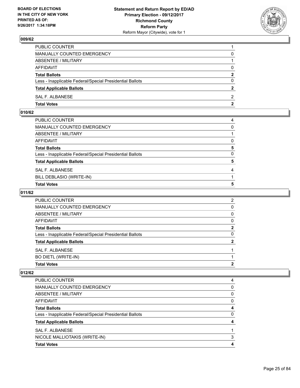

| PUBLIC COUNTER                                           |              |
|----------------------------------------------------------|--------------|
| MANUALLY COUNTED EMERGENCY                               | 0            |
| ABSENTEE / MILITARY                                      |              |
| AFFIDAVIT                                                | $\Omega$     |
| <b>Total Ballots</b>                                     | $\mathbf{2}$ |
| Less - Inapplicable Federal/Special Presidential Ballots | $\Omega$     |
| <b>Total Applicable Ballots</b>                          | 2            |
| SAL F. ALBANESE                                          | 2            |
| <b>Total Votes</b>                                       | 2            |

## **010/62**

| PUBLIC COUNTER                                           | 4 |
|----------------------------------------------------------|---|
| MANUALLY COUNTED EMERGENCY                               | 0 |
| ABSENTEE / MILITARY                                      |   |
| AFFIDAVIT                                                | 0 |
| Total Ballots                                            | 5 |
| Less - Inapplicable Federal/Special Presidential Ballots | 0 |
| <b>Total Applicable Ballots</b>                          | 5 |
| SAL F. ALBANESE                                          | 4 |
| BILL DEBLASIO (WRITE-IN)                                 |   |
| <b>Total Votes</b>                                       | 5 |
|                                                          |   |

## **011/62**

| <b>PUBLIC COUNTER</b>                                    | 2        |
|----------------------------------------------------------|----------|
| <b>MANUALLY COUNTED EMERGENCY</b>                        | 0        |
| ABSENTEE / MILITARY                                      | 0        |
| AFFIDAVIT                                                | $\Omega$ |
| <b>Total Ballots</b>                                     | 2        |
| Less - Inapplicable Federal/Special Presidential Ballots | 0        |
| <b>Total Applicable Ballots</b>                          | ּ        |
| SAL F. ALBANESE                                          |          |
| <b>BO DIETL (WRITE-IN)</b>                               |          |
| <b>Total Votes</b>                                       | 2        |

| <b>PUBLIC COUNTER</b>                                    | 4 |
|----------------------------------------------------------|---|
| MANUALLY COUNTED EMERGENCY                               | 0 |
| ABSENTEE / MILITARY                                      | 0 |
| AFFIDAVIT                                                | 0 |
| <b>Total Ballots</b>                                     | 4 |
| Less - Inapplicable Federal/Special Presidential Ballots | 0 |
| <b>Total Applicable Ballots</b>                          |   |
| SAL F. ALBANESE                                          |   |
| NICOLE MALLIOTAKIS (WRITE-IN)                            | 3 |
| <b>Total Votes</b>                                       |   |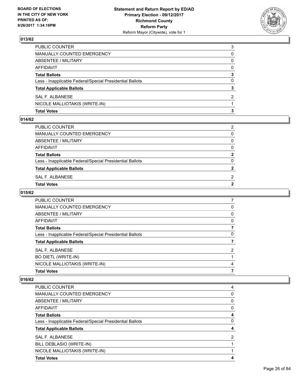

| <b>Total Votes</b>                                       | 3        |
|----------------------------------------------------------|----------|
| NICOLE MALLIOTAKIS (WRITE-IN)                            |          |
| SAL F. ALBANESE                                          | 2        |
| <b>Total Applicable Ballots</b>                          | 3        |
| Less - Inapplicable Federal/Special Presidential Ballots | 0        |
| <b>Total Ballots</b>                                     | 3        |
| AFFIDAVIT                                                | $\Omega$ |
| <b>ABSENTEE / MILITARY</b>                               | 0        |
| MANUALLY COUNTED EMERGENCY                               | 0        |
| <b>PUBLIC COUNTER</b>                                    | 3        |

#### **014/62**

| <b>Total Votes</b>                                       |                |
|----------------------------------------------------------|----------------|
|                                                          | $\overline{2}$ |
| SAL F. ALBANESE                                          | 2              |
| <b>Total Applicable Ballots</b>                          | $\overline{2}$ |
|                                                          |                |
| Less - Inapplicable Federal/Special Presidential Ballots | 0              |
| <b>Total Ballots</b>                                     | $\mathbf{2}$   |
| AFFIDAVIT                                                | $\Omega$       |
| ABSENTEE / MILITARY                                      | $\mathbf{0}$   |
| MANUALLY COUNTED EMERGENCY                               | 0              |
| PUBLIC COUNTER                                           | 2              |
|                                                          |                |

# **015/62**

| <b>PUBLIC COUNTER</b>                                    |   |
|----------------------------------------------------------|---|
| <b>MANUALLY COUNTED EMERGENCY</b>                        | 0 |
| ABSENTEE / MILITARY                                      | 0 |
| AFFIDAVIT                                                | 0 |
| <b>Total Ballots</b>                                     | 7 |
| Less - Inapplicable Federal/Special Presidential Ballots | 0 |
| <b>Total Applicable Ballots</b>                          |   |
| SAL F. ALBANESE                                          | 2 |
| <b>BO DIETL (WRITE-IN)</b>                               |   |
| NICOLE MALLIOTAKIS (WRITE-IN)                            | 4 |
| <b>Total Votes</b>                                       |   |
|                                                          |   |

| <b>PUBLIC COUNTER</b>                                    | 4 |
|----------------------------------------------------------|---|
| MANUALLY COUNTED EMERGENCY                               | 0 |
| ABSENTEE / MILITARY                                      | 0 |
| <b>AFFIDAVIT</b>                                         | 0 |
| <b>Total Ballots</b>                                     | 4 |
| Less - Inapplicable Federal/Special Presidential Ballots | 0 |
| <b>Total Applicable Ballots</b>                          | 4 |
| SAL F. ALBANESE                                          | 2 |
| BILL DEBLASIO (WRITE-IN)                                 |   |
| NICOLE MALLIOTAKIS (WRITE-IN)                            |   |
| <b>Total Votes</b>                                       | Δ |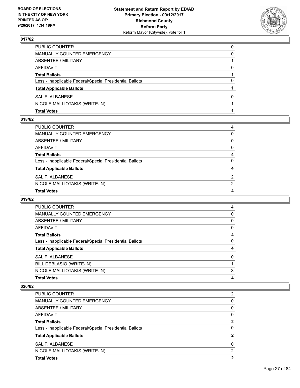

| <b>Total Votes</b>                                       |          |
|----------------------------------------------------------|----------|
| NICOLE MALLIOTAKIS (WRITE-IN)                            |          |
| SAL F. ALBANESE                                          | 0        |
| <b>Total Applicable Ballots</b>                          |          |
| Less - Inapplicable Federal/Special Presidential Ballots | 0        |
| <b>Total Ballots</b>                                     |          |
| AFFIDAVIT                                                | 0        |
| ABSENTEE / MILITARY                                      |          |
| <b>MANUALLY COUNTED EMERGENCY</b>                        | 0        |
| PUBLIC COUNTER                                           | $\Omega$ |

#### **018/62**

| PUBLIC COUNTER                                           | 4              |
|----------------------------------------------------------|----------------|
| MANUALLY COUNTED EMERGENCY                               | 0              |
| ABSENTEE / MILITARY                                      | $\Omega$       |
| AFFIDAVIT                                                | $\mathbf{0}$   |
| Total Ballots                                            | 4              |
| Less - Inapplicable Federal/Special Presidential Ballots | $\mathbf{0}$   |
| <b>Total Applicable Ballots</b>                          | 4              |
| SAL F. ALBANESE                                          | 2              |
| NICOLE MALLIOTAKIS (WRITE-IN)                            | $\overline{2}$ |
| <b>Total Votes</b>                                       | 4              |

## **019/62**

| 4        |
|----------|
| 0        |
| 0        |
| 0        |
| 4        |
| 0        |
| 4        |
| $\Omega$ |
|          |
| 3        |
| 4        |
|          |

| <b>PUBLIC COUNTER</b>                                    | 2            |
|----------------------------------------------------------|--------------|
| MANUALLY COUNTED EMERGENCY                               | 0            |
| ABSENTEE / MILITARY                                      | 0            |
| AFFIDAVIT                                                | 0            |
| <b>Total Ballots</b>                                     | $\mathbf{2}$ |
| Less - Inapplicable Federal/Special Presidential Ballots | 0            |
| <b>Total Applicable Ballots</b>                          | 2            |
| SAL F. ALBANESE                                          | 0            |
| NICOLE MALLIOTAKIS (WRITE-IN)                            | 2            |
| <b>Total Votes</b>                                       | 2            |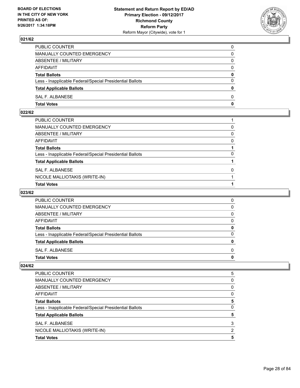

| PUBLIC COUNTER                                           | 0            |
|----------------------------------------------------------|--------------|
| MANUALLY COUNTED EMERGENCY                               | 0            |
| ABSENTEE / MILITARY                                      | 0            |
| AFFIDAVIT                                                | $\mathbf{0}$ |
| <b>Total Ballots</b>                                     | $\mathbf{0}$ |
| Less - Inapplicable Federal/Special Presidential Ballots | $\Omega$     |
| <b>Total Applicable Ballots</b>                          | $\mathbf{0}$ |
| SAL F. ALBANESE                                          | $\Omega$     |
| <b>Total Votes</b>                                       | 0            |

## **022/62**

| PUBLIC COUNTER                                           |              |
|----------------------------------------------------------|--------------|
| MANUALLY COUNTED EMERGENCY                               | 0            |
| ABSENTEE / MILITARY                                      | $\mathbf{0}$ |
| AFFIDAVIT                                                | 0            |
| <b>Total Ballots</b>                                     |              |
| Less - Inapplicable Federal/Special Presidential Ballots | 0            |
| <b>Total Applicable Ballots</b>                          |              |
| SAL F. ALBANESE                                          | $\Omega$     |
| NICOLE MALLIOTAKIS (WRITE-IN)                            |              |
| <b>Total Votes</b>                                       |              |

## **023/62**

| <b>PUBLIC COUNTER</b>                                    | O |
|----------------------------------------------------------|---|
| MANUALLY COUNTED EMERGENCY                               | 0 |
| ABSENTEE / MILITARY                                      | 0 |
| AFFIDAVIT                                                | 0 |
| <b>Total Ballots</b>                                     |   |
| Less - Inapplicable Federal/Special Presidential Ballots | O |
| <b>Total Applicable Ballots</b>                          |   |
| SAL F. ALBANESE                                          | O |
| <b>Total Votes</b>                                       |   |

| <b>Total Votes</b>                                       | 5 |
|----------------------------------------------------------|---|
| NICOLE MALLIOTAKIS (WRITE-IN)                            | 2 |
| <b>SAL F. ALBANESE</b>                                   | 3 |
| <b>Total Applicable Ballots</b>                          | 5 |
| Less - Inapplicable Federal/Special Presidential Ballots | 0 |
| <b>Total Ballots</b>                                     | 5 |
| AFFIDAVIT                                                | 0 |
| ABSENTEE / MILITARY                                      | 0 |
| MANUALLY COUNTED EMERGENCY                               | 0 |
| <b>PUBLIC COUNTER</b>                                    | 5 |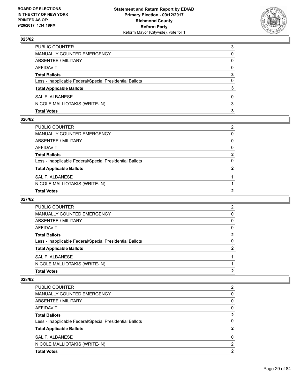

| <b>Total Votes</b>                                       | з |
|----------------------------------------------------------|---|
| NICOLE MALLIOTAKIS (WRITE-IN)                            | 3 |
| SAL F. ALBANESE                                          | 0 |
| <b>Total Applicable Ballots</b>                          | 3 |
| Less - Inapplicable Federal/Special Presidential Ballots | 0 |
| <b>Total Ballots</b>                                     | 3 |
| AFFIDAVIT                                                | 0 |
| ABSENTEE / MILITARY                                      | 0 |
| MANUALLY COUNTED EMERGENCY                               | 0 |
| PUBLIC COUNTER                                           | 3 |

#### **026/62**

| $\mathbf{2}$ |
|--------------|
| $\Omega$     |
| $\mathbf{2}$ |
| 0            |
| $\mathbf{0}$ |
| 0            |
| 2            |
|              |

#### **027/62**

| <b>Total Votes</b>                                       | 2 |
|----------------------------------------------------------|---|
| NICOLE MALLIOTAKIS (WRITE-IN)                            |   |
| SAL F. ALBANESE                                          |   |
| <b>Total Applicable Ballots</b>                          | 2 |
| Less - Inapplicable Federal/Special Presidential Ballots | 0 |
| <b>Total Ballots</b>                                     | 2 |
| AFFIDAVIT                                                | 0 |
| ABSENTEE / MILITARY                                      | 0 |
| MANUALLY COUNTED EMERGENCY                               | 0 |
| <b>PUBLIC COUNTER</b>                                    | 2 |

| <b>Total Votes</b>                                       | 2        |
|----------------------------------------------------------|----------|
| NICOLE MALLIOTAKIS (WRITE-IN)                            | 2        |
| SAL F. ALBANESE                                          | $\Omega$ |
| <b>Total Applicable Ballots</b>                          | 2        |
| Less - Inapplicable Federal/Special Presidential Ballots | 0        |
| <b>Total Ballots</b>                                     | 2        |
| AFFIDAVIT                                                | 0        |
| ABSENTEE / MILITARY                                      | 0        |
| <b>MANUALLY COUNTED EMERGENCY</b>                        | 0        |
| PUBLIC COUNTER                                           | 2        |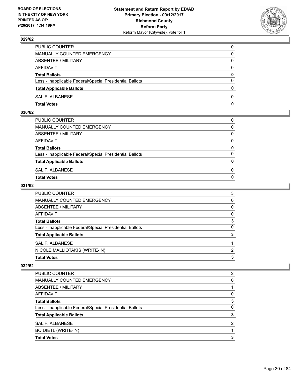

| PUBLIC COUNTER                                           | 0            |
|----------------------------------------------------------|--------------|
| MANUALLY COUNTED EMERGENCY                               | $\Omega$     |
| ABSENTEE / MILITARY                                      | $\mathbf{0}$ |
| AFFIDAVIT                                                | 0            |
| <b>Total Ballots</b>                                     | 0            |
| Less - Inapplicable Federal/Special Presidential Ballots | $\mathbf{0}$ |
| <b>Total Applicable Ballots</b>                          | $\bf{0}$     |
| SAL F. ALBANESE                                          | $\Omega$     |
| <b>Total Votes</b>                                       | $\mathbf{0}$ |

## **030/62**

| <b>Total Votes</b>                                       | $\mathbf{0}$ |
|----------------------------------------------------------|--------------|
| SAL F. ALBANESE                                          | 0            |
| <b>Total Applicable Ballots</b>                          | $\mathbf{0}$ |
| Less - Inapplicable Federal/Special Presidential Ballots | $\Omega$     |
| <b>Total Ballots</b>                                     | 0            |
| AFFIDAVIT                                                | $\Omega$     |
| ABSENTEE / MILITARY                                      | $\Omega$     |
| MANUALLY COUNTED EMERGENCY                               | $\Omega$     |
| PUBLIC COUNTER                                           | 0            |
|                                                          |              |

#### **031/62**

| <b>PUBLIC COUNTER</b>                                    | 3 |
|----------------------------------------------------------|---|
| MANUALLY COUNTED EMERGENCY                               | 0 |
| ABSENTEE / MILITARY                                      | 0 |
| AFFIDAVIT                                                | 0 |
| <b>Total Ballots</b>                                     | 3 |
| Less - Inapplicable Federal/Special Presidential Ballots | 0 |
| <b>Total Applicable Ballots</b>                          | 3 |
| SAL F. ALBANESE                                          |   |
| NICOLE MALLIOTAKIS (WRITE-IN)                            | 2 |
| <b>Total Votes</b>                                       | 3 |

| <b>Total Votes</b>                                       | 3              |
|----------------------------------------------------------|----------------|
| BO DIETL (WRITE-IN)                                      |                |
| SAL F. ALBANESE                                          | $\overline{2}$ |
| <b>Total Applicable Ballots</b>                          | 3              |
| Less - Inapplicable Federal/Special Presidential Ballots | 0              |
| <b>Total Ballots</b>                                     | 3              |
| AFFIDAVIT                                                | 0              |
| ABSENTEE / MILITARY                                      |                |
| MANUALLY COUNTED EMERGENCY                               | 0              |
| PUBLIC COUNTER                                           | 2              |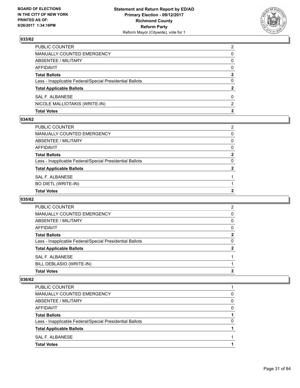

| <b>Total Votes</b>                                       | 2              |
|----------------------------------------------------------|----------------|
| NICOLE MALLIOTAKIS (WRITE-IN)                            | $\mathcal{P}$  |
| SAL F. ALBANESE                                          | 0              |
| <b>Total Applicable Ballots</b>                          | 2              |
| Less - Inapplicable Federal/Special Presidential Ballots | 0              |
| <b>Total Ballots</b>                                     | 2              |
| AFFIDAVIT                                                | 0              |
| ABSENTEE / MILITARY                                      | 0              |
| MANUALLY COUNTED EMERGENCY                               | 0              |
| PUBLIC COUNTER                                           | $\overline{2}$ |

#### **034/62**

| <b>Total Votes</b>                                       | $\mathbf{2}$ |
|----------------------------------------------------------|--------------|
| BO DIETL (WRITE-IN)                                      |              |
| SAL F. ALBANESE                                          |              |
| <b>Total Applicable Ballots</b>                          | $\mathbf{2}$ |
| Less - Inapplicable Federal/Special Presidential Ballots | $\mathbf{0}$ |
| Total Ballots                                            | $\mathbf{2}$ |
| AFFIDAVIT                                                | $\mathbf{0}$ |
| ABSENTEE / MILITARY                                      | $\mathbf{0}$ |
| MANUALLY COUNTED EMERGENCY                               | $\mathbf{0}$ |
| PUBLIC COUNTER                                           | 2            |
|                                                          |              |

#### **035/62**

| PUBLIC COUNTER                                           | 2 |
|----------------------------------------------------------|---|
| MANUALLY COUNTED EMERGENCY                               | 0 |
| ABSENTEE / MILITARY                                      | 0 |
| AFFIDAVIT                                                | 0 |
| <b>Total Ballots</b>                                     | 2 |
| Less - Inapplicable Federal/Special Presidential Ballots | 0 |
| <b>Total Applicable Ballots</b>                          | 2 |
| SAL F. ALBANESE                                          |   |
| BILL DEBLASIO (WRITE-IN)                                 |   |
| <b>Total Votes</b>                                       | 2 |
|                                                          |   |

| PUBLIC COUNTER                                           |   |
|----------------------------------------------------------|---|
| MANUALLY COUNTED EMERGENCY                               | O |
| ABSENTEE / MILITARY                                      | 0 |
| AFFIDAVIT                                                | O |
| <b>Total Ballots</b>                                     |   |
| Less - Inapplicable Federal/Special Presidential Ballots | O |
| <b>Total Applicable Ballots</b>                          |   |
| SAL F. ALBANESE                                          |   |
| <b>Total Votes</b>                                       |   |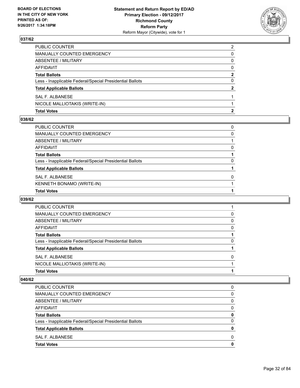

| <b>Total Votes</b>                                       | 2            |
|----------------------------------------------------------|--------------|
| NICOLE MALLIOTAKIS (WRITE-IN)                            |              |
| SAL F. ALBANESE                                          |              |
| <b>Total Applicable Ballots</b>                          | $\mathbf{2}$ |
| Less - Inapplicable Federal/Special Presidential Ballots | 0            |
| <b>Total Ballots</b>                                     | 2            |
| AFFIDAVIT                                                | 0            |
| <b>ABSENTEE / MILITARY</b>                               | 0            |
| MANUALLY COUNTED EMERGENCY                               | 0            |
| PUBLIC COUNTER                                           | 2            |

#### **038/62**

| PUBLIC COUNTER                                           | 0        |
|----------------------------------------------------------|----------|
| MANUALLY COUNTED EMERGENCY                               | 0        |
| ABSENTEE / MILITARY                                      |          |
| AFFIDAVIT                                                | $\Omega$ |
| Total Ballots                                            |          |
| Less - Inapplicable Federal/Special Presidential Ballots | 0        |
| <b>Total Applicable Ballots</b>                          |          |
| SAL F. ALBANESE                                          | 0        |
| KENNETH BONAMO (WRITE-IN)                                |          |
| <b>Total Votes</b>                                       |          |

#### **039/62**

| <b>Total Votes</b>                                       |   |
|----------------------------------------------------------|---|
| NICOLE MALLIOTAKIS (WRITE-IN)                            |   |
| SAL F. ALBANESE                                          | 0 |
| <b>Total Applicable Ballots</b>                          |   |
| Less - Inapplicable Federal/Special Presidential Ballots | 0 |
| <b>Total Ballots</b>                                     |   |
| AFFIDAVIT                                                | 0 |
| ABSENTEE / MILITARY                                      | 0 |
| MANUALLY COUNTED EMERGENCY                               | 0 |
| PUBLIC COUNTER                                           |   |

| <b>PUBLIC COUNTER</b>                                    | 0 |
|----------------------------------------------------------|---|
| <b>MANUALLY COUNTED EMERGENCY</b>                        | 0 |
| ABSENTEE / MILITARY                                      | 0 |
| AFFIDAVIT                                                | O |
| <b>Total Ballots</b>                                     | o |
| Less - Inapplicable Federal/Special Presidential Ballots | 0 |
| <b>Total Applicable Ballots</b>                          | Ω |
| SAL F. ALBANESE                                          | O |
| <b>Total Votes</b>                                       |   |
|                                                          |   |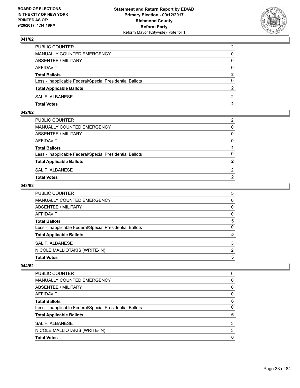

| PUBLIC COUNTER                                           | $\overline{2}$ |
|----------------------------------------------------------|----------------|
| <b>MANUALLY COUNTED EMERGENCY</b>                        | 0              |
| ABSENTEE / MILITARY                                      | 0              |
| AFFIDAVIT                                                | 0              |
| <b>Total Ballots</b>                                     | $\overline{2}$ |
| Less - Inapplicable Federal/Special Presidential Ballots | $\Omega$       |
| <b>Total Applicable Ballots</b>                          | 2              |
| SAL F. ALBANESE                                          | 2              |
| <b>Total Votes</b>                                       | 2              |

## **042/62**

| PUBLIC COUNTER                                           | 2              |
|----------------------------------------------------------|----------------|
| MANUALLY COUNTED EMERGENCY                               | $\mathbf{0}$   |
| ABSENTEE / MILITARY                                      | $\mathbf{0}$   |
| AFFIDAVIT                                                | $\mathbf{0}$   |
| <b>Total Ballots</b>                                     | $\mathbf{2}$   |
| Less - Inapplicable Federal/Special Presidential Ballots | $\Omega$       |
| <b>Total Applicable Ballots</b>                          | $\overline{2}$ |
| SAL F. ALBANESE                                          | 2              |
| Total Votes                                              | $\overline{2}$ |
|                                                          |                |

#### **043/62**

| PUBLIC COUNTER                                           | 5 |
|----------------------------------------------------------|---|
| MANUALLY COUNTED EMERGENCY                               | 0 |
| <b>ABSENTEE / MILITARY</b>                               | 0 |
| AFFIDAVIT                                                | 0 |
| <b>Total Ballots</b>                                     | 5 |
| Less - Inapplicable Federal/Special Presidential Ballots | 0 |
| <b>Total Applicable Ballots</b>                          | 5 |
| SAL F. ALBANESE                                          | 3 |
| NICOLE MALLIOTAKIS (WRITE-IN)                            | 2 |
| <b>Total Votes</b>                                       | 5 |

| <b>Total Votes</b>                                       | 6 |
|----------------------------------------------------------|---|
| NICOLE MALLIOTAKIS (WRITE-IN)                            | 3 |
| SAL F. ALBANESE                                          | 3 |
| <b>Total Applicable Ballots</b>                          | 6 |
| Less - Inapplicable Federal/Special Presidential Ballots | 0 |
| <b>Total Ballots</b>                                     | 6 |
| AFFIDAVIT                                                | 0 |
| ABSENTEE / MILITARY                                      | 0 |
| MANUALLY COUNTED EMERGENCY                               | 0 |
| <b>PUBLIC COUNTER</b>                                    | 6 |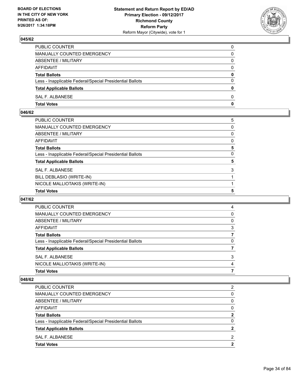

| PUBLIC COUNTER                                           | 0            |
|----------------------------------------------------------|--------------|
| MANUALLY COUNTED EMERGENCY                               | $\Omega$     |
| ABSENTEE / MILITARY                                      | $\mathbf{0}$ |
| AFFIDAVIT                                                | 0            |
| <b>Total Ballots</b>                                     | 0            |
| Less - Inapplicable Federal/Special Presidential Ballots | $\mathbf{0}$ |
| <b>Total Applicable Ballots</b>                          | $\bf{0}$     |
| SAL F. ALBANESE                                          | $\Omega$     |
| <b>Total Votes</b>                                       | $\mathbf{0}$ |

#### **046/62**

| PUBLIC COUNTER                                           | 5 |
|----------------------------------------------------------|---|
| MANUALLY COUNTED EMERGENCY                               | 0 |
| ABSENTEE / MILITARY                                      | 0 |
| AFFIDAVIT                                                | 0 |
| Total Ballots                                            | 5 |
| Less - Inapplicable Federal/Special Presidential Ballots | 0 |
| <b>Total Applicable Ballots</b>                          | 5 |
| <b>SAL F. ALBANESE</b>                                   | 3 |
| BILL DEBLASIO (WRITE-IN)                                 |   |
| NICOLE MALLIOTAKIS (WRITE-IN)                            |   |
| <b>Total Votes</b>                                       | 5 |

#### **047/62**

| PUBLIC COUNTER                                           |   |
|----------------------------------------------------------|---|
| MANUALLY COUNTED EMERGENCY                               | 0 |
| ABSENTEE / MILITARY                                      | 0 |
| AFFIDAVIT                                                | 3 |
| <b>Total Ballots</b>                                     |   |
| Less - Inapplicable Federal/Special Presidential Ballots | 0 |
| <b>Total Applicable Ballots</b>                          |   |
| SAL F. ALBANESE                                          | 3 |
| NICOLE MALLIOTAKIS (WRITE-IN)                            | 4 |
| <b>Total Votes</b>                                       |   |
|                                                          |   |

| PUBLIC COUNTER                                           | 2  |
|----------------------------------------------------------|----|
| MANUALLY COUNTED EMERGENCY                               | 0  |
| ABSENTEE / MILITARY                                      | 0  |
| AFFIDAVIT                                                | 0  |
| <b>Total Ballots</b>                                     | 2  |
| Less - Inapplicable Federal/Special Presidential Ballots | 0  |
| <b>Total Applicable Ballots</b>                          | 2  |
| SAL F. ALBANESE                                          | 2  |
| <b>Total Votes</b>                                       | כי |
|                                                          |    |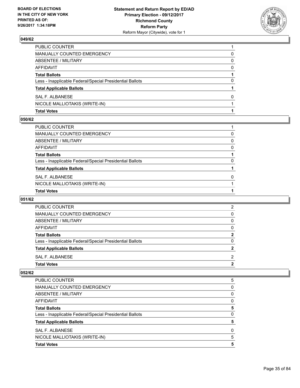

| <b>Total Votes</b>                                       |          |
|----------------------------------------------------------|----------|
| NICOLE MALLIOTAKIS (WRITE-IN)                            |          |
| SAL F. ALBANESE                                          | 0        |
| <b>Total Applicable Ballots</b>                          |          |
| Less - Inapplicable Federal/Special Presidential Ballots | $\Omega$ |
| <b>Total Ballots</b>                                     |          |
| AFFIDAVIT                                                | 0        |
| ABSENTEE / MILITARY                                      | 0        |
| MANUALLY COUNTED EMERGENCY                               | 0        |
| PUBLIC COUNTER                                           |          |

#### **050/62**

| PUBLIC COUNTER                                           |          |
|----------------------------------------------------------|----------|
| MANUALLY COUNTED EMERGENCY                               | 0        |
| ABSENTEE / MILITARY                                      | 0        |
| AFFIDAVIT                                                | $\Omega$ |
| Total Ballots                                            |          |
| Less - Inapplicable Federal/Special Presidential Ballots | 0        |
| <b>Total Applicable Ballots</b>                          |          |
| SAL F. ALBANESE                                          | $\Omega$ |
| NICOLE MALLIOTAKIS (WRITE-IN)                            |          |
| <b>Total Votes</b>                                       |          |

#### **051/62**

| <b>Total Votes</b>                                       | 2        |
|----------------------------------------------------------|----------|
| SAL F. ALBANESE                                          | 2        |
| <b>Total Applicable Ballots</b>                          | 2        |
| Less - Inapplicable Federal/Special Presidential Ballots | 0        |
| <b>Total Ballots</b>                                     | 2        |
| AFFIDAVIT                                                | $\Omega$ |
| ABSENTEE / MILITARY                                      | 0        |
| MANUALLY COUNTED EMERGENCY                               | 0        |
| <b>PUBLIC COUNTER</b>                                    | 2        |

| <b>PUBLIC COUNTER</b>                                    | 5 |
|----------------------------------------------------------|---|
| <b>MANUALLY COUNTED EMERGENCY</b>                        | 0 |
| ABSENTEE / MILITARY                                      | 0 |
| AFFIDAVIT                                                | 0 |
| <b>Total Ballots</b>                                     | 5 |
| Less - Inapplicable Federal/Special Presidential Ballots | 0 |
| <b>Total Applicable Ballots</b>                          | 5 |
| SAL F. ALBANESE                                          | 0 |
| NICOLE MALLIOTAKIS (WRITE-IN)                            | 5 |
| <b>Total Votes</b>                                       | 5 |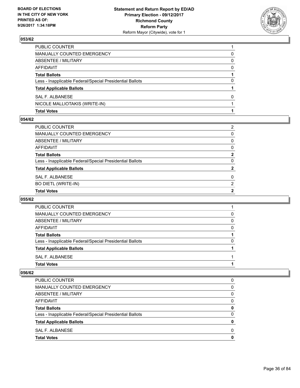

| <b>Total Votes</b>                                       |   |
|----------------------------------------------------------|---|
| NICOLE MALLIOTAKIS (WRITE-IN)                            |   |
| SAL F. ALBANESE                                          | 0 |
| <b>Total Applicable Ballots</b>                          |   |
| Less - Inapplicable Federal/Special Presidential Ballots | 0 |
| <b>Total Ballots</b>                                     |   |
| AFFIDAVIT                                                | 0 |
| ABSENTEE / MILITARY                                      | 0 |
| MANUALLY COUNTED EMERGENCY                               | 0 |
| PUBLIC COUNTER                                           |   |

#### **054/62**

| Total Ballots                                            | $\mathbf{2}$ |
|----------------------------------------------------------|--------------|
|                                                          |              |
| Less - Inapplicable Federal/Special Presidential Ballots | 0            |
| <b>Total Applicable Ballots</b>                          | $\mathbf{2}$ |
| SAL F. ALBANESE                                          | $\mathbf{0}$ |
| BO DIETL (WRITE-IN)                                      | 2            |
| <b>Total Votes</b>                                       | 2            |

#### **055/62**

| <b>Total Votes</b>                                       |   |
|----------------------------------------------------------|---|
| SAL F. ALBANESE                                          |   |
| <b>Total Applicable Ballots</b>                          |   |
| Less - Inapplicable Federal/Special Presidential Ballots | 0 |
| <b>Total Ballots</b>                                     |   |
| AFFIDAVIT                                                | 0 |
| ABSENTEE / MILITARY                                      | 0 |
| MANUALLY COUNTED EMERGENCY                               | 0 |
| PUBLIC COUNTER                                           |   |

| 0 |
|---|
| 0 |
| 0 |
| 0 |
| 0 |
| 0 |
| O |
| O |
| o |
|   |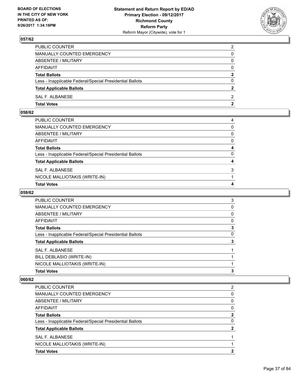

| PUBLIC COUNTER                                           | $\overline{2}$ |
|----------------------------------------------------------|----------------|
| MANUALLY COUNTED EMERGENCY                               | 0              |
| ABSENTEE / MILITARY                                      | 0              |
| AFFIDAVIT                                                | $\mathbf{0}$   |
| <b>Total Ballots</b>                                     | $\mathbf{2}$   |
| Less - Inapplicable Federal/Special Presidential Ballots | $\Omega$       |
| <b>Total Applicable Ballots</b>                          |                |
| SAL F. ALBANESE                                          | 2              |
| <b>Total Votes</b>                                       | $\mathbf{2}$   |

## **058/62**

| 3            |
|--------------|
|              |
|              |
| 4            |
| $\Omega$     |
| 4            |
| $\mathbf{0}$ |
| $\mathbf{0}$ |
| $\Omega$     |
| 4            |
|              |

## **059/62**

| <b>PUBLIC COUNTER</b>                                    | 3 |
|----------------------------------------------------------|---|
| <b>MANUALLY COUNTED EMERGENCY</b>                        | 0 |
| ABSENTEE / MILITARY                                      | 0 |
| AFFIDAVIT                                                | 0 |
| <b>Total Ballots</b>                                     | 3 |
| Less - Inapplicable Federal/Special Presidential Ballots | 0 |
| <b>Total Applicable Ballots</b>                          | 3 |
| SAL F. ALBANESE                                          |   |
| BILL DEBLASIO (WRITE-IN)                                 |   |
| NICOLE MALLIOTAKIS (WRITE-IN)                            |   |
| <b>Total Votes</b>                                       | 3 |

| SAL F. ALBANESE<br>NICOLE MALLIOTAKIS (WRITE-IN)         |   |
|----------------------------------------------------------|---|
| <b>Total Applicable Ballots</b>                          | 2 |
| Less - Inapplicable Federal/Special Presidential Ballots | 0 |
| <b>Total Ballots</b>                                     | 2 |
| AFFIDAVIT                                                | 0 |
| ABSENTEE / MILITARY                                      | 0 |
| MANUALLY COUNTED EMERGENCY                               | 0 |
| <b>PUBLIC COUNTER</b>                                    | 2 |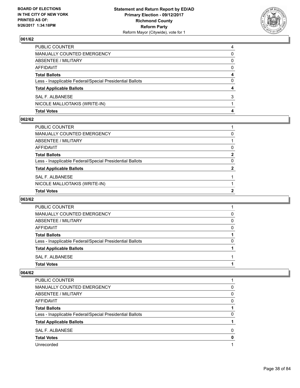

| <b>Total Votes</b>                                       | 4 |
|----------------------------------------------------------|---|
| NICOLE MALLIOTAKIS (WRITE-IN)                            |   |
| SAL F. ALBANESE                                          | 3 |
| <b>Total Applicable Ballots</b>                          | 4 |
| Less - Inapplicable Federal/Special Presidential Ballots | 0 |
| <b>Total Ballots</b>                                     | 4 |
| AFFIDAVIT                                                | 0 |
| ABSENTEE / MILITARY                                      | 0 |
| MANUALLY COUNTED EMERGENCY                               | 0 |
| PUBLIC COUNTER                                           | 4 |

#### **062/62**

| <b>Total Votes</b>                                       | 2            |
|----------------------------------------------------------|--------------|
| NICOLE MALLIOTAKIS (WRITE-IN)                            |              |
| SAL F. ALBANESE                                          |              |
| <b>Total Applicable Ballots</b>                          | $\mathbf{2}$ |
| Less - Inapplicable Federal/Special Presidential Ballots | $\Omega$     |
| Total Ballots                                            | $\mathbf{2}$ |
| AFFIDAVIT                                                | $\Omega$     |
| ABSENTEE / MILITARY                                      |              |
| MANUALLY COUNTED EMERGENCY                               | 0            |
| PUBLIC COUNTER                                           |              |
|                                                          |              |

#### **063/62**

| <b>Total Votes</b>                                       |   |
|----------------------------------------------------------|---|
| SAL F. ALBANESE                                          |   |
| <b>Total Applicable Ballots</b>                          |   |
| Less - Inapplicable Federal/Special Presidential Ballots | 0 |
| <b>Total Ballots</b>                                     |   |
| AFFIDAVIT                                                | 0 |
| ABSENTEE / MILITARY                                      | 0 |
| MANUALLY COUNTED EMERGENCY                               | 0 |
| <b>PUBLIC COUNTER</b>                                    |   |

| <b>PUBLIC COUNTER</b>                                    |   |
|----------------------------------------------------------|---|
| <b>MANUALLY COUNTED EMERGENCY</b>                        | 0 |
| ABSENTEE / MILITARY                                      | 0 |
| AFFIDAVIT                                                | 0 |
| <b>Total Ballots</b>                                     |   |
| Less - Inapplicable Federal/Special Presidential Ballots | 0 |
| <b>Total Applicable Ballots</b>                          |   |
| SAL F. ALBANESE                                          | 0 |
| <b>Total Votes</b>                                       | Ω |
| Unrecorded                                               |   |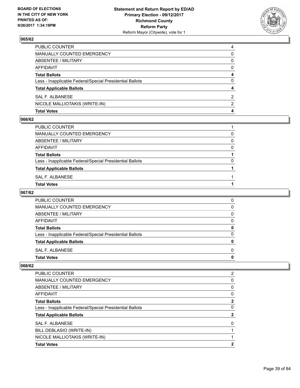

| <b>Total Votes</b>                                       | 4 |
|----------------------------------------------------------|---|
| NICOLE MALLIOTAKIS (WRITE-IN)                            | 2 |
| SAL F. ALBANESE                                          | 2 |
| <b>Total Applicable Ballots</b>                          | 4 |
| Less - Inapplicable Federal/Special Presidential Ballots | 0 |
| <b>Total Ballots</b>                                     | 4 |
| AFFIDAVIT                                                | 0 |
| <b>ABSENTEE / MILITARY</b>                               | 0 |
| MANUALLY COUNTED EMERGENCY                               | 0 |
| PUBLIC COUNTER                                           | 4 |

#### **066/62**

| PUBLIC COUNTER                                           |   |
|----------------------------------------------------------|---|
|                                                          |   |
| MANUALLY COUNTED EMERGENCY                               | 0 |
| ABSENTEE / MILITARY                                      | 0 |
| AFFIDAVIT                                                | 0 |
| <b>Total Ballots</b>                                     |   |
| Less - Inapplicable Federal/Special Presidential Ballots | 0 |
| <b>Total Applicable Ballots</b>                          |   |
| SAL F. ALBANESE                                          |   |
| Total Votes                                              |   |
|                                                          |   |

## **067/62**

| PUBLIC COUNTER                                           | 0 |
|----------------------------------------------------------|---|
| MANUALLY COUNTED EMERGENCY                               | 0 |
| ABSENTEE / MILITARY                                      | 0 |
| AFFIDAVIT                                                | 0 |
| <b>Total Ballots</b>                                     | O |
| Less - Inapplicable Federal/Special Presidential Ballots | O |
| <b>Total Applicable Ballots</b>                          | o |
| SAL F. ALBANESE                                          | 0 |
| <b>Total Votes</b>                                       | o |

| <b>Total Votes</b>                                       | 2              |
|----------------------------------------------------------|----------------|
| NICOLE MALLIOTAKIS (WRITE-IN)                            |                |
| BILL DEBLASIO (WRITE-IN)                                 |                |
| SAL F. ALBANESE                                          | 0              |
| <b>Total Applicable Ballots</b>                          | $\mathbf{2}$   |
| Less - Inapplicable Federal/Special Presidential Ballots | 0              |
| <b>Total Ballots</b>                                     | $\mathbf{2}$   |
| AFFIDAVIT                                                | 0              |
| ABSENTEE / MILITARY                                      | 0              |
| <b>MANUALLY COUNTED EMERGENCY</b>                        | 0              |
| <b>PUBLIC COUNTER</b>                                    | $\overline{2}$ |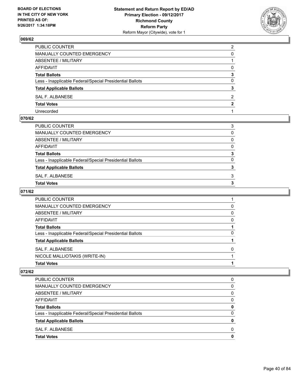

| PUBLIC COUNTER                                           | $\overline{2}$ |
|----------------------------------------------------------|----------------|
| <b>MANUALLY COUNTED EMERGENCY</b>                        | 0              |
| <b>ABSENTEE / MILITARY</b>                               |                |
| <b>AFFIDAVIT</b>                                         | $\Omega$       |
| <b>Total Ballots</b>                                     | 3              |
| Less - Inapplicable Federal/Special Presidential Ballots | 0              |
| <b>Total Applicable Ballots</b>                          | 3              |
| <b>SAL F. ALBANESE</b>                                   | 2              |
| <b>Total Votes</b>                                       | 2              |
| Unrecorded                                               |                |

### **070/62**

| PUBLIC COUNTER                                           | 3            |
|----------------------------------------------------------|--------------|
| MANUALLY COUNTED EMERGENCY                               | $\Omega$     |
| ABSENTEE / MILITARY                                      | 0            |
| AFFIDAVIT                                                | $\mathbf{0}$ |
| <b>Total Ballots</b>                                     | 3            |
| Less - Inapplicable Federal/Special Presidential Ballots | 0            |
| <b>Total Applicable Ballots</b>                          | 3            |
| SAL F. ALBANESE                                          | 3            |
| <b>Total Votes</b>                                       | 3            |
|                                                          |              |

### **071/62**

| PUBLIC COUNTER                                           |   |
|----------------------------------------------------------|---|
| <b>MANUALLY COUNTED EMERGENCY</b>                        | 0 |
| <b>ABSENTEE / MILITARY</b>                               | 0 |
| AFFIDAVIT                                                | 0 |
| <b>Total Ballots</b>                                     |   |
| Less - Inapplicable Federal/Special Presidential Ballots | 0 |
| <b>Total Applicable Ballots</b>                          |   |
| <b>SAL F. ALBANESE</b>                                   | O |
| NICOLE MALLIOTAKIS (WRITE-IN)                            |   |
| <b>Total Votes</b>                                       |   |

| PUBLIC COUNTER                                           | 0        |
|----------------------------------------------------------|----------|
| <b>MANUALLY COUNTED EMERGENCY</b>                        | 0        |
| ABSENTEE / MILITARY                                      | $\Omega$ |
| <b>AFFIDAVIT</b>                                         | 0        |
| <b>Total Ballots</b>                                     | 0        |
| Less - Inapplicable Federal/Special Presidential Ballots | $\Omega$ |
| <b>Total Applicable Ballots</b>                          | 0        |
| SAL F. ALBANESE                                          | 0        |
| <b>Total Votes</b>                                       | 0        |
|                                                          |          |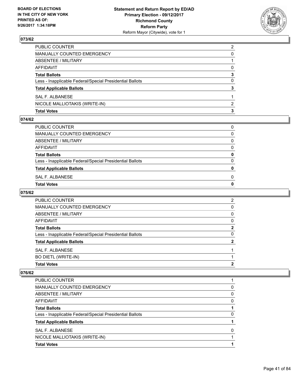

| <b>Total Votes</b>                                       | з |
|----------------------------------------------------------|---|
| NICOLE MALLIOTAKIS (WRITE-IN)                            | 2 |
| SAL F. ALBANESE                                          |   |
| <b>Total Applicable Ballots</b>                          | 3 |
| Less - Inapplicable Federal/Special Presidential Ballots | 0 |
| <b>Total Ballots</b>                                     | 3 |
| AFFIDAVIT                                                | 0 |
| ABSENTEE / MILITARY                                      |   |
| MANUALLY COUNTED EMERGENCY                               | 0 |
| PUBLIC COUNTER                                           | 2 |

#### **074/62**

| PUBLIC COUNTER                                           | 0            |
|----------------------------------------------------------|--------------|
| MANUALLY COUNTED EMERGENCY                               | 0            |
| ABSENTEE / MILITARY                                      | 0            |
| AFFIDAVIT                                                | 0            |
| <b>Total Ballots</b>                                     | 0            |
| Less - Inapplicable Federal/Special Presidential Ballots | 0            |
| <b>Total Applicable Ballots</b>                          | $\mathbf{0}$ |
| SAL F. ALBANESE                                          | 0            |
| Total Votes                                              | 0            |
|                                                          |              |

## **075/62**

| PUBLIC COUNTER                                           | $\overline{2}$ |
|----------------------------------------------------------|----------------|
| MANUALLY COUNTED EMERGENCY                               | 0              |
| ABSENTEE / MILITARY                                      | 0              |
| AFFIDAVIT                                                | 0              |
| <b>Total Ballots</b>                                     | 2              |
| Less - Inapplicable Federal/Special Presidential Ballots | 0              |
| <b>Total Applicable Ballots</b>                          | 2              |
| SAL F. ALBANESE                                          |                |
| <b>BO DIETL (WRITE-IN)</b>                               |                |
| <b>Total Votes</b>                                       | 2              |

| PUBLIC COUNTER                                           |   |
|----------------------------------------------------------|---|
| <b>MANUALLY COUNTED EMERGENCY</b>                        | 0 |
| ABSENTEE / MILITARY                                      | 0 |
| AFFIDAVIT                                                | 0 |
| <b>Total Ballots</b>                                     |   |
| Less - Inapplicable Federal/Special Presidential Ballots | O |
| <b>Total Applicable Ballots</b>                          |   |
| SAL F. ALBANESE                                          |   |
| NICOLE MALLIOTAKIS (WRITE-IN)                            |   |
| <b>Total Votes</b>                                       |   |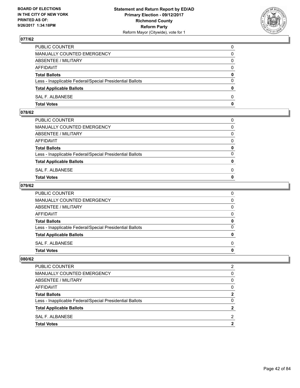

| PUBLIC COUNTER                                           | 0            |
|----------------------------------------------------------|--------------|
| MANUALLY COUNTED EMERGENCY                               | 0            |
| ABSENTEE / MILITARY                                      | 0            |
| AFFIDAVIT                                                | 0            |
| <b>Total Ballots</b>                                     | 0            |
| Less - Inapplicable Federal/Special Presidential Ballots | $\Omega$     |
| <b>Total Applicable Ballots</b>                          | $\mathbf{0}$ |
| SAL F. ALBANESE                                          | $\Omega$     |
| <b>Total Votes</b>                                       | $\mathbf{0}$ |

### **078/62**

| <b>Total Votes</b>                                       | $\mathbf{0}$ |
|----------------------------------------------------------|--------------|
| SAL F. ALBANESE                                          | 0            |
| <b>Total Applicable Ballots</b>                          | $\mathbf{0}$ |
| Less - Inapplicable Federal/Special Presidential Ballots | $\Omega$     |
| <b>Total Ballots</b>                                     | 0            |
| AFFIDAVIT                                                | $\Omega$     |
| ABSENTEE / MILITARY                                      | $\Omega$     |
| MANUALLY COUNTED EMERGENCY                               | $\Omega$     |
| PUBLIC COUNTER                                           | 0            |
|                                                          |              |

### **079/62**

| PUBLIC COUNTER                                           | 0            |
|----------------------------------------------------------|--------------|
| MANUALLY COUNTED EMERGENCY                               | $\mathbf{0}$ |
| ABSENTEE / MILITARY                                      | $\mathbf{0}$ |
| AFFIDAVIT                                                | $\Omega$     |
| <b>Total Ballots</b>                                     | 0            |
| Less - Inapplicable Federal/Special Presidential Ballots | $\mathbf{0}$ |
| <b>Total Applicable Ballots</b>                          | 0            |
| SAL F. ALBANESE                                          | $\Omega$     |
| Total Votes                                              | $\mathbf{0}$ |
|                                                          |              |

| PUBLIC COUNTER                                           | 2            |
|----------------------------------------------------------|--------------|
| <b>MANUALLY COUNTED EMERGENCY</b>                        | <sup>0</sup> |
| ABSENTEE / MILITARY                                      | <sup>0</sup> |
| AFFIDAVIT                                                | <sup>0</sup> |
| <b>Total Ballots</b>                                     | 2            |
| Less - Inapplicable Federal/Special Presidential Ballots | <sup>0</sup> |
| <b>Total Applicable Ballots</b>                          |              |
| SAL F. ALBANESE                                          | 2            |
| <b>Total Votes</b>                                       | כי           |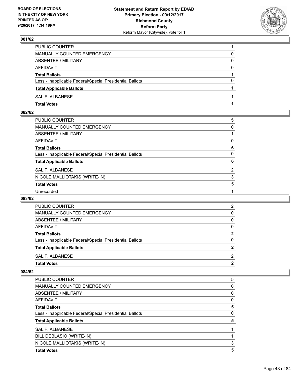

| PUBLIC COUNTER                                           |          |
|----------------------------------------------------------|----------|
| MANUALLY COUNTED EMERGENCY                               | 0        |
| ABSENTEE / MILITARY                                      | 0        |
| AFFIDAVIT                                                | $\Omega$ |
| <b>Total Ballots</b>                                     |          |
| Less - Inapplicable Federal/Special Presidential Ballots | 0        |
| <b>Total Applicable Ballots</b>                          |          |
| <b>SAL F. ALBANESE</b>                                   |          |
| <b>Total Votes</b>                                       |          |

### **082/62**

| PUBLIC COUNTER                                           | 5              |
|----------------------------------------------------------|----------------|
| MANUALLY COUNTED EMERGENCY                               | 0              |
| ABSENTEE / MILITARY                                      |                |
| AFFIDAVIT                                                | 0              |
| <b>Total Ballots</b>                                     | 6              |
| Less - Inapplicable Federal/Special Presidential Ballots | $\mathbf{0}$   |
| <b>Total Applicable Ballots</b>                          | 6              |
| <b>SAL F. ALBANESE</b>                                   | $\overline{2}$ |
| NICOLE MALLIOTAKIS (WRITE-IN)                            | 3              |
| <b>Total Votes</b>                                       | 5              |
| Unrecorded                                               |                |

### **083/62**

| <b>Total Applicable Ballots</b>                          | 2 |
|----------------------------------------------------------|---|
| Less - Inapplicable Federal/Special Presidential Ballots | 0 |
| <b>Total Ballots</b>                                     | 2 |
| AFFIDAVIT                                                | 0 |
| ABSENTEE / MILITARY                                      | 0 |
| <b>MANUALLY COUNTED EMERGENCY</b>                        | 0 |
| <b>PUBLIC COUNTER</b>                                    | 2 |

| <b>PUBLIC COUNTER</b>                                    | 5 |
|----------------------------------------------------------|---|
| <b>MANUALLY COUNTED EMERGENCY</b>                        | 0 |
| <b>ABSENTEE / MILITARY</b>                               | 0 |
| AFFIDAVIT                                                | 0 |
| <b>Total Ballots</b>                                     | 5 |
| Less - Inapplicable Federal/Special Presidential Ballots | 0 |
| <b>Total Applicable Ballots</b>                          | 5 |
| SAL F. ALBANESE                                          |   |
| BILL DEBLASIO (WRITE-IN)                                 |   |
| NICOLE MALLIOTAKIS (WRITE-IN)                            | 3 |
| <b>Total Votes</b>                                       | 5 |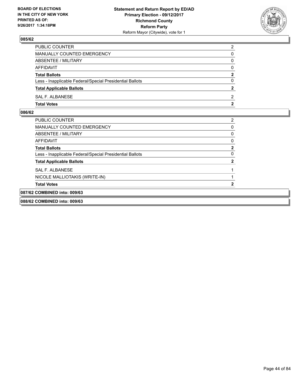

| PUBLIC COUNTER                                           | 2              |
|----------------------------------------------------------|----------------|
| MANUALLY COUNTED EMERGENCY                               | 0              |
| <b>ABSENTEE / MILITARY</b>                               | 0              |
| AFFIDAVIT                                                | $\Omega$       |
| <b>Total Ballots</b>                                     | $\mathbf{2}$   |
| Less - Inapplicable Federal/Special Presidential Ballots | $\Omega$       |
| <b>Total Applicable Ballots</b>                          | $\overline{2}$ |
| SAL F. ALBANESE                                          | 2              |
| <b>Total Votes</b>                                       | 2              |

| 088/62 COMBINED into: 009/63                             |          |
|----------------------------------------------------------|----------|
| 087/62 COMBINED into: 009/63                             |          |
| <b>Total Votes</b>                                       | 2        |
| NICOLE MALLIOTAKIS (WRITE-IN)                            |          |
| SAL F. ALBANESE                                          |          |
| <b>Total Applicable Ballots</b>                          | 2        |
| Less - Inapplicable Federal/Special Presidential Ballots | $\Omega$ |
| <b>Total Ballots</b>                                     | 2        |
| AFFIDAVIT                                                | 0        |
| ABSENTEE / MILITARY                                      | 0        |
| <b>MANUALLY COUNTED EMERGENCY</b>                        | $\Omega$ |
| PUBLIC COUNTER                                           | 2        |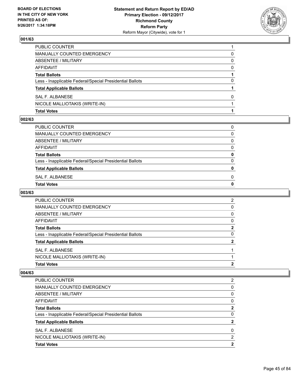

| <b>Total Votes</b>                                       |   |
|----------------------------------------------------------|---|
| NICOLE MALLIOTAKIS (WRITE-IN)                            |   |
| SAL F. ALBANESE                                          | 0 |
| <b>Total Applicable Ballots</b>                          |   |
| Less - Inapplicable Federal/Special Presidential Ballots | 0 |
| <b>Total Ballots</b>                                     |   |
| AFFIDAVIT                                                | 0 |
| ABSENTEE / MILITARY                                      | 0 |
| MANUALLY COUNTED EMERGENCY                               | 0 |
| PUBLIC COUNTER                                           |   |

#### **002/63**

| Total Votes                                              | 0 |
|----------------------------------------------------------|---|
| SAL F. ALBANESE                                          | 0 |
| <b>Total Applicable Ballots</b>                          | 0 |
| Less - Inapplicable Federal/Special Presidential Ballots | 0 |
| <b>Total Ballots</b>                                     | 0 |
| AFFIDAVIT                                                | 0 |
| ABSENTEE / MILITARY                                      | 0 |
| MANUALLY COUNTED EMERGENCY                               | 0 |
| PUBLIC COUNTER                                           | 0 |
|                                                          |   |

## **003/63**

| PUBLIC COUNTER                                           | 2 |
|----------------------------------------------------------|---|
| MANUALLY COUNTED EMERGENCY                               | 0 |
| ABSENTEE / MILITARY                                      | 0 |
| AFFIDAVIT                                                | 0 |
| <b>Total Ballots</b>                                     | 2 |
| Less - Inapplicable Federal/Special Presidential Ballots | 0 |
| <b>Total Applicable Ballots</b>                          | 2 |
| SAL F. ALBANESE                                          |   |
| NICOLE MALLIOTAKIS (WRITE-IN)                            |   |
| <b>Total Votes</b>                                       | 2 |

| PUBLIC COUNTER                                           | 2 |
|----------------------------------------------------------|---|
| MANUALLY COUNTED EMERGENCY                               | 0 |
| ABSENTEE / MILITARY                                      | 0 |
| AFFIDAVIT                                                | 0 |
| <b>Total Ballots</b>                                     | 2 |
| Less - Inapplicable Federal/Special Presidential Ballots | 0 |
| <b>Total Applicable Ballots</b>                          | 2 |
| SAL F. ALBANESE                                          | 0 |
| NICOLE MALLIOTAKIS (WRITE-IN)                            | 2 |
| <b>Total Votes</b>                                       | າ |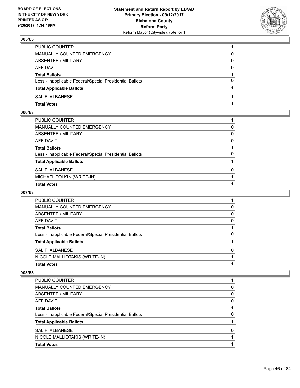

| PUBLIC COUNTER                                           |          |
|----------------------------------------------------------|----------|
| MANUALLY COUNTED EMERGENCY                               | 0        |
| ABSENTEE / MILITARY                                      | 0        |
| AFFIDAVIT                                                | $\Omega$ |
| <b>Total Ballots</b>                                     |          |
| Less - Inapplicable Federal/Special Presidential Ballots | $\Omega$ |
| <b>Total Applicable Ballots</b>                          |          |
| SAL F. ALBANESE                                          |          |
| <b>Total Votes</b>                                       |          |

## **006/63**

| PUBLIC COUNTER                                           |              |
|----------------------------------------------------------|--------------|
| MANUALLY COUNTED EMERGENCY                               | 0            |
| ABSENTEE / MILITARY                                      | $\mathbf{0}$ |
| AFFIDAVIT                                                | $\Omega$     |
| Total Ballots                                            |              |
| Less - Inapplicable Federal/Special Presidential Ballots | $\Omega$     |
| <b>Total Applicable Ballots</b>                          |              |
| SAL F. ALBANESE                                          | 0            |
| MICHAEL TOLKIN (WRITE-IN)                                |              |
| <b>Total Votes</b>                                       |              |

## **007/63**

| PUBLIC COUNTER                                           |              |
|----------------------------------------------------------|--------------|
| <b>MANUALLY COUNTED EMERGENCY</b>                        | 0            |
| ABSENTEE / MILITARY                                      | <sup>0</sup> |
| AFFIDAVIT                                                | 0            |
| <b>Total Ballots</b>                                     |              |
| Less - Inapplicable Federal/Special Presidential Ballots | $\mathbf{0}$ |
| <b>Total Applicable Ballots</b>                          |              |
| SAL F. ALBANESE                                          |              |
| NICOLE MALLIOTAKIS (WRITE-IN)                            |              |
| <b>Total Votes</b>                                       |              |

| PUBLIC COUNTER                                           |    |
|----------------------------------------------------------|----|
| MANUALLY COUNTED EMERGENCY                               | 0  |
| ABSENTEE / MILITARY                                      | 0  |
| AFFIDAVIT                                                | 0  |
| <b>Total Ballots</b>                                     |    |
| Less - Inapplicable Federal/Special Presidential Ballots | O) |
| <b>Total Applicable Ballots</b>                          |    |
| SAL F. ALBANESE                                          | ŋ  |
| NICOLE MALLIOTAKIS (WRITE-IN)                            |    |
| <b>Total Votes</b>                                       |    |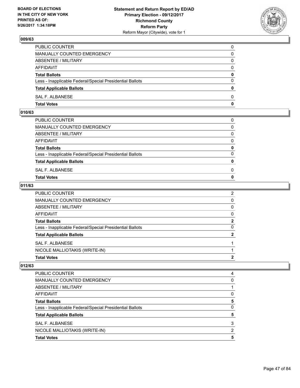

| PUBLIC COUNTER                                           | 0            |
|----------------------------------------------------------|--------------|
| MANUALLY COUNTED EMERGENCY                               | 0            |
| ABSENTEE / MILITARY                                      | 0            |
| AFFIDAVIT                                                | $\mathbf{0}$ |
| <b>Total Ballots</b>                                     | $\mathbf{0}$ |
| Less - Inapplicable Federal/Special Presidential Ballots | $\Omega$     |
| <b>Total Applicable Ballots</b>                          | $\mathbf{0}$ |
| SAL F. ALBANESE                                          | $\Omega$     |
| <b>Total Votes</b>                                       | 0            |

## **010/63**

| PUBLIC COUNTER                                           | 0            |
|----------------------------------------------------------|--------------|
| MANUALLY COUNTED EMERGENCY                               | $\mathbf{0}$ |
| ABSENTEE / MILITARY                                      | $\Omega$     |
| AFFIDAVIT                                                | $\Omega$     |
| <b>Total Ballots</b>                                     | 0            |
| Less - Inapplicable Federal/Special Presidential Ballots | $\Omega$     |
| <b>Total Applicable Ballots</b>                          | $\mathbf{0}$ |
| SAL F. ALBANESE                                          | 0            |
| Total Votes                                              | $\Omega$     |
|                                                          |              |

### **011/63**

| <b>Total Votes</b>                                       | 2              |
|----------------------------------------------------------|----------------|
| NICOLE MALLIOTAKIS (WRITE-IN)                            |                |
| SAL F. ALBANESE                                          |                |
| <b>Total Applicable Ballots</b>                          | 2              |
| Less - Inapplicable Federal/Special Presidential Ballots | 0              |
| <b>Total Ballots</b>                                     | $\mathbf 2$    |
| AFFIDAVIT                                                | 0              |
| ABSENTEE / MILITARY                                      | 0              |
| <b>MANUALLY COUNTED EMERGENCY</b>                        | 0              |
| PUBLIC COUNTER                                           | $\overline{2}$ |

| <b>Total Votes</b>                                       | 5 |
|----------------------------------------------------------|---|
| NICOLE MALLIOTAKIS (WRITE-IN)                            | 2 |
| SAL F. ALBANESE                                          | 3 |
| <b>Total Applicable Ballots</b>                          | 5 |
| Less - Inapplicable Federal/Special Presidential Ballots | 0 |
| <b>Total Ballots</b>                                     | 5 |
| AFFIDAVIT                                                | 0 |
| ABSENTEE / MILITARY                                      |   |
| MANUALLY COUNTED EMERGENCY                               | 0 |
| <b>PUBLIC COUNTER</b>                                    | 4 |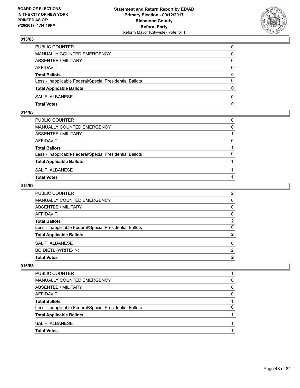

| PUBLIC COUNTER                                           | 0        |
|----------------------------------------------------------|----------|
| <b>MANUALLY COUNTED EMERGENCY</b>                        | 0        |
| ABSENTEE / MILITARY                                      | 0        |
| <b>AFFIDAVIT</b>                                         | $\Omega$ |
| <b>Total Ballots</b>                                     | 0        |
| Less - Inapplicable Federal/Special Presidential Ballots | $\Omega$ |
| <b>Total Applicable Ballots</b>                          | 0        |
| SAL F. ALBANESE                                          | 0        |
| <b>Total Votes</b>                                       | 0        |

## **014/63**

| PUBLIC COUNTER                                           | 0        |
|----------------------------------------------------------|----------|
| MANUALLY COUNTED EMERGENCY                               | $\Omega$ |
| ABSENTEE / MILITARY                                      |          |
| AFFIDAVIT                                                | 0        |
| <b>Total Ballots</b>                                     |          |
| Less - Inapplicable Federal/Special Presidential Ballots | $\Omega$ |
| <b>Total Applicable Ballots</b>                          |          |
| SAL F. ALBANESE                                          |          |
| <b>Total Votes</b>                                       |          |
|                                                          |          |

### **015/63**

| <b>PUBLIC COUNTER</b>                                    | $\overline{2}$ |
|----------------------------------------------------------|----------------|
| MANUALLY COUNTED EMERGENCY                               | 0              |
| ABSENTEE / MILITARY                                      | 0              |
| AFFIDAVIT                                                | 0              |
| <b>Total Ballots</b>                                     | $\mathbf 2$    |
| Less - Inapplicable Federal/Special Presidential Ballots | 0              |
| <b>Total Applicable Ballots</b>                          | $\mathbf{2}$   |
| SAL F. ALBANESE                                          | $\Omega$       |
| <b>BO DIETL (WRITE-IN)</b>                               | 2              |
| <b>Total Votes</b>                                       | 2              |

| <b>Total Votes</b>                                       |   |
|----------------------------------------------------------|---|
| SAL F. ALBANESE                                          |   |
| <b>Total Applicable Ballots</b>                          |   |
| Less - Inapplicable Federal/Special Presidential Ballots | 0 |
| <b>Total Ballots</b>                                     |   |
| AFFIDAVIT                                                | 0 |
| ABSENTEE / MILITARY                                      | 0 |
| MANUALLY COUNTED EMERGENCY                               | 0 |
| PUBLIC COUNTER                                           |   |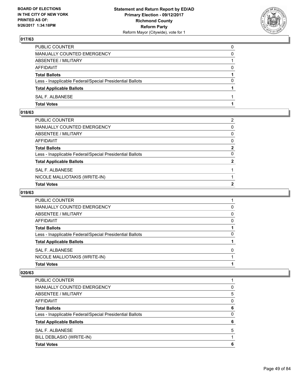

| PUBLIC COUNTER                                           | 0        |
|----------------------------------------------------------|----------|
| MANUALLY COUNTED EMERGENCY                               | 0        |
| ABSENTEE / MILITARY                                      |          |
| AFFIDAVIT                                                | 0        |
| <b>Total Ballots</b>                                     |          |
| Less - Inapplicable Federal/Special Presidential Ballots | $\Omega$ |
| <b>Total Applicable Ballots</b>                          |          |
| SAL F. ALBANESE                                          |          |
| <b>Total Votes</b>                                       |          |

### **018/63**

| <b>Total Votes</b>                                       | 2              |
|----------------------------------------------------------|----------------|
| NICOLE MALLIOTAKIS (WRITE-IN)                            |                |
| SAL F. ALBANESE                                          |                |
| <b>Total Applicable Ballots</b>                          | $\overline{2}$ |
| Less - Inapplicable Federal/Special Presidential Ballots | $\Omega$       |
| Total Ballots                                            | $\mathbf{2}$   |
| AFFIDAVIT                                                | $\mathbf{0}$   |
| ABSENTEE / MILITARY                                      | $\mathbf{0}$   |
| MANUALLY COUNTED EMERGENCY                               | $\mathbf{0}$   |
| PUBLIC COUNTER                                           | 2              |
|                                                          |                |

## **019/63**

| <b>PUBLIC COUNTER</b>                                    |              |
|----------------------------------------------------------|--------------|
| MANUALLY COUNTED EMERGENCY                               | O            |
| ABSENTEE / MILITARY                                      | <sup>0</sup> |
| AFFIDAVIT                                                | 0            |
| <b>Total Ballots</b>                                     |              |
| Less - Inapplicable Federal/Special Presidential Ballots | <sup>0</sup> |
| <b>Total Applicable Ballots</b>                          |              |
| SAL F. ALBANESE                                          |              |
| NICOLE MALLIOTAKIS (WRITE-IN)                            |              |
| <b>Total Votes</b>                                       |              |

| <b>PUBLIC COUNTER</b>                                    |   |
|----------------------------------------------------------|---|
| <b>MANUALLY COUNTED EMERGENCY</b>                        | 0 |
| ABSENTEE / MILITARY                                      | 5 |
| <b>AFFIDAVIT</b>                                         | 0 |
| <b>Total Ballots</b>                                     | 6 |
| Less - Inapplicable Federal/Special Presidential Ballots | 0 |
| <b>Total Applicable Ballots</b>                          | 6 |
| SAL F. ALBANESE                                          | 5 |
| BILL DEBLASIO (WRITE-IN)                                 |   |
| <b>Total Votes</b>                                       | 6 |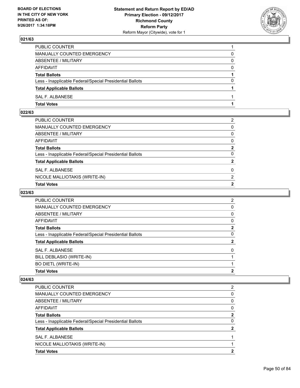

| PUBLIC COUNTER                                           |          |
|----------------------------------------------------------|----------|
| MANUALLY COUNTED EMERGENCY                               | 0        |
| ABSENTEE / MILITARY                                      | 0        |
| AFFIDAVIT                                                | $\Omega$ |
| <b>Total Ballots</b>                                     |          |
| Less - Inapplicable Federal/Special Presidential Ballots | $\Omega$ |
| <b>Total Applicable Ballots</b>                          |          |
| SAL F. ALBANESE                                          |          |
| <b>Total Votes</b>                                       |          |

## **022/63**

| PUBLIC COUNTER                                           | 2              |
|----------------------------------------------------------|----------------|
| MANUALLY COUNTED EMERGENCY                               | $\mathbf{0}$   |
| ABSENTEE / MILITARY                                      | $\mathbf{0}$   |
| AFFIDAVIT                                                | $\mathbf{0}$   |
| Total Ballots                                            | $\mathbf{2}$   |
| Less - Inapplicable Federal/Special Presidential Ballots | $\Omega$       |
| <b>Total Applicable Ballots</b>                          | $\overline{2}$ |
| SAL F. ALBANESE                                          | 0              |
| NICOLE MALLIOTAKIS (WRITE-IN)                            | 2              |
| <b>Total Votes</b>                                       | $\mathbf{2}$   |

## **023/63**

| PUBLIC COUNTER                                           | 2            |
|----------------------------------------------------------|--------------|
| <b>MANUALLY COUNTED EMERGENCY</b>                        | 0            |
| ABSENTEE / MILITARY                                      | 0            |
| AFFIDAVIT                                                | 0            |
| <b>Total Ballots</b>                                     | 2            |
| Less - Inapplicable Federal/Special Presidential Ballots | 0            |
| <b>Total Applicable Ballots</b>                          | $\mathbf{2}$ |
| SAL F. ALBANESE                                          | 0            |
| BILL DEBLASIO (WRITE-IN)                                 |              |
| <b>BO DIETL (WRITE-IN)</b>                               |              |
| <b>Total Votes</b>                                       | 2            |

| <b>PUBLIC COUNTER</b>                                    | 2 |
|----------------------------------------------------------|---|
| MANUALLY COUNTED EMERGENCY                               | 0 |
| ABSENTEE / MILITARY                                      | 0 |
| AFFIDAVIT                                                | 0 |
| <b>Total Ballots</b>                                     | 2 |
| Less - Inapplicable Federal/Special Presidential Ballots | 0 |
| <b>Total Applicable Ballots</b>                          |   |
| SAL F. ALBANESE                                          |   |
| NICOLE MALLIOTAKIS (WRITE-IN)                            |   |
| <b>Total Votes</b>                                       | 2 |
|                                                          |   |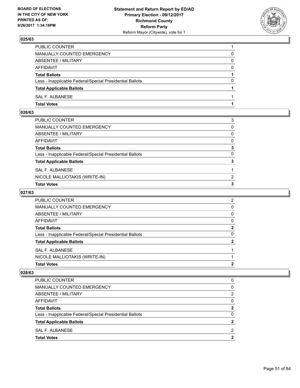

| PUBLIC COUNTER                                           |          |
|----------------------------------------------------------|----------|
| MANUALLY COUNTED EMERGENCY                               | 0        |
| ABSENTEE / MILITARY                                      | 0        |
| AFFIDAVIT                                                | 0        |
| <b>Total Ballots</b>                                     |          |
| Less - Inapplicable Federal/Special Presidential Ballots | $\Omega$ |
| <b>Total Applicable Ballots</b>                          |          |
| SAL F. ALBANESE                                          |          |
| <b>Total Votes</b>                                       |          |

## **026/63**

| PUBLIC COUNTER                                           | 3            |
|----------------------------------------------------------|--------------|
| MANUALLY COUNTED EMERGENCY                               | $\mathbf{0}$ |
| ABSENTEE / MILITARY                                      | $\mathbf{0}$ |
| AFFIDAVIT                                                | $\mathbf{0}$ |
| Total Ballots                                            | 3            |
| Less - Inapplicable Federal/Special Presidential Ballots | $\Omega$     |
| <b>Total Applicable Ballots</b>                          | 3            |
| SAL F. ALBANESE                                          |              |
| NICOLE MALLIOTAKIS (WRITE-IN)                            | 2            |
| <b>Total Votes</b>                                       | 3            |

## **027/63**

| PUBLIC COUNTER                                           | 2        |
|----------------------------------------------------------|----------|
| <b>MANUALLY COUNTED EMERGENCY</b>                        | 0        |
| ABSENTEE / MILITARY                                      | 0        |
| AFFIDAVIT                                                | 0        |
| <b>Total Ballots</b>                                     | 2        |
| Less - Inapplicable Federal/Special Presidential Ballots | $\Omega$ |
| <b>Total Applicable Ballots</b>                          | 2        |
| SAL F. ALBANESE                                          |          |
| NICOLE MALLIOTAKIS (WRITE-IN)                            |          |
| <b>Total Votes</b>                                       | 2        |

| PUBLIC COUNTER                                           | 0 |
|----------------------------------------------------------|---|
| <b>MANUALLY COUNTED EMERGENCY</b>                        | 0 |
| ABSENTEE / MILITARY                                      | 2 |
| AFFIDAVIT                                                | 0 |
| <b>Total Ballots</b>                                     | 2 |
| Less - Inapplicable Federal/Special Presidential Ballots | 0 |
| <b>Total Applicable Ballots</b>                          | 2 |
| SAL F. ALBANESE                                          | 2 |
| <b>Total Votes</b>                                       | າ |
|                                                          |   |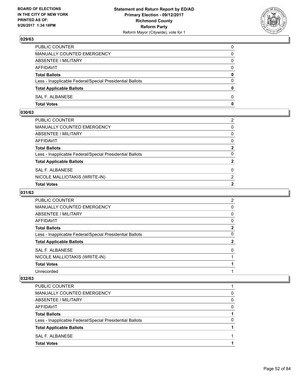

| PUBLIC COUNTER                                           | 0            |
|----------------------------------------------------------|--------------|
| MANUALLY COUNTED EMERGENCY                               | 0            |
| ABSENTEE / MILITARY                                      | 0            |
| AFFIDAVIT                                                | $\Omega$     |
| <b>Total Ballots</b>                                     | 0            |
| Less - Inapplicable Federal/Special Presidential Ballots | $\Omega$     |
| <b>Total Applicable Ballots</b>                          | $\mathbf{0}$ |
| SAL F. ALBANESE                                          | $\Omega$     |
| <b>Total Votes</b>                                       | $\mathbf 0$  |

### **030/63**

| PUBLIC COUNTER                                           | 2              |
|----------------------------------------------------------|----------------|
| MANUALLY COUNTED EMERGENCY                               | $\mathbf{0}$   |
| ABSENTEE / MILITARY                                      | $\mathbf{0}$   |
| AFFIDAVIT                                                | $\mathbf{0}$   |
| Total Ballots                                            | $\mathbf{2}$   |
| Less - Inapplicable Federal/Special Presidential Ballots | $\Omega$       |
| <b>Total Applicable Ballots</b>                          | $\overline{2}$ |
| SAL F. ALBANESE                                          | 0              |
| NICOLE MALLIOTAKIS (WRITE-IN)                            | 2              |
| <b>Total Votes</b>                                       | $\mathbf{2}$   |

## **031/63**

| <b>PUBLIC COUNTER</b>                                    | 2            |
|----------------------------------------------------------|--------------|
| <b>MANUALLY COUNTED EMERGENCY</b>                        | 0            |
| ABSENTEE / MILITARY                                      | 0            |
| AFFIDAVIT                                                | 0            |
| <b>Total Ballots</b>                                     | $\mathbf{2}$ |
| Less - Inapplicable Federal/Special Presidential Ballots | 0            |
| <b>Total Applicable Ballots</b>                          | 2            |
| SAL F. ALBANESE                                          | 0            |
| NICOLE MALLIOTAKIS (WRITE-IN)                            |              |
| <b>Total Votes</b>                                       |              |
| Unrecorded                                               |              |

| PUBLIC COUNTER                                           |   |
|----------------------------------------------------------|---|
| MANUALLY COUNTED EMERGENCY                               | 0 |
| ABSENTEE / MILITARY                                      | 0 |
| AFFIDAVIT                                                | 0 |
| <b>Total Ballots</b>                                     |   |
| Less - Inapplicable Federal/Special Presidential Ballots | 0 |
| <b>Total Applicable Ballots</b>                          |   |
| SAL F. ALBANESE                                          |   |
| <b>Total Votes</b>                                       |   |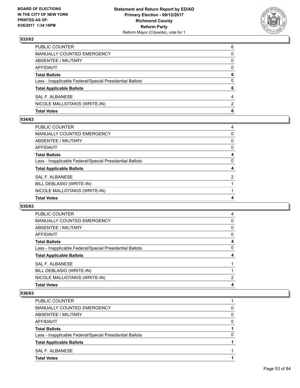

| <b>Total Votes</b>                                       | 6             |
|----------------------------------------------------------|---------------|
| NICOLE MALLIOTAKIS (WRITE-IN)                            | $\mathcal{P}$ |
| SAL F. ALBANESE                                          | 4             |
| <b>Total Applicable Ballots</b>                          | 6             |
| Less - Inapplicable Federal/Special Presidential Ballots | 0             |
| <b>Total Ballots</b>                                     | 6             |
| AFFIDAVIT                                                | 0             |
| ABSENTEE / MILITARY                                      | 0             |
| MANUALLY COUNTED EMERGENCY                               | 0             |
| PUBLIC COUNTER                                           | 6             |

#### **034/63**

| <b>PUBLIC COUNTER</b>                                    | 4              |
|----------------------------------------------------------|----------------|
| <b>MANUALLY COUNTED EMERGENCY</b>                        | 0              |
| <b>ABSENTEE / MILITARY</b>                               | 0              |
| <b>AFFIDAVIT</b>                                         | 0              |
| <b>Total Ballots</b>                                     | 4              |
| Less - Inapplicable Federal/Special Presidential Ballots | 0              |
| <b>Total Applicable Ballots</b>                          | 4              |
| <b>SAL F. ALBANESE</b>                                   | $\overline{2}$ |
| BILL DEBLASIO (WRITE-IN)                                 |                |
| NICOLE MALLIOTAKIS (WRITE-IN)                            |                |
| <b>Total Votes</b>                                       | 4              |

#### **035/63**

| <b>PUBLIC COUNTER</b>                                    | 4 |
|----------------------------------------------------------|---|
| MANUALLY COUNTED EMERGENCY                               | 0 |
| ABSENTEE / MILITARY                                      | 0 |
| AFFIDAVIT                                                | 0 |
| <b>Total Ballots</b>                                     | 4 |
| Less - Inapplicable Federal/Special Presidential Ballots | 0 |
| <b>Total Applicable Ballots</b>                          | 4 |
| SAL F. ALBANESE                                          |   |
| BILL DEBLASIO (WRITE-IN)                                 |   |
| NICOLE MALLIOTAKIS (WRITE-IN)                            | 2 |
| <b>Total Votes</b>                                       | 4 |

| <b>PUBLIC COUNTER</b>                                    |   |
|----------------------------------------------------------|---|
| MANUALLY COUNTED EMERGENCY                               | 0 |
| ABSENTEE / MILITARY                                      | 0 |
| AFFIDAVIT                                                | 0 |
| <b>Total Ballots</b>                                     |   |
| Less - Inapplicable Federal/Special Presidential Ballots | 0 |
| <b>Total Applicable Ballots</b>                          |   |
| SAL F. ALBANESE                                          |   |
| <b>Total Votes</b>                                       |   |
|                                                          |   |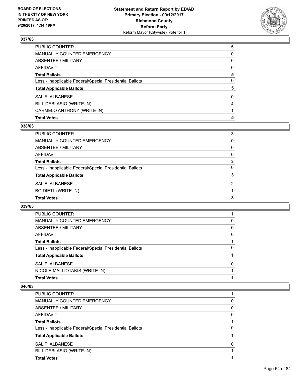

| <b>Total Votes</b>                                       | 5 |
|----------------------------------------------------------|---|
| CARMELO ANTHONY (WRITE-IN)                               |   |
| BILL DEBLASIO (WRITE-IN)                                 | 4 |
| <b>SAL F. ALBANESE</b>                                   | 0 |
| <b>Total Applicable Ballots</b>                          | 5 |
| Less - Inapplicable Federal/Special Presidential Ballots | 0 |
| <b>Total Ballots</b>                                     | 5 |
| <b>AFFIDAVIT</b>                                         | 0 |
| <b>ABSENTEE / MILITARY</b>                               | 0 |
| <b>MANUALLY COUNTED EMERGENCY</b>                        | 0 |
| PUBLIC COUNTER                                           | 5 |

### **038/63**

| PUBLIC COUNTER                                           | 3        |
|----------------------------------------------------------|----------|
| MANUALLY COUNTED EMERGENCY                               | 0        |
| ABSENTEE / MILITARY                                      | $\Omega$ |
| AFFIDAVIT                                                | $\Omega$ |
| <b>Total Ballots</b>                                     | 3        |
| Less - Inapplicable Federal/Special Presidential Ballots | 0        |
| <b>Total Applicable Ballots</b>                          | 3        |
| <b>SAL F. ALBANESE</b>                                   | 2        |
| BO DIETL (WRITE-IN)                                      |          |
| <b>Total Votes</b>                                       | 3        |
|                                                          |          |

#### **039/63**

| <b>Total Votes</b>                                       |   |
|----------------------------------------------------------|---|
| NICOLE MALLIOTAKIS (WRITE-IN)                            |   |
| SAL F. ALBANESE                                          | 0 |
| <b>Total Applicable Ballots</b>                          |   |
| Less - Inapplicable Federal/Special Presidential Ballots | 0 |
| <b>Total Ballots</b>                                     |   |
| AFFIDAVIT                                                | 0 |
| ABSENTEE / MILITARY                                      | 0 |
| MANUALLY COUNTED EMERGENCY                               | 0 |
| <b>PUBLIC COUNTER</b>                                    |   |

| <b>PUBLIC COUNTER</b>                                    |          |
|----------------------------------------------------------|----------|
| MANUALLY COUNTED EMERGENCY                               | 0        |
| ABSENTEE / MILITARY                                      | 0        |
| AFFIDAVIT                                                | 0        |
| <b>Total Ballots</b>                                     |          |
| Less - Inapplicable Federal/Special Presidential Ballots | 0        |
| <b>Total Applicable Ballots</b>                          |          |
| SAL F. ALBANESE                                          | $\Omega$ |
| BILL DEBLASIO (WRITE-IN)                                 |          |
| <b>Total Votes</b>                                       |          |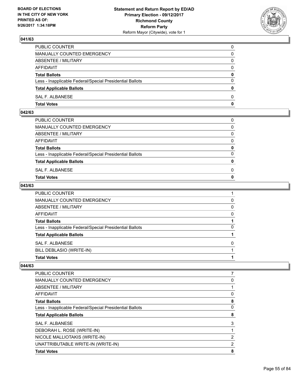

| PUBLIC COUNTER                                           | 0            |
|----------------------------------------------------------|--------------|
| MANUALLY COUNTED EMERGENCY                               | $\Omega$     |
| ABSENTEE / MILITARY                                      | $\mathbf{0}$ |
| AFFIDAVIT                                                | 0            |
| <b>Total Ballots</b>                                     | $\mathbf{0}$ |
| Less - Inapplicable Federal/Special Presidential Ballots | $\Omega$     |
| <b>Total Applicable Ballots</b>                          | $\mathbf{0}$ |
| SAL F. ALBANESE                                          | $\Omega$     |
| <b>Total Votes</b>                                       | $\mathbf{0}$ |

### **042/63**

| PUBLIC COUNTER                                           | 0            |
|----------------------------------------------------------|--------------|
| MANUALLY COUNTED EMERGENCY                               | $\mathbf{0}$ |
| ABSENTEE / MILITARY                                      | $\Omega$     |
| AFFIDAVIT                                                | $\Omega$     |
| <b>Total Ballots</b>                                     | 0            |
| Less - Inapplicable Federal/Special Presidential Ballots | $\Omega$     |
| <b>Total Applicable Ballots</b>                          | $\mathbf{0}$ |
| SAL F. ALBANESE                                          | 0            |
| Total Votes                                              | $\Omega$     |
|                                                          |              |

### **043/63**

| PUBLIC COUNTER                                           |   |
|----------------------------------------------------------|---|
| MANUALLY COUNTED EMERGENCY                               | 0 |
| <b>ABSENTEE / MILITARY</b>                               | 0 |
| AFFIDAVIT                                                | 0 |
| <b>Total Ballots</b>                                     |   |
| Less - Inapplicable Federal/Special Presidential Ballots | 0 |
| <b>Total Applicable Ballots</b>                          |   |
| <b>SAL F. ALBANESE</b>                                   | 0 |
| BILL DEBLASIO (WRITE-IN)                                 |   |
| <b>Total Votes</b>                                       |   |

| <b>PUBLIC COUNTER</b>                                    |   |
|----------------------------------------------------------|---|
| <b>MANUALLY COUNTED EMERGENCY</b>                        | 0 |
| ABSENTEE / MILITARY                                      |   |
| AFFIDAVIT                                                | 0 |
| <b>Total Ballots</b>                                     | 8 |
| Less - Inapplicable Federal/Special Presidential Ballots | 0 |
| <b>Total Applicable Ballots</b>                          | 8 |
| SAL F. ALBANESE                                          | 3 |
| DEBORAH L. ROSE (WRITE-IN)                               |   |
| NICOLE MALLIOTAKIS (WRITE-IN)                            | 2 |
| UNATTRIBUTABLE WRITE-IN (WRITE-IN)                       | 2 |
| <b>Total Votes</b>                                       | 8 |
|                                                          |   |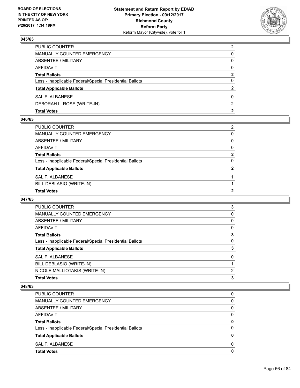

| <b>Total Votes</b>                                       | 2              |
|----------------------------------------------------------|----------------|
| DEBORAH L. ROSE (WRITE-IN)                               | $\mathcal{P}$  |
| SAL F. ALBANESE                                          | 0              |
| <b>Total Applicable Ballots</b>                          | 2              |
| Less - Inapplicable Federal/Special Presidential Ballots | 0              |
| <b>Total Ballots</b>                                     | 2              |
| AFFIDAVIT                                                | $\Omega$       |
| <b>ABSENTEE / MILITARY</b>                               | 0              |
| MANUALLY COUNTED EMERGENCY                               | 0              |
| PUBLIC COUNTER                                           | $\overline{2}$ |

#### **046/63**

| PUBLIC COUNTER                                           | 2            |
|----------------------------------------------------------|--------------|
| MANUALLY COUNTED EMERGENCY                               | 0            |
| ABSENTEE / MILITARY                                      | 0            |
| AFFIDAVIT                                                | 0            |
| Total Ballots                                            | $\mathbf{2}$ |
| Less - Inapplicable Federal/Special Presidential Ballots | 0            |
| <b>Total Applicable Ballots</b>                          | 2            |
| SAL F. ALBANESE                                          |              |
| BILL DEBLASIO (WRITE-IN)                                 |              |
| <b>Total Votes</b>                                       | 2            |

### **047/63**

| 3        |
|----------|
| 0        |
| 0        |
| 0        |
| 3        |
| 0        |
| 3        |
| $\Omega$ |
|          |
| 2        |
| 3        |
|          |

| <b>Total Votes</b>                                       | 0            |
|----------------------------------------------------------|--------------|
| SAL F. ALBANESE                                          | <sup>0</sup> |
| <b>Total Applicable Ballots</b>                          | 0            |
| Less - Inapplicable Federal/Special Presidential Ballots | $\Omega$     |
| <b>Total Ballots</b>                                     | 0            |
| AFFIDAVIT                                                | 0            |
| ABSENTEE / MILITARY                                      | 0            |
| <b>MANUALLY COUNTED EMERGENCY</b>                        | 0            |
| <b>PUBLIC COUNTER</b>                                    | 0            |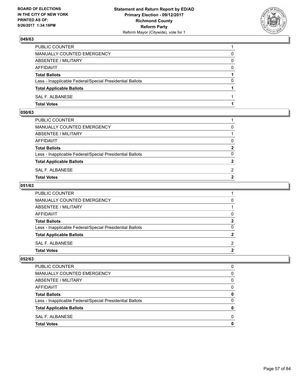

| PUBLIC COUNTER                                           |          |
|----------------------------------------------------------|----------|
| MANUALLY COUNTED EMERGENCY                               | 0        |
| ABSENTEE / MILITARY                                      | 0        |
| AFFIDAVIT                                                | $\Omega$ |
| <b>Total Ballots</b>                                     |          |
| Less - Inapplicable Federal/Special Presidential Ballots | $\Omega$ |
| <b>Total Applicable Ballots</b>                          |          |
| SAL F. ALBANESE                                          |          |
| <b>Total Votes</b>                                       |          |

#### **050/63**

| PUBLIC COUNTER                                           |                |
|----------------------------------------------------------|----------------|
| MANUALLY COUNTED EMERGENCY                               | 0              |
| ABSENTEE / MILITARY                                      |                |
| AFFIDAVIT                                                | 0              |
| <b>Total Ballots</b>                                     | $\mathbf{2}$   |
| Less - Inapplicable Federal/Special Presidential Ballots | 0              |
| <b>Total Applicable Ballots</b>                          | $\overline{2}$ |
| SAL F. ALBANESE                                          | 2              |
| Total Votes                                              | $\overline{2}$ |
|                                                          |                |

### **051/63**

| PUBLIC COUNTER                                           |              |
|----------------------------------------------------------|--------------|
| MANUALLY COUNTED EMERGENCY                               | 0            |
| ABSENTEE / MILITARY                                      |              |
| AFFIDAVIT                                                | 0            |
| <b>Total Ballots</b>                                     | $\mathbf{2}$ |
| Less - Inapplicable Federal/Special Presidential Ballots | $\mathbf{0}$ |
| <b>Total Applicable Ballots</b>                          | $\mathbf{2}$ |
| SAL F. ALBANESE                                          | 2            |
| Total Votes                                              | $\mathbf{2}$ |
|                                                          |              |

| <b>PUBLIC COUNTER</b>                                    | O |
|----------------------------------------------------------|---|
| <b>MANUALLY COUNTED EMERGENCY</b>                        | 0 |
| ABSENTEE / MILITARY                                      | 0 |
| <b>AFFIDAVIT</b>                                         | 0 |
| <b>Total Ballots</b>                                     | 0 |
| Less - Inapplicable Federal/Special Presidential Ballots | 0 |
| <b>Total Applicable Ballots</b>                          | 0 |
| SAL F. ALBANESE                                          | 0 |
| <b>Total Votes</b>                                       | O |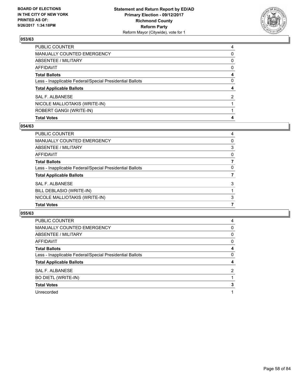

| PUBLIC COUNTER                                           | 4            |
|----------------------------------------------------------|--------------|
| MANUALLY COUNTED EMERGENCY                               | 0            |
| <b>ABSENTEE / MILITARY</b>                               | $\Omega$     |
| <b>AFFIDAVIT</b>                                         | $\mathbf{0}$ |
| <b>Total Ballots</b>                                     | 4            |
| Less - Inapplicable Federal/Special Presidential Ballots | 0            |
| <b>Total Applicable Ballots</b>                          | 4            |
| SAL F. ALBANESE                                          | 2            |
| NICOLE MALLIOTAKIS (WRITE-IN)                            |              |
| ROBERT GANGI (WRITE-IN)                                  |              |
| <b>Total Votes</b>                                       | 4            |

### **054/63**

| PUBLIC COUNTER                                           | 4 |
|----------------------------------------------------------|---|
| <b>MANUALLY COUNTED EMERGENCY</b>                        | 0 |
| ABSENTEE / MILITARY                                      | 3 |
| <b>AFFIDAVIT</b>                                         | 0 |
| <b>Total Ballots</b>                                     |   |
| Less - Inapplicable Federal/Special Presidential Ballots | 0 |
| <b>Total Applicable Ballots</b>                          |   |
| <b>SAL F. ALBANESE</b>                                   | 3 |
| BILL DEBLASIO (WRITE-IN)                                 |   |
| NICOLE MALLIOTAKIS (WRITE-IN)                            | 3 |
| <b>Total Votes</b>                                       | 7 |

| 4 |
|---|
| 0 |
| 0 |
| 0 |
| 4 |
| 0 |
| 4 |
| 2 |
|   |
| 3 |
|   |
|   |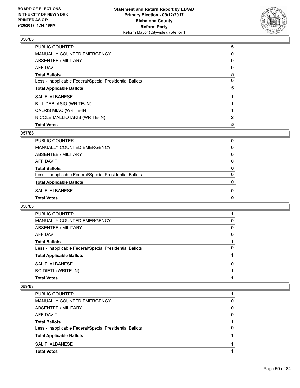

| <b>PUBLIC COUNTER</b>                                    | 5 |
|----------------------------------------------------------|---|
| <b>MANUALLY COUNTED EMERGENCY</b>                        | 0 |
| ABSENTEE / MILITARY                                      | 0 |
| AFFIDAVIT                                                | 0 |
| <b>Total Ballots</b>                                     | 5 |
| Less - Inapplicable Federal/Special Presidential Ballots | 0 |
| <b>Total Applicable Ballots</b>                          | 5 |
| SAL F. ALBANESE                                          |   |
| BILL DEBLASIO (WRITE-IN)                                 |   |
| CALRIS MIAO (WRITE-IN)                                   |   |
| NICOLE MALLIOTAKIS (WRITE-IN)                            | 2 |
| <b>Total Votes</b>                                       | 5 |

### **057/63**

| PUBLIC COUNTER                                           | 0 |
|----------------------------------------------------------|---|
| <b>MANUALLY COUNTED EMERGENCY</b>                        | 0 |
| ABSENTEE / MILITARY                                      | 0 |
| AFFIDAVIT                                                | 0 |
| <b>Total Ballots</b>                                     | 0 |
| Less - Inapplicable Federal/Special Presidential Ballots | 0 |
| <b>Total Applicable Ballots</b>                          | o |
| SAL F. ALBANESE                                          | 0 |
| <b>Total Votes</b>                                       | o |
|                                                          |   |

### **058/63**

| PUBLIC COUNTER                                           |   |
|----------------------------------------------------------|---|
| MANUALLY COUNTED EMERGENCY                               | 0 |
| ABSENTEE / MILITARY                                      | 0 |
| AFFIDAVIT                                                | 0 |
| <b>Total Ballots</b>                                     |   |
| Less - Inapplicable Federal/Special Presidential Ballots | 0 |
| <b>Total Applicable Ballots</b>                          |   |
| SAL F. ALBANESE                                          | 0 |
| BO DIETL (WRITE-IN)                                      |   |
| <b>Total Votes</b>                                       |   |

| <b>PUBLIC COUNTER</b>                                    |   |
|----------------------------------------------------------|---|
| MANUALLY COUNTED EMERGENCY                               | 0 |
| ABSENTEE / MILITARY                                      | 0 |
| AFFIDAVIT                                                | 0 |
| <b>Total Ballots</b>                                     |   |
| Less - Inapplicable Federal/Special Presidential Ballots | 0 |
| <b>Total Applicable Ballots</b>                          |   |
| SAL F. ALBANESE                                          |   |
| <b>Total Votes</b>                                       |   |
|                                                          |   |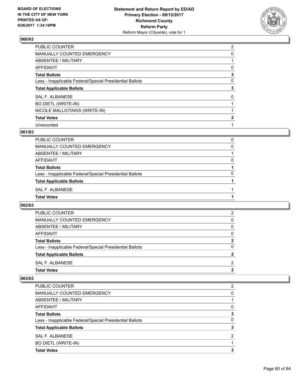

| PUBLIC COUNTER                                           | $\overline{2}$ |
|----------------------------------------------------------|----------------|
| <b>MANUALLY COUNTED EMERGENCY</b>                        | 0              |
| <b>ABSENTEE / MILITARY</b>                               |                |
| <b>AFFIDAVIT</b>                                         | 0              |
| <b>Total Ballots</b>                                     | 3              |
| Less - Inapplicable Federal/Special Presidential Ballots | 0              |
| <b>Total Applicable Ballots</b>                          | 3              |
| <b>SAL F. ALBANESE</b>                                   | 0              |
| <b>BO DIETL (WRITE-IN)</b>                               |                |
| NICOLE MALLIOTAKIS (WRITE-IN)                            |                |
| <b>Total Votes</b>                                       | $\mathbf{2}$   |
| Unrecorded                                               |                |

## **061/63**

| <b>Total Votes</b>                                       |   |
|----------------------------------------------------------|---|
| SAL F. ALBANESE                                          |   |
| <b>Total Applicable Ballots</b>                          |   |
| Less - Inapplicable Federal/Special Presidential Ballots | 0 |
| <b>Total Ballots</b>                                     |   |
| <b>AFFIDAVIT</b>                                         | 0 |
| ABSENTEE / MILITARY                                      |   |
| MANUALLY COUNTED EMERGENCY                               | 0 |
| <b>PUBLIC COUNTER</b>                                    | 0 |

### **062/63**

| <b>Total Votes</b>                                       |          |
|----------------------------------------------------------|----------|
| SAL F. ALBANESE                                          | 2        |
| <b>Total Applicable Ballots</b>                          | 2        |
| Less - Inapplicable Federal/Special Presidential Ballots | 0        |
| <b>Total Ballots</b>                                     | 2        |
| AFFIDAVIT                                                | $\Omega$ |
| ABSENTEE / MILITARY                                      | 0        |
| MANUALLY COUNTED EMERGENCY                               | 0        |
| PUBLIC COUNTER                                           | 2        |

| PUBLIC COUNTER                                           | 2 |
|----------------------------------------------------------|---|
| <b>MANUALLY COUNTED EMERGENCY</b>                        | 0 |
| ABSENTEE / MILITARY                                      |   |
| <b>AFFIDAVIT</b>                                         | 0 |
| <b>Total Ballots</b>                                     | 3 |
| Less - Inapplicable Federal/Special Presidential Ballots | 0 |
| <b>Total Applicable Ballots</b>                          | 3 |
| SAL F. ALBANESE                                          | 2 |
| <b>BO DIETL (WRITE-IN)</b>                               |   |
| <b>Total Votes</b>                                       | 3 |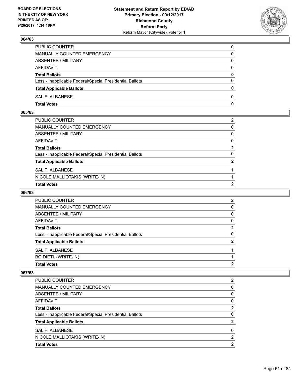

| PUBLIC COUNTER                                           | 0            |
|----------------------------------------------------------|--------------|
| MANUALLY COUNTED EMERGENCY                               | 0            |
| ABSENTEE / MILITARY                                      | 0            |
| AFFIDAVIT                                                | $\Omega$     |
| <b>Total Ballots</b>                                     | $\mathbf{0}$ |
| Less - Inapplicable Federal/Special Presidential Ballots | $\Omega$     |
| <b>Total Applicable Ballots</b>                          | $\mathbf{0}$ |
| SAL F. ALBANESE                                          | 0            |
| <b>Total Votes</b>                                       | 0            |

### **065/63**

| <b>Total Votes</b>                                       | 2              |
|----------------------------------------------------------|----------------|
| NICOLE MALLIOTAKIS (WRITE-IN)                            |                |
| SAL F. ALBANESE                                          |                |
| <b>Total Applicable Ballots</b>                          | $\overline{2}$ |
| Less - Inapplicable Federal/Special Presidential Ballots | $\Omega$       |
| Total Ballots                                            | $\mathbf{2}$   |
| AFFIDAVIT                                                | $\mathbf{0}$   |
| ABSENTEE / MILITARY                                      | $\mathbf{0}$   |
| MANUALLY COUNTED EMERGENCY                               | $\mathbf{0}$   |
| PUBLIC COUNTER                                           | 2              |
|                                                          |                |

## **066/63**

| <b>PUBLIC COUNTER</b>                                    | 2 |
|----------------------------------------------------------|---|
| <b>MANUALLY COUNTED EMERGENCY</b>                        | 0 |
| ABSENTEE / MILITARY                                      | 0 |
| AFFIDAVIT                                                | 0 |
| <b>Total Ballots</b>                                     | 2 |
| Less - Inapplicable Federal/Special Presidential Ballots | 0 |
| <b>Total Applicable Ballots</b>                          | າ |
| SAL F. ALBANESE                                          |   |
| <b>BO DIETL (WRITE-IN)</b>                               |   |
| <b>Total Votes</b>                                       | 2 |

| PUBLIC COUNTER                                           | 2 |
|----------------------------------------------------------|---|
| MANUALLY COUNTED EMERGENCY                               | 0 |
| ABSENTEE / MILITARY                                      | 0 |
| AFFIDAVIT                                                | 0 |
| <b>Total Ballots</b>                                     | 2 |
| Less - Inapplicable Federal/Special Presidential Ballots | 0 |
| <b>Total Applicable Ballots</b>                          |   |
| SAL F. ALBANESE                                          | 0 |
| NICOLE MALLIOTAKIS (WRITE-IN)                            | 2 |
| <b>Total Votes</b>                                       | າ |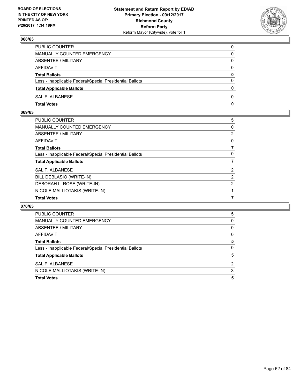

| PUBLIC COUNTER                                           | 0            |
|----------------------------------------------------------|--------------|
| <b>MANUALLY COUNTED EMERGENCY</b>                        | 0            |
| ABSENTEE / MILITARY                                      | 0            |
| AFFIDAVIT                                                | $\Omega$     |
| <b>Total Ballots</b>                                     | 0            |
| Less - Inapplicable Federal/Special Presidential Ballots | $\Omega$     |
| <b>Total Applicable Ballots</b>                          | $\mathbf{0}$ |
| SAL F. ALBANESE                                          | 0            |
| <b>Total Votes</b>                                       | 0            |

### **069/63**

| <b>PUBLIC COUNTER</b>                                    | 5                     |
|----------------------------------------------------------|-----------------------|
| <b>MANUALLY COUNTED EMERGENCY</b>                        | 0                     |
| <b>ABSENTEE / MILITARY</b>                               | $\overline{2}$        |
| <b>AFFIDAVIT</b>                                         | 0                     |
| <b>Total Ballots</b>                                     |                       |
| Less - Inapplicable Federal/Special Presidential Ballots | 0                     |
| <b>Total Applicable Ballots</b>                          |                       |
| <b>SAL F. ALBANESE</b>                                   | $\overline{2}$        |
| BILL DEBLASIO (WRITE-IN)                                 | $\mathbf{2}^{\prime}$ |
| DEBORAH L. ROSE (WRITE-IN)                               | $\overline{2}$        |
| NICOLE MALLIOTAKIS (WRITE-IN)                            |                       |
| <b>Total Votes</b>                                       | 7                     |

| PUBLIC COUNTER                                           | 5        |
|----------------------------------------------------------|----------|
| <b>MANUALLY COUNTED EMERGENCY</b>                        | 0        |
| ABSENTEE / MILITARY                                      | 0        |
| AFFIDAVIT                                                | 0        |
| <b>Total Ballots</b>                                     | 5        |
| Less - Inapplicable Federal/Special Presidential Ballots | $\Omega$ |
| <b>Total Applicable Ballots</b>                          | 5        |
| SAL F. ALBANESE                                          | 2        |
| NICOLE MALLIOTAKIS (WRITE-IN)                            | 3        |
| <b>Total Votes</b>                                       | 5        |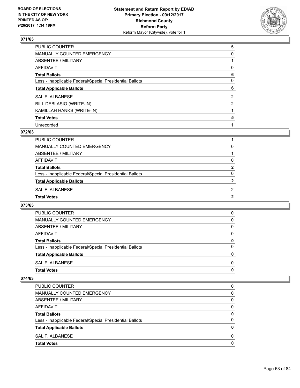

| PUBLIC COUNTER                                           | 5              |
|----------------------------------------------------------|----------------|
| <b>MANUALLY COUNTED EMERGENCY</b>                        | 0              |
| ABSENTEE / MILITARY                                      |                |
| <b>AFFIDAVIT</b>                                         | 0              |
| <b>Total Ballots</b>                                     | 6              |
| Less - Inapplicable Federal/Special Presidential Ballots | 0              |
| <b>Total Applicable Ballots</b>                          | 6              |
| <b>SAL F. ALBANESE</b>                                   | $\overline{2}$ |
| BILL DEBLASIO (WRITE-IN)                                 | 2              |
| KAMILLAH HANKS (WRITE-IN)                                |                |
| <b>Total Votes</b>                                       | 5              |
| Unrecorded                                               |                |

#### **072/63**

| <b>Total Votes</b>                                       | 2              |
|----------------------------------------------------------|----------------|
| SAL F. ALBANESE                                          | 2              |
| <b>Total Applicable Ballots</b>                          | 2              |
| Less - Inapplicable Federal/Special Presidential Ballots | 0              |
| <b>Total Ballots</b>                                     | $\overline{2}$ |
| <b>AFFIDAVIT</b>                                         | 0              |
| ABSENTEE / MILITARY                                      |                |
| MANUALLY COUNTED EMERGENCY                               | 0              |
| PUBLIC COUNTER                                           |                |

### **073/63**

| <b>Total Votes</b>                                       | 0            |
|----------------------------------------------------------|--------------|
|                                                          |              |
| SAL F. ALBANESE                                          | <sup>0</sup> |
| <b>Total Applicable Ballots</b>                          | 0            |
| Less - Inapplicable Federal/Special Presidential Ballots | 0            |
| <b>Total Ballots</b>                                     | 0            |
| AFFIDAVIT                                                | 0            |
| ABSENTEE / MILITARY                                      | 0            |
| MANUALLY COUNTED EMERGENCY                               | 0            |
| <b>PUBLIC COUNTER</b>                                    | 0            |

| 0 |
|---|
| 0 |
| 0 |
| 0 |
| 0 |
| 0 |
| 0 |
| 0 |
|   |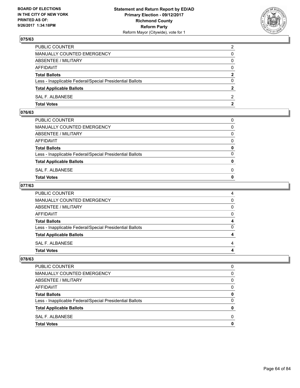

| PUBLIC COUNTER                                           | 2            |
|----------------------------------------------------------|--------------|
| MANUALLY COUNTED EMERGENCY                               | 0            |
| ABSENTEE / MILITARY                                      | 0            |
| <b>AFFIDAVIT</b>                                         | $\Omega$     |
| <b>Total Ballots</b>                                     | $\mathbf{2}$ |
| Less - Inapplicable Federal/Special Presidential Ballots | $\Omega$     |
| <b>Total Applicable Ballots</b>                          | 2            |
| SAL F. ALBANESE                                          | 2            |
| <b>Total Votes</b>                                       | 2            |

### **076/63**

| MANUALLY COUNTED EMERGENCY                               |              |
|----------------------------------------------------------|--------------|
| ABSENTEE / MILITARY                                      | $\Omega$     |
| AFFIDAVIT                                                | $\mathbf{0}$ |
| <b>Total Ballots</b>                                     | $\mathbf{0}$ |
| Less - Inapplicable Federal/Special Presidential Ballots | $\Omega$     |
| <b>Total Applicable Ballots</b>                          | $\mathbf{0}$ |
| SAL F. ALBANESE                                          | 0            |
| <b>Total Votes</b>                                       | $\mathbf{0}$ |
|                                                          |              |

### **077/63**

| <b>Total Votes</b>                                       | 4        |
|----------------------------------------------------------|----------|
| <b>SAL F. ALBANESE</b>                                   | 4        |
| <b>Total Applicable Ballots</b>                          | 4        |
| Less - Inapplicable Federal/Special Presidential Ballots | 0        |
| <b>Total Ballots</b>                                     | 4        |
| AFFIDAVIT                                                | $\Omega$ |
| <b>ABSENTEE / MILITARY</b>                               | $\Omega$ |
| <b>MANUALLY COUNTED EMERGENCY</b>                        | 0        |
| PUBLIC COUNTER                                           | 4        |

| PUBLIC COUNTER                                           | O |
|----------------------------------------------------------|---|
| MANUALLY COUNTED EMERGENCY                               | 0 |
| ABSENTEE / MILITARY                                      | 0 |
| <b>AFFIDAVIT</b>                                         | 0 |
| <b>Total Ballots</b>                                     | 0 |
| Less - Inapplicable Federal/Special Presidential Ballots | 0 |
| <b>Total Applicable Ballots</b>                          | o |
| SAL F. ALBANESE                                          | O |
| <b>Total Votes</b>                                       |   |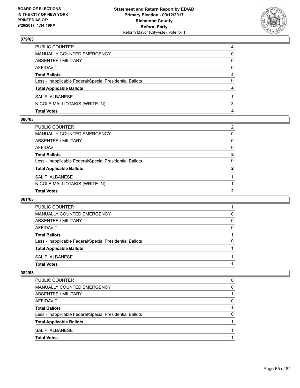

| <b>Total Votes</b>                                       | 4 |
|----------------------------------------------------------|---|
| NICOLE MALLIOTAKIS (WRITE-IN)                            | 3 |
| SAL F. ALBANESE                                          |   |
| <b>Total Applicable Ballots</b>                          | 4 |
| Less - Inapplicable Federal/Special Presidential Ballots | 0 |
| <b>Total Ballots</b>                                     | 4 |
| AFFIDAVIT                                                | 0 |
| <b>ABSENTEE / MILITARY</b>                               | 0 |
| MANUALLY COUNTED EMERGENCY                               | 0 |
| PUBLIC COUNTER                                           | 4 |

#### **080/63**

| <b>Total Votes</b>                                       | 2              |
|----------------------------------------------------------|----------------|
| NICOLE MALLIOTAKIS (WRITE-IN)                            |                |
| SAL F. ALBANESE                                          |                |
| <b>Total Applicable Ballots</b>                          | $\overline{2}$ |
| Less - Inapplicable Federal/Special Presidential Ballots | 0              |
| Total Ballots                                            | $\mathbf{2}$   |
| AFFIDAVIT                                                | 0              |
| ABSENTEE / MILITARY                                      | $\mathbf{0}$   |
| MANUALLY COUNTED EMERGENCY                               | 0              |
| PUBLIC COUNTER                                           | 2              |

### **081/63**

| MANUALLY COUNTED EMERGENCY                               | 0 |
|----------------------------------------------------------|---|
| ABSENTEE / MILITARY                                      | 0 |
| AFFIDAVIT                                                | 0 |
| <b>Total Ballots</b>                                     |   |
| Less - Inapplicable Federal/Special Presidential Ballots | 0 |
| <b>Total Applicable Ballots</b>                          |   |
| SAL F. ALBANESE                                          |   |
| <b>Total Votes</b>                                       |   |

| <b>Total Votes</b>                                       |   |
|----------------------------------------------------------|---|
| SAL F. ALBANESE                                          |   |
| <b>Total Applicable Ballots</b>                          |   |
| Less - Inapplicable Federal/Special Presidential Ballots | 0 |
| <b>Total Ballots</b>                                     |   |
| AFFIDAVIT                                                | 0 |
| ABSENTEE / MILITARY                                      |   |
| MANUALLY COUNTED EMERGENCY                               | 0 |
| PUBLIC COUNTER                                           | 0 |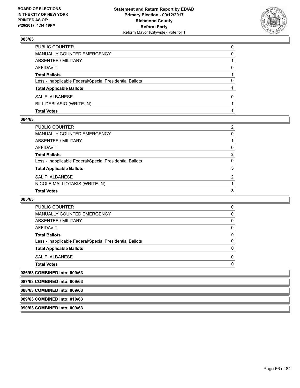

| <b>Total Votes</b>                                       |          |
|----------------------------------------------------------|----------|
| BILL DEBLASIO (WRITE-IN)                                 |          |
| SAL F. ALBANESE                                          | 0        |
| <b>Total Applicable Ballots</b>                          |          |
| Less - Inapplicable Federal/Special Presidential Ballots | 0        |
| <b>Total Ballots</b>                                     |          |
| AFFIDAVIT                                                | 0        |
| ABSENTEE / MILITARY                                      |          |
| <b>MANUALLY COUNTED EMERGENCY</b>                        | 0        |
| PUBLIC COUNTER                                           | $\Omega$ |

#### **084/63**

| Total Votes                                              | 3 |
|----------------------------------------------------------|---|
| NICOLE MALLIOTAKIS (WRITE-IN)                            |   |
| SAL F. ALBANESE                                          | 2 |
| <b>Total Applicable Ballots</b>                          | 3 |
| Less - Inapplicable Federal/Special Presidential Ballots | 0 |
| Total Ballots                                            | 3 |
| AFFIDAVIT                                                | 0 |
| ABSENTEE / MILITARY                                      |   |
| MANUALLY COUNTED EMERGENCY                               | 0 |
| PUBLIC COUNTER                                           | 2 |
|                                                          |   |

#### **085/63**

| <b>PUBLIC COUNTER</b>                                    | 0 |  |
|----------------------------------------------------------|---|--|
| <b>MANUALLY COUNTED EMERGENCY</b>                        | 0 |  |
| <b>ABSENTEE / MILITARY</b>                               | 0 |  |
| <b>AFFIDAVIT</b>                                         | 0 |  |
| <b>Total Ballots</b>                                     | 0 |  |
| Less - Inapplicable Federal/Special Presidential Ballots | 0 |  |
| <b>Total Applicable Ballots</b>                          | 0 |  |
| SAL F. ALBANESE                                          | 0 |  |
| <b>Total Votes</b>                                       | n |  |
| 086/63 COMBINED into: 009/63                             |   |  |
| 087/63 COMBINED into: 009/63                             |   |  |
| 088/63 COMBINED into: 009/63                             |   |  |
| 089/63 COMBINED into: 010/63                             |   |  |
| 090/63 COMBINED into: 009/63                             |   |  |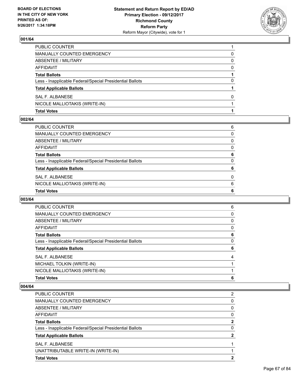

| <b>Total Votes</b>                                       |   |
|----------------------------------------------------------|---|
| NICOLE MALLIOTAKIS (WRITE-IN)                            |   |
| SAL F. ALBANESE                                          | 0 |
| <b>Total Applicable Ballots</b>                          |   |
| Less - Inapplicable Federal/Special Presidential Ballots | 0 |
| <b>Total Ballots</b>                                     |   |
| AFFIDAVIT                                                | 0 |
| ABSENTEE / MILITARY                                      | 0 |
| MANUALLY COUNTED EMERGENCY                               | 0 |
| PUBLIC COUNTER                                           |   |

#### **002/64**

| PUBLIC COUNTER<br>6<br>0<br>0<br>$\Omega$<br>6<br>$\mathbf{0}$<br>6<br>$\Omega$<br>6<br>6                                                                                                                                                                |  |
|----------------------------------------------------------------------------------------------------------------------------------------------------------------------------------------------------------------------------------------------------------|--|
| MANUALLY COUNTED EMERGENCY<br>ABSENTEE / MILITARY<br>AFFIDAVIT<br>Total Ballots<br>Less - Inapplicable Federal/Special Presidential Ballots<br><b>Total Applicable Ballots</b><br>SAL F. ALBANESE<br>NICOLE MALLIOTAKIS (WRITE-IN)<br><b>Total Votes</b> |  |
|                                                                                                                                                                                                                                                          |  |
|                                                                                                                                                                                                                                                          |  |
|                                                                                                                                                                                                                                                          |  |
|                                                                                                                                                                                                                                                          |  |
|                                                                                                                                                                                                                                                          |  |
|                                                                                                                                                                                                                                                          |  |
|                                                                                                                                                                                                                                                          |  |
|                                                                                                                                                                                                                                                          |  |
|                                                                                                                                                                                                                                                          |  |

#### **003/64**

| <b>PUBLIC COUNTER</b>                                    | 6 |
|----------------------------------------------------------|---|
| <b>MANUALLY COUNTED EMERGENCY</b>                        | 0 |
| ABSENTEE / MILITARY                                      | 0 |
| AFFIDAVIT                                                | 0 |
| <b>Total Ballots</b>                                     | 6 |
| Less - Inapplicable Federal/Special Presidential Ballots | 0 |
| <b>Total Applicable Ballots</b>                          | 6 |
| SAL F. ALBANESE                                          | 4 |
| MICHAEL TOLKIN (WRITE-IN)                                |   |
| NICOLE MALLIOTAKIS (WRITE-IN)                            |   |
| <b>Total Votes</b>                                       | 6 |

| <b>Total Votes</b>                                       |   |
|----------------------------------------------------------|---|
| UNATTRIBUTABLE WRITE-IN (WRITE-IN)                       |   |
| SAL F. ALBANESE                                          |   |
| <b>Total Applicable Ballots</b>                          |   |
| Less - Inapplicable Federal/Special Presidential Ballots | 0 |
| <b>Total Ballots</b>                                     | 2 |
| AFFIDAVIT                                                | 0 |
| <b>ABSENTEE / MILITARY</b>                               | 0 |
| <b>MANUALLY COUNTED EMERGENCY</b>                        | 0 |
| <b>PUBLIC COUNTER</b>                                    | 2 |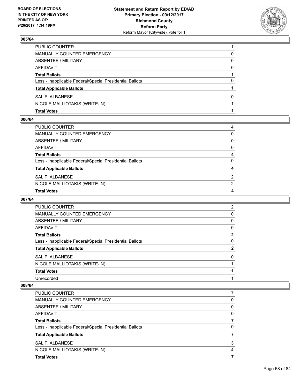

| <b>Total Votes</b>                                       |   |
|----------------------------------------------------------|---|
| NICOLE MALLIOTAKIS (WRITE-IN)                            |   |
| SAL F. ALBANESE                                          | 0 |
| <b>Total Applicable Ballots</b>                          |   |
| Less - Inapplicable Federal/Special Presidential Ballots | 0 |
| <b>Total Ballots</b>                                     |   |
| AFFIDAVIT                                                | 0 |
| <b>ABSENTEE / MILITARY</b>                               | 0 |
| MANUALLY COUNTED EMERGENCY                               | 0 |
| PUBLIC COUNTER                                           |   |

#### **006/64**

| PUBLIC COUNTER                                           | 4            |
|----------------------------------------------------------|--------------|
| MANUALLY COUNTED EMERGENCY                               | 0            |
| ABSENTEE / MILITARY                                      | $\mathbf{0}$ |
| AFFIDAVIT                                                | $\Omega$     |
| Total Ballots                                            | 4            |
| Less - Inapplicable Federal/Special Presidential Ballots | $\Omega$     |
| <b>Total Applicable Ballots</b>                          | 4            |
| SAL F. ALBANESE                                          | 2            |
| NICOLE MALLIOTAKIS (WRITE-IN)                            | 2            |
| <b>Total Votes</b>                                       | 4            |

### **007/64**

| <b>PUBLIC COUNTER</b>                                    | $\overline{2}$ |
|----------------------------------------------------------|----------------|
| <b>MANUALLY COUNTED EMERGENCY</b>                        | 0              |
| ABSENTEE / MILITARY                                      | 0              |
| AFFIDAVIT                                                | 0              |
| <b>Total Ballots</b>                                     | $\mathbf{2}$   |
| Less - Inapplicable Federal/Special Presidential Ballots | 0              |
| <b>Total Applicable Ballots</b>                          | 2              |
| SAL F. ALBANESE                                          | 0              |
| NICOLE MALLIOTAKIS (WRITE-IN)                            |                |
| <b>Total Votes</b>                                       |                |
| Unrecorded                                               |                |
|                                                          |                |

| <b>PUBLIC COUNTER</b>                                    |   |
|----------------------------------------------------------|---|
| <b>MANUALLY COUNTED EMERGENCY</b>                        | 0 |
| ABSENTEE / MILITARY                                      | 0 |
| AFFIDAVIT                                                | 0 |
| <b>Total Ballots</b>                                     |   |
| Less - Inapplicable Federal/Special Presidential Ballots | 0 |
| <b>Total Applicable Ballots</b>                          |   |
| SAL F. ALBANESE                                          | 3 |
| NICOLE MALLIOTAKIS (WRITE-IN)                            | 4 |
| <b>Total Votes</b>                                       |   |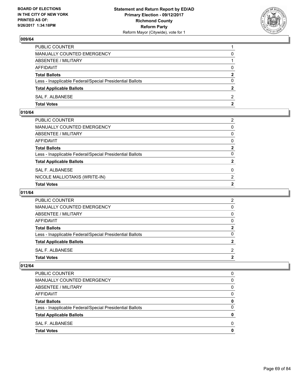

| PUBLIC COUNTER                                           |              |
|----------------------------------------------------------|--------------|
| MANUALLY COUNTED EMERGENCY                               | 0            |
| ABSENTEE / MILITARY                                      |              |
| AFFIDAVIT                                                | $\Omega$     |
| <b>Total Ballots</b>                                     | $\mathbf{2}$ |
| Less - Inapplicable Federal/Special Presidential Ballots | $\Omega$     |
| <b>Total Applicable Ballots</b>                          | $\mathbf{2}$ |
| SAL F. ALBANESE                                          | 2            |
| <b>Total Votes</b>                                       | 2            |

## **010/64**

| MANUALLY COUNTED EMERGENCY                               | $\mathbf{0}$   |
|----------------------------------------------------------|----------------|
| ABSENTEE / MILITARY                                      | $\mathbf{0}$   |
| AFFIDAVIT                                                | $\mathbf{0}$   |
| Total Ballots                                            | $\mathbf{2}$   |
| Less - Inapplicable Federal/Special Presidential Ballots | $\Omega$       |
| <b>Total Applicable Ballots</b>                          | $\overline{2}$ |
| SAL F. ALBANESE                                          | 0              |
| NICOLE MALLIOTAKIS (WRITE-IN)                            | 2              |
| <b>Total Votes</b>                                       | $\mathbf{2}$   |

## **011/64**

| PUBLIC COUNTER                                           | ົ |
|----------------------------------------------------------|---|
| MANUALLY COUNTED EMERGENCY                               |   |
| ABSENTEE / MILITARY                                      |   |
| AFFIDAVIT                                                |   |
| <b>Total Ballots</b>                                     |   |
| Less - Inapplicable Federal/Special Presidential Ballots |   |
| <b>Total Applicable Ballots</b>                          |   |
| SAL F. ALBANESE                                          | ົ |
| <b>Total Votes</b>                                       |   |

| <b>Total Votes</b>                                       | 0        |
|----------------------------------------------------------|----------|
| SAL F. ALBANESE                                          | 0        |
| <b>Total Applicable Ballots</b>                          | 0        |
| Less - Inapplicable Federal/Special Presidential Ballots | 0        |
| <b>Total Ballots</b>                                     | 0        |
| AFFIDAVIT                                                | $\Omega$ |
| ABSENTEE / MILITARY                                      | 0        |
| MANUALLY COUNTED EMERGENCY                               | 0        |
| <b>PUBLIC COUNTER</b>                                    | 0        |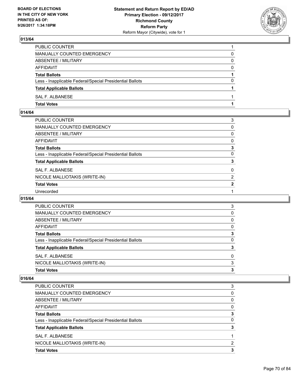

| <b>Total Votes</b>                                       |          |
|----------------------------------------------------------|----------|
| SAL F. ALBANESE                                          |          |
| <b>Total Applicable Ballots</b>                          |          |
| Less - Inapplicable Federal/Special Presidential Ballots | 0        |
| <b>Total Ballots</b>                                     |          |
| AFFIDAVIT                                                | $\Omega$ |
| ABSENTEE / MILITARY                                      | 0        |
| <b>MANUALLY COUNTED EMERGENCY</b>                        | 0        |
| PUBLIC COUNTER                                           |          |

## **014/64**

| PUBLIC COUNTER                                           | 3              |
|----------------------------------------------------------|----------------|
| MANUALLY COUNTED EMERGENCY                               | 0              |
| ABSENTEE / MILITARY                                      | 0              |
| AFFIDAVIT                                                | 0              |
| Total Ballots                                            | 3              |
| Less - Inapplicable Federal/Special Presidential Ballots | 0              |
| <b>Total Applicable Ballots</b>                          | 3              |
| <b>SAL F. ALBANESE</b>                                   | $\mathbf{0}$   |
| NICOLE MALLIOTAKIS (WRITE-IN)                            | $\overline{2}$ |
| <b>Total Votes</b>                                       | $\mathbf{2}$   |
| Unrecorded                                               |                |

### **015/64**

| SAL F. ALBANESE<br>NICOLE MALLIOTAKIS (WRITE-IN)         | 0<br>3 |
|----------------------------------------------------------|--------|
|                                                          |        |
| <b>Total Applicable Ballots</b>                          | 3      |
| Less - Inapplicable Federal/Special Presidential Ballots | 0      |
| <b>Total Ballots</b>                                     | 3      |
| AFFIDAVIT                                                | 0      |
| ABSENTEE / MILITARY                                      | 0      |
| MANUALLY COUNTED EMERGENCY                               | 0      |
| <b>PUBLIC COUNTER</b>                                    | 3      |

| <b>PUBLIC COUNTER</b>                                    | 3 |
|----------------------------------------------------------|---|
| <b>MANUALLY COUNTED EMERGENCY</b>                        | 0 |
| <b>ABSENTEE / MILITARY</b>                               | 0 |
| <b>AFFIDAVIT</b>                                         | 0 |
| <b>Total Ballots</b>                                     | 3 |
| Less - Inapplicable Federal/Special Presidential Ballots | 0 |
| <b>Total Applicable Ballots</b>                          |   |
| SAL F. ALBANESE                                          |   |
| NICOLE MALLIOTAKIS (WRITE-IN)                            | 2 |
| <b>Total Votes</b>                                       |   |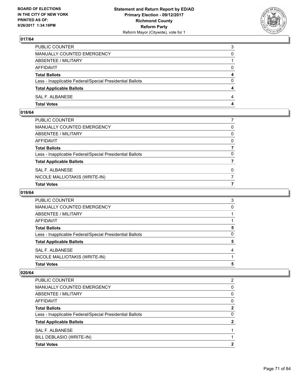

| PUBLIC COUNTER                                           | 3            |
|----------------------------------------------------------|--------------|
| MANUALLY COUNTED EMERGENCY                               | $\Omega$     |
| ABSENTEE / MILITARY                                      |              |
| AFFIDAVIT                                                | 0            |
| <b>Total Ballots</b>                                     | 4            |
| Less - Inapplicable Federal/Special Presidential Ballots | $\mathbf{0}$ |
| <b>Total Applicable Ballots</b>                          | 4            |
| SAL F. ALBANESE                                          | 4            |
| <b>Total Votes</b>                                       | 4            |

## **018/64**

| PUBLIC COUNTER                                           |              |
|----------------------------------------------------------|--------------|
| MANUALLY COUNTED EMERGENCY                               | 0            |
| ABSENTEE / MILITARY                                      | $\mathbf{0}$ |
| AFFIDAVIT                                                | $\mathbf{0}$ |
| Total Ballots                                            |              |
| Less - Inapplicable Federal/Special Presidential Ballots | $\Omega$     |
| <b>Total Applicable Ballots</b>                          |              |
| SAL F. ALBANESE                                          | 0            |
| NICOLE MALLIOTAKIS (WRITE-IN)                            | 7            |
| <b>Total Votes</b>                                       | 7            |

## **019/64**

| PUBLIC COUNTER                                           | 3 |
|----------------------------------------------------------|---|
| <b>MANUALLY COUNTED EMERGENCY</b>                        | 0 |
| ABSENTEE / MILITARY                                      |   |
| AFFIDAVIT                                                |   |
| <b>Total Ballots</b>                                     | 5 |
| Less - Inapplicable Federal/Special Presidential Ballots | O |
| <b>Total Applicable Ballots</b>                          | 5 |
| SAL F. ALBANESE                                          | 4 |
| NICOLE MALLIOTAKIS (WRITE-IN)                            |   |
| <b>Total Votes</b>                                       | 5 |

| <b>Total Votes</b>                                       | כי |
|----------------------------------------------------------|----|
| BILL DEBLASIO (WRITE-IN)                                 |    |
| SAL F. ALBANESE                                          |    |
| <b>Total Applicable Ballots</b>                          |    |
| Less - Inapplicable Federal/Special Presidential Ballots | 0  |
| <b>Total Ballots</b>                                     | າ  |
| AFFIDAVIT                                                | 0  |
| <b>ABSENTEE / MILITARY</b>                               | 0  |
| <b>MANUALLY COUNTED EMERGENCY</b>                        | 0  |
| <b>PUBLIC COUNTER</b>                                    | 2  |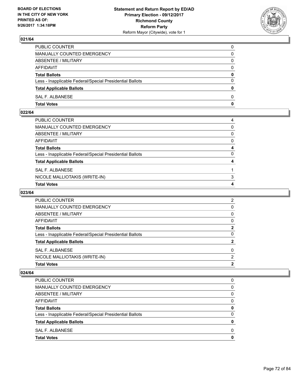

| PUBLIC COUNTER                                           | 0            |
|----------------------------------------------------------|--------------|
| MANUALLY COUNTED EMERGENCY                               | $\Omega$     |
| ABSENTEE / MILITARY                                      | $\mathbf{0}$ |
| AFFIDAVIT                                                | 0            |
| <b>Total Ballots</b>                                     | 0            |
| Less - Inapplicable Federal/Special Presidential Ballots | $\mathbf{0}$ |
| <b>Total Applicable Ballots</b>                          | $\mathbf{0}$ |
| SAL F. ALBANESE                                          | $\Omega$     |
| <b>Total Votes</b>                                       | $\mathbf{0}$ |

### **022/64**

| PUBLIC COUNTER                                           | 4            |
|----------------------------------------------------------|--------------|
| MANUALLY COUNTED EMERGENCY                               | $\mathbf{0}$ |
| ABSENTEE / MILITARY                                      | $\mathbf{0}$ |
| AFFIDAVIT                                                | $\mathbf{0}$ |
| Total Ballots                                            | 4            |
| Less - Inapplicable Federal/Special Presidential Ballots | $\Omega$     |
| <b>Total Applicable Ballots</b>                          | 4            |
| SAL F. ALBANESE                                          |              |
| NICOLE MALLIOTAKIS (WRITE-IN)                            | 3            |
| <b>Total Votes</b>                                       | 4            |

## **023/64**

| PUBLIC COUNTER                                           | 2            |
|----------------------------------------------------------|--------------|
| MANUALLY COUNTED EMERGENCY                               | 0            |
| ABSENTEE / MILITARY                                      | 0            |
| AFFIDAVIT                                                | 0            |
| <b>Total Ballots</b>                                     | 2            |
| Less - Inapplicable Federal/Special Presidential Ballots | <sup>0</sup> |
| <b>Total Applicable Ballots</b>                          | 2            |
| SAL F. ALBANESE                                          | 0            |
| NICOLE MALLIOTAKIS (WRITE-IN)                            | 2            |
| <b>Total Votes</b>                                       | 2            |

| PUBLIC COUNTER                                           | 0 |
|----------------------------------------------------------|---|
| MANUALLY COUNTED EMERGENCY                               | O |
| ABSENTEE / MILITARY                                      | 0 |
| AFFIDAVIT                                                | 0 |
| <b>Total Ballots</b>                                     | 0 |
| Less - Inapplicable Federal/Special Presidential Ballots | 0 |
| <b>Total Applicable Ballots</b>                          | O |
| SAL F. ALBANESE                                          | O |
| <b>Total Votes</b>                                       |   |
|                                                          |   |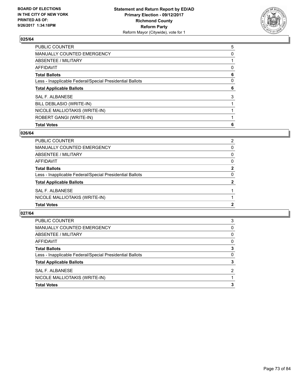

| <b>Total Votes</b>                                       | 6 |
|----------------------------------------------------------|---|
| ROBERT GANGI (WRITE-IN)                                  |   |
| NICOLE MALLIOTAKIS (WRITE-IN)                            |   |
| BILL DEBLASIO (WRITE-IN)                                 |   |
| <b>SAL F. ALBANESE</b>                                   | 3 |
| <b>Total Applicable Ballots</b>                          | 6 |
| Less - Inapplicable Federal/Special Presidential Ballots | 0 |
| <b>Total Ballots</b>                                     | 6 |
| <b>AFFIDAVIT</b>                                         | 0 |
| ABSENTEE / MILITARY                                      |   |
| <b>MANUALLY COUNTED EMERGENCY</b>                        | 0 |
| <b>PUBLIC COUNTER</b>                                    | 5 |

## **026/64**

| PUBLIC COUNTER                                           | 2            |
|----------------------------------------------------------|--------------|
| <b>MANUALLY COUNTED EMERGENCY</b>                        | 0            |
| <b>ABSENTEE / MILITARY</b>                               | 0            |
| AFFIDAVIT                                                | 0            |
| <b>Total Ballots</b>                                     | $\mathbf{2}$ |
| Less - Inapplicable Federal/Special Presidential Ballots | $\Omega$     |
| <b>Total Applicable Ballots</b>                          | 2            |
| SAL F. ALBANESE                                          |              |
| NICOLE MALLIOTAKIS (WRITE-IN)                            |              |
| <b>Total Votes</b>                                       | 2            |

| <b>Total Votes</b>                                       | 3 |
|----------------------------------------------------------|---|
| NICOLE MALLIOTAKIS (WRITE-IN)                            |   |
| SAL F. ALBANESE                                          | 2 |
| <b>Total Applicable Ballots</b>                          | 3 |
| Less - Inapplicable Federal/Special Presidential Ballots | 0 |
| <b>Total Ballots</b>                                     | 3 |
| AFFIDAVIT                                                | 0 |
| ABSENTEE / MILITARY                                      | 0 |
| MANUALLY COUNTED EMERGENCY                               | 0 |
| <b>PUBLIC COUNTER</b>                                    | 3 |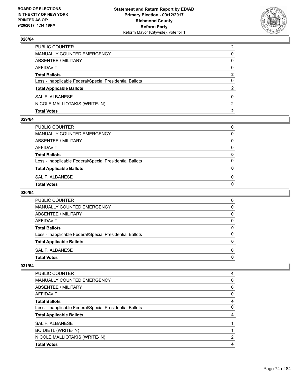

| <b>Total Votes</b>                                       | 2            |
|----------------------------------------------------------|--------------|
| NICOLE MALLIOTAKIS (WRITE-IN)                            | 2            |
| SAL F. ALBANESE                                          | 0            |
| <b>Total Applicable Ballots</b>                          | $\mathbf{2}$ |
| Less - Inapplicable Federal/Special Presidential Ballots | 0            |
| <b>Total Ballots</b>                                     | 2            |
| AFFIDAVIT                                                | $\Omega$     |
| ABSENTEE / MILITARY                                      | 0            |
| MANUALLY COUNTED EMERGENCY                               | 0            |
| PUBLIC COUNTER                                           | 2            |

### **029/64**

| Total Votes                                              | 0 |
|----------------------------------------------------------|---|
| SAL F. ALBANESE                                          | 0 |
| <b>Total Applicable Ballots</b>                          | 0 |
| Less - Inapplicable Federal/Special Presidential Ballots | 0 |
| <b>Total Ballots</b>                                     | 0 |
| AFFIDAVIT                                                | 0 |
| ABSENTEE / MILITARY                                      | 0 |
| MANUALLY COUNTED EMERGENCY                               | 0 |
| PUBLIC COUNTER                                           | 0 |
|                                                          |   |

# **030/64**

| <b>PUBLIC COUNTER</b>                                    | 0 |
|----------------------------------------------------------|---|
| <b>MANUALLY COUNTED EMERGENCY</b>                        | 0 |
| ABSENTEE / MILITARY                                      | 0 |
| AFFIDAVIT                                                | 0 |
| <b>Total Ballots</b>                                     | 0 |
| Less - Inapplicable Federal/Special Presidential Ballots | O |
| <b>Total Applicable Ballots</b>                          |   |
| SAL F. ALBANESE                                          | 0 |
| <b>Total Votes</b>                                       |   |

| <b>Total Votes</b>                                       | 4 |
|----------------------------------------------------------|---|
| NICOLE MALLIOTAKIS (WRITE-IN)                            | 2 |
| <b>BO DIETL (WRITE-IN)</b>                               |   |
| SAL F. ALBANESE                                          |   |
| <b>Total Applicable Ballots</b>                          |   |
| Less - Inapplicable Federal/Special Presidential Ballots | 0 |
| <b>Total Ballots</b>                                     | 4 |
| AFFIDAVIT                                                | 0 |
| ABSENTEE / MILITARY                                      | 0 |
| <b>MANUALLY COUNTED EMERGENCY</b>                        | 0 |
| <b>PUBLIC COUNTER</b>                                    | 4 |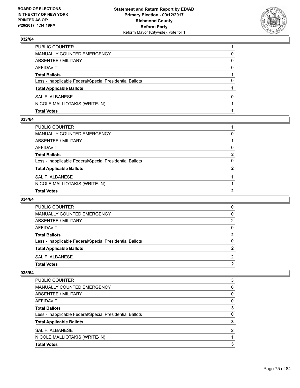

| <b>Total Votes</b>                                       |   |
|----------------------------------------------------------|---|
| NICOLE MALLIOTAKIS (WRITE-IN)                            |   |
| SAL F. ALBANESE                                          | 0 |
| <b>Total Applicable Ballots</b>                          |   |
| Less - Inapplicable Federal/Special Presidential Ballots | 0 |
| <b>Total Ballots</b>                                     |   |
| AFFIDAVIT                                                | 0 |
| <b>ABSENTEE / MILITARY</b>                               | 0 |
| MANUALLY COUNTED EMERGENCY                               | 0 |
| PUBLIC COUNTER                                           |   |

#### **033/64**

| <b>Total Votes</b>                                       | 2            |
|----------------------------------------------------------|--------------|
| NICOLE MALLIOTAKIS (WRITE-IN)                            |              |
| SAL F. ALBANESE                                          |              |
| <b>Total Applicable Ballots</b>                          | $\mathbf{2}$ |
| Less - Inapplicable Federal/Special Presidential Ballots | $\Omega$     |
| Total Ballots                                            | $\mathbf{2}$ |
| AFFIDAVIT                                                | $\Omega$     |
| ABSENTEE / MILITARY                                      |              |
| MANUALLY COUNTED EMERGENCY                               | 0            |
| PUBLIC COUNTER                                           |              |
|                                                          |              |

### **034/64**

| <b>Total Votes</b>                                       | 2        |
|----------------------------------------------------------|----------|
| SAL F. ALBANESE                                          | 2        |
| <b>Total Applicable Ballots</b>                          | 2        |
| Less - Inapplicable Federal/Special Presidential Ballots | 0        |
| <b>Total Ballots</b>                                     | 2        |
| AFFIDAVIT                                                | $\Omega$ |
| ABSENTEE / MILITARY                                      | 2        |
| MANUALLY COUNTED EMERGENCY                               | 0        |
| <b>PUBLIC COUNTER</b>                                    | 0        |

| <b>PUBLIC COUNTER</b>                                    | 3 |
|----------------------------------------------------------|---|
| <b>MANUALLY COUNTED EMERGENCY</b>                        | 0 |
| ABSENTEE / MILITARY                                      | 0 |
| AFFIDAVIT                                                | 0 |
| <b>Total Ballots</b>                                     | 3 |
| Less - Inapplicable Federal/Special Presidential Ballots | 0 |
| <b>Total Applicable Ballots</b>                          | 3 |
| SAL F. ALBANESE                                          | 2 |
| NICOLE MALLIOTAKIS (WRITE-IN)                            |   |
| <b>Total Votes</b>                                       | 3 |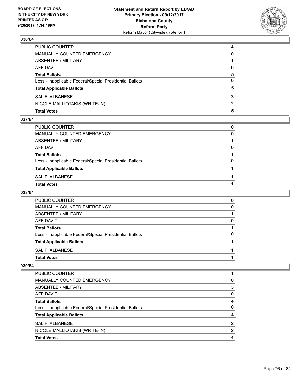

| <b>Total Votes</b>                                       | 5 |
|----------------------------------------------------------|---|
| NICOLE MALLIOTAKIS (WRITE-IN)                            | 2 |
| SAL F. ALBANESE                                          | 3 |
| <b>Total Applicable Ballots</b>                          | 5 |
| Less - Inapplicable Federal/Special Presidential Ballots | 0 |
| <b>Total Ballots</b>                                     | 5 |
| AFFIDAVIT                                                | 0 |
| <b>ABSENTEE / MILITARY</b>                               |   |
| MANUALLY COUNTED EMERGENCY                               | 0 |
| PUBLIC COUNTER                                           | 4 |

#### **037/64**

| MANUALLY COUNTED EMERGENCY                               | 0 |
|----------------------------------------------------------|---|
| ABSENTEE / MILITARY                                      |   |
| AFFIDAVIT                                                | 0 |
| <b>Total Ballots</b>                                     |   |
| Less - Inapplicable Federal/Special Presidential Ballots | 0 |
| <b>Total Applicable Ballots</b>                          |   |
| SAL F. ALBANESE                                          |   |
| Total Votes                                              |   |
|                                                          |   |

# **038/64**

| <b>PUBLIC COUNTER</b>                                    | 0 |
|----------------------------------------------------------|---|
| MANUALLY COUNTED EMERGENCY                               | 0 |
| ABSENTEE / MILITARY                                      |   |
| AFFIDAVIT                                                | 0 |
| <b>Total Ballots</b>                                     |   |
| Less - Inapplicable Federal/Special Presidential Ballots | O |
| <b>Total Applicable Ballots</b>                          |   |
| SAL F. ALBANESE                                          |   |
| <b>Total Votes</b>                                       |   |

| <b>Total Votes</b>                                       | 4 |
|----------------------------------------------------------|---|
| NICOLE MALLIOTAKIS (WRITE-IN)                            | 2 |
| SAL F. ALBANESE                                          | 2 |
| <b>Total Applicable Ballots</b>                          |   |
| Less - Inapplicable Federal/Special Presidential Ballots | 0 |
| <b>Total Ballots</b>                                     | 4 |
| AFFIDAVIT                                                | 0 |
| ABSENTEE / MILITARY                                      | 3 |
| <b>MANUALLY COUNTED EMERGENCY</b>                        | 0 |
| <b>PUBLIC COUNTER</b>                                    |   |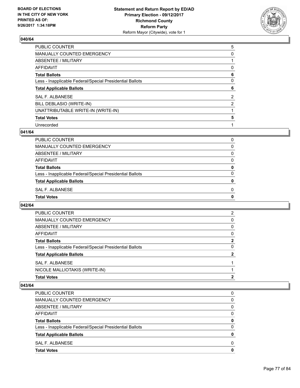

| PUBLIC COUNTER                                           | 5 |
|----------------------------------------------------------|---|
| <b>MANUALLY COUNTED EMERGENCY</b>                        | 0 |
| <b>ABSENTEE / MILITARY</b>                               |   |
| <b>AFFIDAVIT</b>                                         | 0 |
| <b>Total Ballots</b>                                     | 6 |
| Less - Inapplicable Federal/Special Presidential Ballots | 0 |
| <b>Total Applicable Ballots</b>                          | 6 |
| <b>SAL F. ALBANESE</b>                                   | 2 |
| BILL DEBLASIO (WRITE-IN)                                 | 2 |
| UNATTRIBUTABLE WRITE-IN (WRITE-IN)                       |   |
| <b>Total Votes</b>                                       | 5 |
| Unrecorded                                               |   |

#### **041/64**

| <b>Total Votes</b>                                       | 0            |
|----------------------------------------------------------|--------------|
| SAL F. ALBANESE                                          | <sup>0</sup> |
| <b>Total Applicable Ballots</b>                          | 0            |
| Less - Inapplicable Federal/Special Presidential Ballots | 0            |
| <b>Total Ballots</b>                                     | 0            |
| <b>AFFIDAVIT</b>                                         | 0            |
| ABSENTEE / MILITARY                                      | 0            |
| MANUALLY COUNTED EMERGENCY                               | 0            |
| PUBLIC COUNTER                                           | 0            |

## **042/64**

| SAL F. ALBANESE                                          |             |
|----------------------------------------------------------|-------------|
| <b>Total Applicable Ballots</b>                          | 2           |
| Less - Inapplicable Federal/Special Presidential Ballots | 0           |
| <b>Total Ballots</b>                                     | $\mathbf 2$ |
| AFFIDAVIT                                                | 0           |
| ABSENTEE / MILITARY                                      | 0           |
| <b>MANUALLY COUNTED EMERGENCY</b>                        | 0           |
| <b>PUBLIC COUNTER</b>                                    | 2           |

| <b>Total Votes</b>                                       |          |
|----------------------------------------------------------|----------|
|                                                          | 0        |
| SAL F. ALBANESE                                          | 0        |
| <b>Total Applicable Ballots</b>                          | O        |
| Less - Inapplicable Federal/Special Presidential Ballots | 0        |
| <b>Total Ballots</b>                                     | 0        |
| <b>AFFIDAVIT</b>                                         | $\Omega$ |
| ABSENTEE / MILITARY                                      | 0        |
| <b>MANUALLY COUNTED EMERGENCY</b>                        | 0        |
| <b>PUBLIC COUNTER</b>                                    | 0        |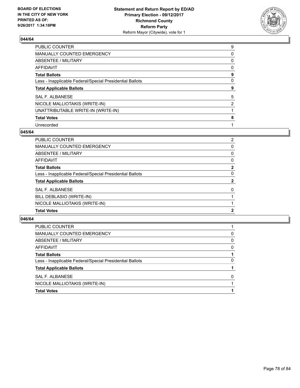

| <b>PUBLIC COUNTER</b>                                    | 9              |
|----------------------------------------------------------|----------------|
| <b>MANUALLY COUNTED EMERGENCY</b>                        | 0              |
| ABSENTEE / MILITARY                                      | 0              |
| <b>AFFIDAVIT</b>                                         | 0              |
| <b>Total Ballots</b>                                     | 9              |
| Less - Inapplicable Federal/Special Presidential Ballots | 0              |
| <b>Total Applicable Ballots</b>                          | 9              |
| <b>SAL F. ALBANESE</b>                                   | 5              |
| NICOLE MALLIOTAKIS (WRITE-IN)                            | $\overline{2}$ |
| UNATTRIBUTABLE WRITE-IN (WRITE-IN)                       |                |
| <b>Total Votes</b>                                       | 8              |
| Unrecorded                                               |                |

#### **045/64**

| <b>Total Votes</b>                                       | 2              |
|----------------------------------------------------------|----------------|
| NICOLE MALLIOTAKIS (WRITE-IN)                            |                |
| BILL DEBLASIO (WRITE-IN)                                 |                |
| SAL F. ALBANESE                                          | 0              |
| <b>Total Applicable Ballots</b>                          | $\mathbf{2}$   |
| Less - Inapplicable Federal/Special Presidential Ballots | 0              |
| <b>Total Ballots</b>                                     | $\mathbf{2}$   |
| <b>AFFIDAVIT</b>                                         | 0              |
| ABSENTEE / MILITARY                                      | 0              |
| <b>MANUALLY COUNTED EMERGENCY</b>                        | 0              |
| PUBLIC COUNTER                                           | $\overline{2}$ |

| <b>Total Votes</b>                                       |   |
|----------------------------------------------------------|---|
| NICOLE MALLIOTAKIS (WRITE-IN)                            |   |
| SAL F. ALBANESE                                          | 0 |
| <b>Total Applicable Ballots</b>                          |   |
| Less - Inapplicable Federal/Special Presidential Ballots | 0 |
| <b>Total Ballots</b>                                     |   |
| AFFIDAVIT                                                | 0 |
| <b>ABSENTEE / MILITARY</b>                               | 0 |
| MANUALLY COUNTED EMERGENCY                               | 0 |
| PUBLIC COUNTER                                           |   |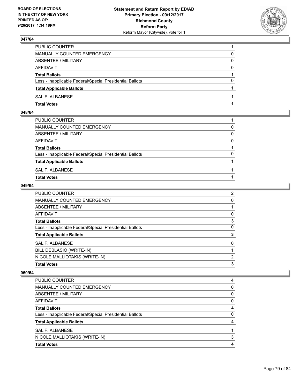

| PUBLIC COUNTER                                           |          |
|----------------------------------------------------------|----------|
| MANUALLY COUNTED EMERGENCY                               | 0        |
| ABSENTEE / MILITARY                                      | 0        |
| AFFIDAVIT                                                | 0        |
| <b>Total Ballots</b>                                     |          |
| Less - Inapplicable Federal/Special Presidential Ballots | $\Omega$ |
| <b>Total Applicable Ballots</b>                          |          |
| SAL F. ALBANESE                                          |          |
| <b>Total Votes</b>                                       |          |

# **048/64**

| PUBLIC COUNTER                                           |          |
|----------------------------------------------------------|----------|
| MANUALLY COUNTED EMERGENCY                               | 0        |
| ABSENTEE / MILITARY                                      | $\Omega$ |
| AFFIDAVIT                                                | $\Omega$ |
| <b>Total Ballots</b>                                     |          |
| Less - Inapplicable Federal/Special Presidential Ballots | 0        |
| <b>Total Applicable Ballots</b>                          |          |
| SAL F. ALBANESE                                          |          |
| <b>Total Votes</b>                                       |          |
|                                                          |          |

## **049/64**

| <b>Total Votes</b>                                       | 3              |
|----------------------------------------------------------|----------------|
| NICOLE MALLIOTAKIS (WRITE-IN)                            | 2              |
| BILL DEBLASIO (WRITE-IN)                                 |                |
| <b>SAL F. ALBANESE</b>                                   | 0              |
| <b>Total Applicable Ballots</b>                          | 3              |
| Less - Inapplicable Federal/Special Presidential Ballots | 0              |
| <b>Total Ballots</b>                                     | 3              |
| <b>AFFIDAVIT</b>                                         | 0              |
| <b>ABSENTEE / MILITARY</b>                               |                |
| <b>MANUALLY COUNTED EMERGENCY</b>                        | 0              |
| <b>PUBLIC COUNTER</b>                                    | $\overline{2}$ |

| <b>PUBLIC COUNTER</b>                                    |   |
|----------------------------------------------------------|---|
| <b>MANUALLY COUNTED EMERGENCY</b>                        | 0 |
| ABSENTEE / MILITARY                                      | 0 |
| AFFIDAVIT                                                | 0 |
| <b>Total Ballots</b>                                     | 4 |
| Less - Inapplicable Federal/Special Presidential Ballots | 0 |
| <b>Total Applicable Ballots</b>                          |   |
| SAL F. ALBANESE                                          |   |
| NICOLE MALLIOTAKIS (WRITE-IN)                            | 3 |
| <b>Total Votes</b>                                       |   |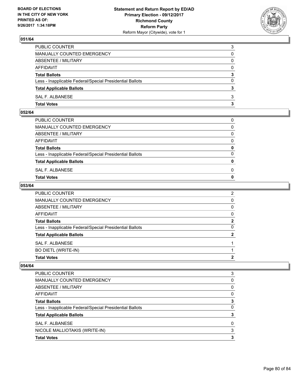

| PUBLIC COUNTER                                           | 3        |
|----------------------------------------------------------|----------|
| <b>MANUALLY COUNTED EMERGENCY</b>                        | 0        |
| ABSENTEE / MILITARY                                      | 0        |
| AFFIDAVIT                                                | 0        |
| <b>Total Ballots</b>                                     | 3        |
| Less - Inapplicable Federal/Special Presidential Ballots | $\Omega$ |
| <b>Total Applicable Ballots</b>                          | 3        |
| SAL F. ALBANESE                                          | 3        |
| <b>Total Votes</b>                                       | з        |

### **052/64**

| <b>Total Votes</b>                                       | $\mathbf{0}$ |
|----------------------------------------------------------|--------------|
| SAL F. ALBANESE                                          | 0            |
| <b>Total Applicable Ballots</b>                          | $\mathbf{0}$ |
| Less - Inapplicable Federal/Special Presidential Ballots | $\Omega$     |
| <b>Total Ballots</b>                                     | 0            |
| AFFIDAVIT                                                | $\Omega$     |
| ABSENTEE / MILITARY                                      | $\Omega$     |
| MANUALLY COUNTED EMERGENCY                               | $\Omega$     |
| PUBLIC COUNTER                                           | 0            |
|                                                          |              |

## **053/64**

| SAL F. ALBANESE                                          |                |
|----------------------------------------------------------|----------------|
| <b>Total Applicable Ballots</b>                          | $\mathbf{2}$   |
| Less - Inapplicable Federal/Special Presidential Ballots | 0              |
| <b>Total Ballots</b>                                     | $\mathbf{2}$   |
| AFFIDAVIT                                                | 0              |
| <b>ABSENTEE / MILITARY</b>                               | 0              |
| MANUALLY COUNTED EMERGENCY                               | $\Omega$       |
| PUBLIC COUNTER                                           | $\overline{2}$ |

| <b>Total Votes</b>                                       | 3 |
|----------------------------------------------------------|---|
| NICOLE MALLIOTAKIS (WRITE-IN)                            | 3 |
| SAL F. ALBANESE                                          | 0 |
| <b>Total Applicable Ballots</b>                          | 3 |
| Less - Inapplicable Federal/Special Presidential Ballots | 0 |
| <b>Total Ballots</b>                                     | 3 |
| AFFIDAVIT                                                | 0 |
| ABSENTEE / MILITARY                                      | 0 |
| <b>MANUALLY COUNTED EMERGENCY</b>                        | 0 |
| <b>PUBLIC COUNTER</b>                                    | 3 |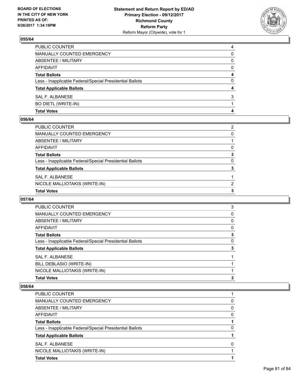

| <b>Total Votes</b>                                       | 4 |
|----------------------------------------------------------|---|
| <b>BO DIETL (WRITE-IN)</b>                               |   |
| SAL F. ALBANESE                                          | 3 |
| <b>Total Applicable Ballots</b>                          | 4 |
| Less - Inapplicable Federal/Special Presidential Ballots | 0 |
| <b>Total Ballots</b>                                     | 4 |
| <b>AFFIDAVIT</b>                                         | 0 |
| ABSENTEE / MILITARY                                      | 0 |
| MANUALLY COUNTED EMERGENCY                               | 0 |
| PUBLIC COUNTER                                           | 4 |

### **056/64**

| PUBLIC COUNTER                                           | $\overline{2}$ |
|----------------------------------------------------------|----------------|
| MANUALLY COUNTED EMERGENCY                               | 0              |
| ABSENTEE / MILITARY                                      |                |
| AFFIDAVIT                                                | $\Omega$       |
| Total Ballots                                            | 3              |
| Less - Inapplicable Federal/Special Presidential Ballots | $\Omega$       |
| <b>Total Applicable Ballots</b>                          | 3              |
| SAL F. ALBANESE                                          |                |
| NICOLE MALLIOTAKIS (WRITE-IN)                            | 2              |
| <b>Total Votes</b>                                       | 3              |

## **057/64**

| 3 |
|---|
| 0 |
| 0 |
| 0 |
| 3 |
| 0 |
| 3 |
|   |
|   |
|   |
| 3 |
|   |

| <b>PUBLIC COUNTER</b>                                    |          |
|----------------------------------------------------------|----------|
| MANUALLY COUNTED EMERGENCY                               | 0        |
| ABSENTEE / MILITARY                                      | $\Omega$ |
| AFFIDAVIT                                                | 0        |
| <b>Total Ballots</b>                                     |          |
| Less - Inapplicable Federal/Special Presidential Ballots | 0        |
| <b>Total Applicable Ballots</b>                          |          |
| SAL F. ALBANESE                                          | 0        |
| NICOLE MALLIOTAKIS (WRITE-IN)                            |          |
| <b>Total Votes</b>                                       |          |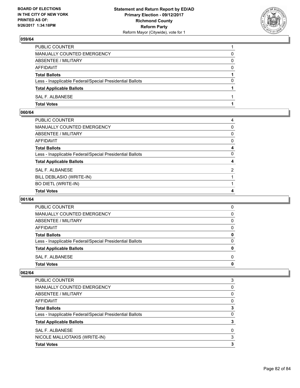

| PUBLIC COUNTER                                           |          |
|----------------------------------------------------------|----------|
| <b>MANUALLY COUNTED EMERGENCY</b>                        | 0        |
| ABSENTEE / MILITARY                                      | 0        |
| AFFIDAVIT                                                | $\Omega$ |
| <b>Total Ballots</b>                                     |          |
| Less - Inapplicable Federal/Special Presidential Ballots | 0        |
| <b>Total Applicable Ballots</b>                          |          |
| SAL F. ALBANESE                                          |          |
| <b>Total Votes</b>                                       |          |

# **060/64**

| PUBLIC COUNTER                                           | $\overline{4}$ |
|----------------------------------------------------------|----------------|
| MANUALLY COUNTED EMERGENCY                               | $\mathbf{0}$   |
| ABSENTEE / MILITARY                                      | $\mathbf{0}$   |
| AFFIDAVIT                                                | 0              |
| <b>Total Ballots</b>                                     | 4              |
| Less - Inapplicable Federal/Special Presidential Ballots | $\mathbf{0}$   |
| <b>Total Applicable Ballots</b>                          | 4              |
| <b>SAL F. ALBANESE</b>                                   | $\overline{2}$ |
| BILL DEBLASIO (WRITE-IN)                                 |                |
| <b>BO DIETL (WRITE-IN)</b>                               |                |
| <b>Total Votes</b>                                       | 4              |

## **061/64**

| <b>Total Votes</b>                                       | 0 |
|----------------------------------------------------------|---|
| SAL F. ALBANESE                                          | 0 |
| <b>Total Applicable Ballots</b>                          | 0 |
| Less - Inapplicable Federal/Special Presidential Ballots | 0 |
| <b>Total Ballots</b>                                     | 0 |
| AFFIDAVIT                                                | 0 |
| ABSENTEE / MILITARY                                      | 0 |
| MANUALLY COUNTED EMERGENCY                               | 0 |
| <b>PUBLIC COUNTER</b>                                    | 0 |

| <b>PUBLIC COUNTER</b>                                    | 3 |
|----------------------------------------------------------|---|
| <b>MANUALLY COUNTED EMERGENCY</b>                        | 0 |
| ABSENTEE / MILITARY                                      | 0 |
| AFFIDAVIT                                                | 0 |
| <b>Total Ballots</b>                                     | 3 |
| Less - Inapplicable Federal/Special Presidential Ballots | 0 |
| <b>Total Applicable Ballots</b>                          |   |
| SAL F. ALBANESE                                          | 0 |
| NICOLE MALLIOTAKIS (WRITE-IN)                            | 3 |
| <b>Total Votes</b>                                       | 3 |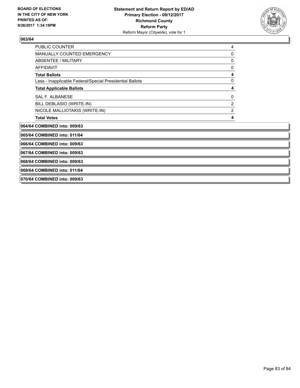

| <b>PUBLIC COUNTER</b>                                    | 4                |
|----------------------------------------------------------|------------------|
| <b>MANUALLY COUNTED EMERGENCY</b>                        | 0                |
| <b>ABSENTEE / MILITARY</b>                               | 0                |
| <b>AFFIDAVIT</b>                                         | 0                |
| <b>Total Ballots</b>                                     | 4                |
| Less - Inapplicable Federal/Special Presidential Ballots | 0                |
| <b>Total Applicable Ballots</b>                          | 4                |
| <b>SAL F. ALBANESE</b>                                   | 0                |
| BILL DEBLASIO (WRITE-IN)                                 | $\boldsymbol{2}$ |
| NICOLE MALLIOTAKIS (WRITE-IN)                            | $\overline{2}$   |
| <b>Total Votes</b>                                       | 4                |
| 064/64 COMBINED into: 009/63                             |                  |
| 065/64 COMBINED into: 011/64                             |                  |
| 066/64 COMBINED into: 009/63                             |                  |
| 067/64 COMBINED into: 009/63                             |                  |
| 068/64 COMBINED into: 009/63                             |                  |
| 069/64 COMBINED into: 011/64                             |                  |

**070/64 COMBINED into: 009/63**